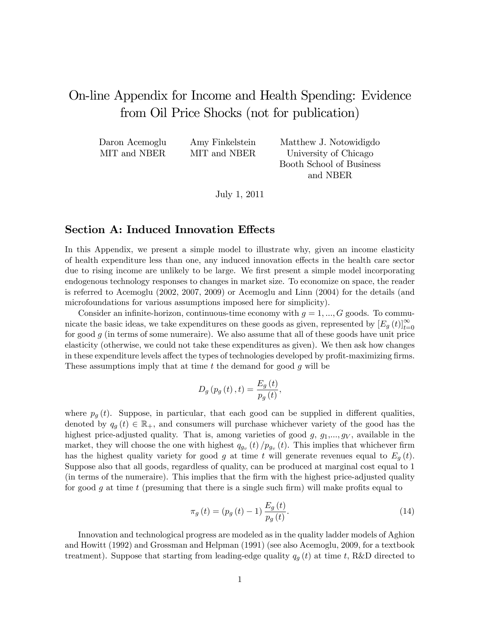# On-line Appendix for Income and Health Spending: Evidence from Oil Price Shocks (not for publication)

| Daron Acemoglu | Amy Finkelstein | Matthew J. Notowidigdo   |
|----------------|-----------------|--------------------------|
| MIT and NBER   | MIT and NBER    | University of Chicago    |
|                |                 | Booth School of Business |

July 1, 2011

and NBER

### Section A: Induced Innovation Effects

In this Appendix, we present a simple model to illustrate why, given an income elasticity of health expenditure less than one, any induced innovation effects in the health care sector due to rising income are unlikely to be large. We first present a simple model incorporating endogenous technology responses to changes in market size. To economize on space, the reader is referred to Acemoglu (2002, 2007, 2009) or Acemoglu and Linn (2004) for the details (and microfoundations for various assumptions imposed here for simplicity).

Consider an infinite-horizon, continuous-time economy with  $g = 1, ..., G$  goods. To communicate the basic ideas, we take expenditures on these goods as given, represented by  $[E_g(t)]_{t=0}^{\infty}$ for good  $g$  (in terms of some numeraire). We also assume that all of these goods have unit price elasticity (otherwise, we could not take these expenditures as given). We then ask how changes in these expenditure levels affect the types of technologies developed by profit-maximizing firms. These assumptions imply that at time  $t$  the demand for good  $g$  will be

$$
D_{g}\left( p_{g}\left( t\right) ,t\right) =\frac{E_{g}\left( t\right) }{p_{g}\left( t\right) },
$$

where  $p_q(t)$ . Suppose, in particular, that each good can be supplied in different qualities, denoted by  $q_g(t) \in \mathbb{R}_+$ , and consumers will purchase whichever variety of the good has the highest price-adjusted quality. That is, among varieties of good  $g, g_1, \ldots, g_V$ , available in the market, they will choose the one with highest  $q_{g_v}(t) / p_{g_v}(t)$ . This implies that whichever firm has the highest quality variety for good g at time t will generate revenues equal to  $E_q(t)$ . Suppose also that all goods, regardless of quality, can be produced at marginal cost equal to 1 (in terms of the numeraire). This implies that the Örm with the highest price-adjusted quality for good q at time t (presuming that there is a single such firm) will make profits equal to

$$
\pi_g(t) = (p_g(t) - 1) \frac{E_g(t)}{p_g(t)}.
$$
\n(14)

Innovation and technological progress are modeled as in the quality ladder models of Aghion and Howitt (1992) and Grossman and Helpman (1991) (see also Acemoglu, 2009, for a textbook treatment). Suppose that starting from leading-edge quality  $q_g(t)$  at time t, R&D directed to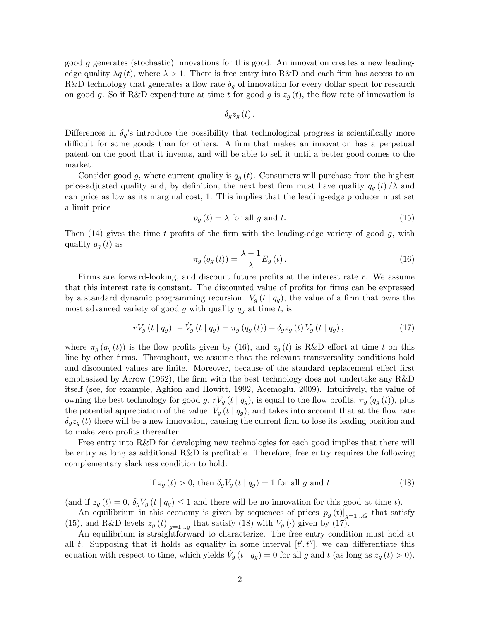good g generates (stochastic) innovations for this good. An innovation creates a new leadingedge quality  $\lambda q(t)$ , where  $\lambda > 1$ . There is free entry into R&D and each firm has access to an R&D technology that generates a flow rate  $\delta_g$  of innovation for every dollar spent for research on good g. So if R&D expenditure at time t for good g is  $z_q(t)$ , the flow rate of innovation is

$$
\delta_{g}z_{g}\left( t\right) .
$$

Differences in  $\delta_q$ 's introduce the possibility that technological progress is scientifically more difficult for some goods than for others. A firm that makes an innovation has a perpetual patent on the good that it invents, and will be able to sell it until a better good comes to the market.

Consider good g, where current quality is  $q_g(t)$ . Consumers will purchase from the highest price-adjusted quality and, by definition, the next best firm must have quality  $q_g(t)/\lambda$  and can price as low as its marginal cost, 1. This implies that the leading-edge producer must set a limit price

$$
p_g(t) = \lambda \text{ for all } g \text{ and } t. \tag{15}
$$

Then  $(14)$  gives the time t profits of the firm with the leading-edge variety of good g, with quality  $q_g(t)$  as

$$
\pi_g\left(q_g\left(t\right)\right) = \frac{\lambda - 1}{\lambda} E_g\left(t\right). \tag{16}
$$

Firms are forward-looking, and discount future profits at the interest rate  $r$ . We assume that this interest rate is constant. The discounted value of profits for firms can be expressed by a standard dynamic programming recursion.  $V_q(t | q_q)$ , the value of a firm that owns the most advanced variety of good g with quality  $q_g$  at time t, is

$$
rV_g(t \mid q_g) - V_g(t \mid q_g) = \pi_g(q_g(t)) - \delta_g z_g(t) V_g(t \mid q_g), \qquad (17)
$$

where  $\pi_g(q_g(t))$  is the flow profits given by (16), and  $z_g(t)$  is R&D effort at time t on this line by other firms. Throughout, we assume that the relevant transversality conditions hold and discounted values are finite. Moreover, because of the standard replacement effect first emphasized by Arrow (1962), the firm with the best technology does not undertake any  $R\&D$ itself (see, for example, Aghion and Howitt, 1992, Acemoglu, 2009). Intuitively, the value of owning the best technology for good g,  $rV_g(t | q_g)$ , is equal to the flow profits,  $\pi_g(q_g(t))$ , plus the potential appreciation of the value,  $\dot{V}_g (t | q_g)$ , and takes into account that at the flow rate  $\delta_q z_q(t)$  there will be a new innovation, causing the current firm to lose its leading position and to make zero profits thereafter.

Free entry into R&D for developing new technologies for each good implies that there will be entry as long as additional R&D is profitable. Therefore, free entry requires the following complementary slackness condition to hold:

if 
$$
z_g(t) > 0
$$
, then  $\delta_g V_g(t \mid q_g) = 1$  for all g and t\n
$$
(18)
$$

(and if  $z_g(t) = 0$ ,  $\delta_g V_g(t | q_g) \le 1$  and there will be no innovation for this good at time t).

An equilibrium in this economy is given by sequences of prices  $p_g(t)|_{g=1,..G}$  that satisfy (15), and R&D levels  $z_g(t)|_{g=1,..g}$  that satisfy (18) with  $V_g(\cdot)$  given by (17).

An equilibrium is straightforward to characterize. The free entry condition must hold at all t. Supposing that it holds as equality in some interval  $[t', t'']$ , we can differentiate this equation with respect to time, which yields  $\dot{V}_g(t | q_g) = 0$  for all g and t (as long as  $z_g(t) > 0$ ).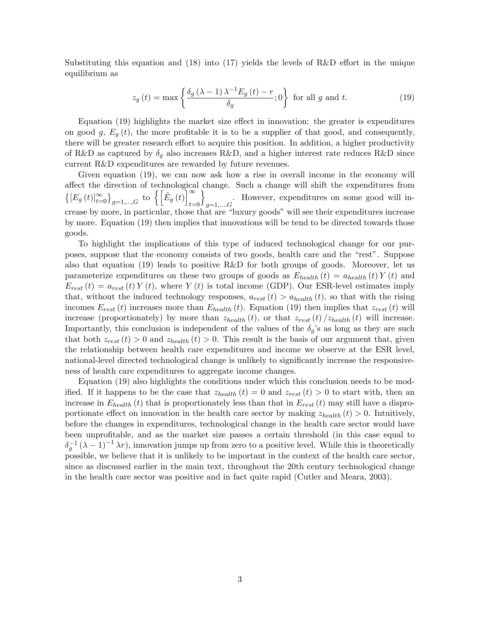Substituting this equation and (18) into (17) yields the levels of R&D effort in the unique equilibrium as

$$
z_g\left(t\right) = \max\left\{\frac{\delta_g\left(\lambda - 1\right)\lambda^{-1}E_g\left(t\right) - r}{\delta_g}; 0\right\} \text{ for all } g \text{ and } t. \tag{19}
$$

Equation  $(19)$  highlights the market size effect in innovation: the greater is expenditures on good g,  $E_q(t)$ , the more profitable it is to be a supplier of that good, and consequently, there will be greater research effort to acquire this position. In addition, a higher productivity of R&D as captured by  $\delta_q$  also increases R&D, and a higher interest rate reduces R&D since current R&D expenditures are rewarded by future revenues.

Given equation (19), we can now ask how a rise in overall income in the economy will affect the direction of technological change. Such a change will shift the expenditures from  $\left\{ [E_g(t)]_{t=0}^{\infty} \right\}_{g=1,\ldots,G}$  to  $\left\{ \left[ \tilde{E}_g(t) \right]_{t=0}^{\infty} \right\}$  $t=0$  $\mathfrak{d}$ . However, expenditures on some good will in-<br> $g=1,...,G$ crease by more, in particular, those that are "luxury goods" will see their expenditures increase by more. Equation (19) then implies that innovations will be tend to be directed towards those goods.

To highlight the implications of this type of induced technological change for our purposes, suppose that the economy consists of two goods, health care and the "rest". Suppose also that equation  $(19)$  leads to positive R&D for both groups of goods. Moreover, let us parameterize expenditures on these two groups of goods as  $E_{\text{health}}(t) = a_{\text{health}}(t) Y(t)$  and  $E_{rest}(t) = a_{rest}(t) Y(t)$ , where Y (t) is total income (GDP). Our ESR-level estimates imply that, without the induced technology responses,  $a_{rest}(t) > a_{health}(t)$ , so that with the rising incomes  $E_{rest}(t)$  increases more than  $E_{health}(t)$ . Equation (19) then implies that  $z_{rest}(t)$  will increase (proportionately) by more than  $z_{\text{health}}(t)$ , or that  $z_{\text{rest}}(t)/z_{\text{health}}(t)$  will increase. Importantly, this conclusion is independent of the values of the  $\delta_g$ 's as long as they are such that both  $z_{rest} (t) > 0$  and  $z_{health} (t) > 0$ . This result is the basis of our argument that, given the relationship between health care expenditures and income we observe at the ESR level, national-level directed technological change is unlikely to significantly increase the responsiveness of health care expenditures to aggregate income changes.

Equation (19) also highlights the conditions under which this conclusion needs to be modified. If it happens to be the case that  $z_{\text{health}}(t) = 0$  and  $z_{\text{rest}}(t) > 0$  to start with, then an increase in  $E_{\text{health}}(t)$  that is proportionately less than that in  $E_{\text{rest}}(t)$  may still have a disproportionate effect on innovation in the health care sector by making  $z_{\text{health}}(t) > 0$ . Intuitively, before the changes in expenditures, technological change in the health care sector would have been unprofitable, and as the market size passes a certain threshold (in this case equal to  $\delta_g^{-1} (\lambda - 1)^{-1} \lambda r$ , innovation jumps up from zero to a positive level. While this is theoretically possible, we believe that it is unlikely to be important in the context of the health care sector, since as discussed earlier in the main text, throughout the 20th century technological change in the health care sector was positive and in fact quite rapid (Cutler and Meara, 2003).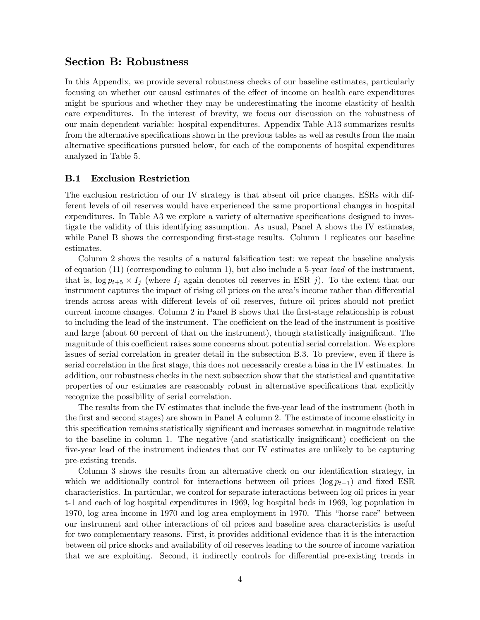### Section B: Robustness

In this Appendix, we provide several robustness checks of our baseline estimates, particularly focusing on whether our causal estimates of the effect of income on health care expenditures might be spurious and whether they may be underestimating the income elasticity of health care expenditures. In the interest of brevity, we focus our discussion on the robustness of our main dependent variable: hospital expenditures. Appendix Table A13 summarizes results from the alternative specifications shown in the previous tables as well as results from the main alternative specifications pursued below, for each of the components of hospital expenditures analyzed in Table 5.

### B.1 Exclusion Restriction

The exclusion restriction of our IV strategy is that absent oil price changes, ESRs with different levels of oil reserves would have experienced the same proportional changes in hospital expenditures. In Table A3 we explore a variety of alternative specifications designed to investigate the validity of this identifying assumption. As usual, Panel A shows the IV estimates, while Panel B shows the corresponding first-stage results. Column 1 replicates our baseline estimates.

Column 2 shows the results of a natural falsification test: we repeat the baseline analysis of equation (11) (corresponding to column 1), but also include a 5-year lead of the instrument, that is,  $\log p_{t+5} \times I_j$  (where  $I_j$  again denotes oil reserves in ESR j). To the extent that our instrument captures the impact of rising oil prices on the area's income rather than differential trends across areas with different levels of oil reserves, future oil prices should not predict current income changes. Column 2 in Panel B shows that the first-stage relationship is robust to including the lead of the instrument. The coefficient on the lead of the instrument is positive and large (about 60 percent of that on the instrument), though statistically insignificant. The magnitude of this coefficient raises some concerns about potential serial correlation. We explore issues of serial correlation in greater detail in the subsection B.3. To preview, even if there is serial correlation in the first stage, this does not necessarily create a bias in the IV estimates. In addition, our robustness checks in the next subsection show that the statistical and quantitative properties of our estimates are reasonably robust in alternative specifications that explicitly recognize the possibility of serial correlation.

The results from the IV estimates that include the Öve-year lead of the instrument (both in the first and second stages) are shown in Panel A column 2. The estimate of income elasticity in this specification remains statistically significant and increases somewhat in magnitude relative to the baseline in column 1. The negative (and statistically insignificant) coefficient on the Öve-year lead of the instrument indicates that our IV estimates are unlikely to be capturing pre-existing trends.

Column 3 shows the results from an alternative check on our identification strategy, in which we additionally control for interactions between oil prices ( $\log p_{t-1}$ ) and fixed ESR characteristics. In particular, we control for separate interactions between log oil prices in year t-1 and each of log hospital expenditures in 1969, log hospital beds in 1969, log population in 1970, log area income in 1970 and log area employment in 1970. This "horse race" between our instrument and other interactions of oil prices and baseline area characteristics is useful for two complementary reasons. First, it provides additional evidence that it is the interaction between oil price shocks and availability of oil reserves leading to the source of income variation that we are exploiting. Second, it indirectly controls for differential pre-existing trends in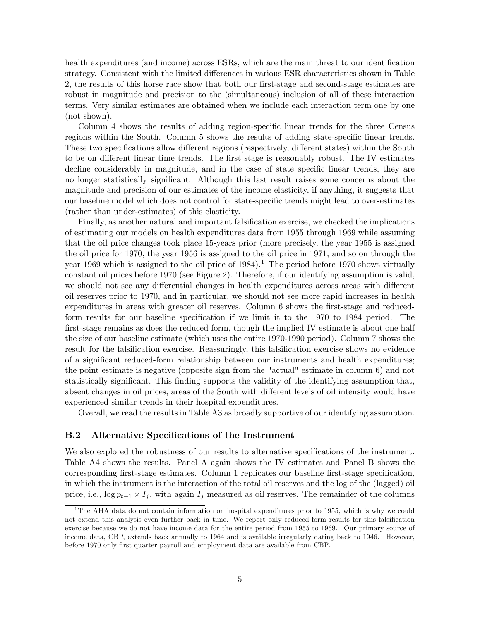health expenditures (and income) across ESRs, which are the main threat to our identification strategy. Consistent with the limited differences in various ESR characteristics shown in Table 2, the results of this horse race show that both our first-stage and second-stage estimates are robust in magnitude and precision to the (simultaneous) inclusion of all of these interaction terms. Very similar estimates are obtained when we include each interaction term one by one (not shown).

Column 4 shows the results of adding region-specific linear trends for the three Census regions within the South. Column 5 shows the results of adding state-specific linear trends. These two specifications allow different regions (respectively, different states) within the South to be on different linear time trends. The first stage is reasonably robust. The IV estimates decline considerably in magnitude, and in the case of state specific linear trends, they are no longer statistically significant. Although this last result raises some concerns about the magnitude and precision of our estimates of the income elasticity, if anything, it suggests that our baseline model which does not control for state-specific trends might lead to over-estimates (rather than under-estimates) of this elasticity.

Finally, as another natural and important falsification exercise, we checked the implications of estimating our models on health expenditures data from 1955 through 1969 while assuming that the oil price changes took place 15-years prior (more precisely, the year 1955 is assigned the oil price for 1970, the year 1956 is assigned to the oil price in 1971, and so on through the year 1969 which is assigned to the oil price of  $1984$ .<sup>1</sup> The period before 1970 shows virtually constant oil prices before 1970 (see Figure 2). Therefore, if our identifying assumption is valid, we should not see any differential changes in health expenditures across areas with different oil reserves prior to 1970, and in particular, we should not see more rapid increases in health expenditures in areas with greater oil reserves. Column 6 shows the first-stage and reducedform results for our baseline specification if we limit it to the 1970 to 1984 period. The first-stage remains as does the reduced form, though the implied IV estimate is about one half the size of our baseline estimate (which uses the entire 1970-1990 period). Column 7 shows the result for the falsification exercise. Reassuringly, this falsification exercise shows no evidence of a significant reduced-form relationship between our instruments and health expenditures; the point estimate is negative (opposite sign from the "actual" estimate in column 6) and not statistically significant. This finding supports the validity of the identifying assumption that, absent changes in oil prices, areas of the South with different levels of oil intensity would have experienced similar trends in their hospital expenditures.

Overall, we read the results in Table A3 as broadly supportive of our identifying assumption.

#### B.2 Alternative Specifications of the Instrument

We also explored the robustness of our results to alternative specifications of the instrument. Table A4 shows the results. Panel A again shows the IV estimates and Panel B shows the corresponding first-stage estimates. Column 1 replicates our baseline first-stage specification, in which the instrument is the interaction of the total oil reserves and the log of the (lagged) oil price, i.e.,  $\log p_{t-1} \times I_j$ , with again  $I_j$  measured as oil reserves. The remainder of the columns

<sup>&</sup>lt;sup>1</sup>The AHA data do not contain information on hospital expenditures prior to 1955, which is why we could not extend this analysis even further back in time. We report only reduced-form results for this falsification exercise because we do not have income data for the entire period from 1955 to 1969. Our primary source of income data, CBP, extends back annually to 1964 and is available irregularly dating back to 1946. However, before 1970 only first quarter payroll and employment data are available from CBP.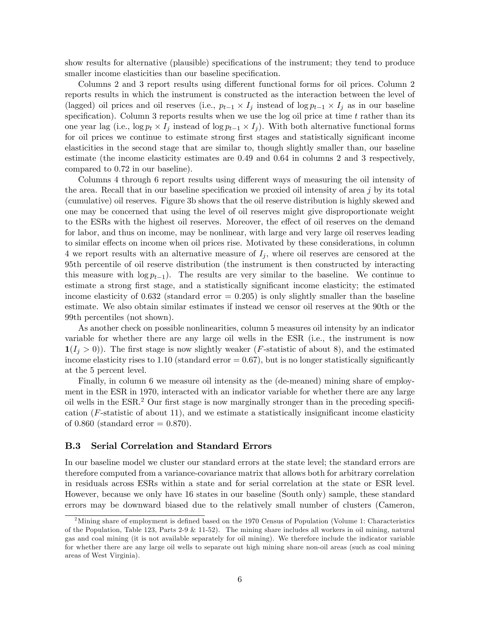show results for alternative (plausible) specifications of the instrument; they tend to produce smaller income elasticities than our baseline specification.

Columns 2 and 3 report results using different functional forms for oil prices. Column 2 reports results in which the instrument is constructed as the interaction between the level of (lagged) oil prices and oil reserves (i.e.,  $p_{t-1} \times I_j$  instead of  $\log p_{t-1} \times I_j$  as in our baseline specification). Column 3 reports results when we use the log oil price at time  $t$  rather than its one year lag (i.e.,  $\log p_t \times I_j$  instead of  $\log p_{t-1} \times I_j$ ). With both alternative functional forms for oil prices we continue to estimate strong first stages and statistically significant income elasticities in the second stage that are similar to, though slightly smaller than, our baseline estimate (the income elasticity estimates are 0.49 and 0.64 in columns 2 and 3 respectively, compared to 0.72 in our baseline).

Columns 4 through 6 report results using different ways of measuring the oil intensity of the area. Recall that in our baseline specification we proxied oil intensity of area  $j$  by its total (cumulative) oil reserves. Figure 3b shows that the oil reserve distribution is highly skewed and one may be concerned that using the level of oil reserves might give disproportionate weight to the ESRs with the highest oil reserves. Moreover, the effect of oil reserves on the demand for labor, and thus on income, may be nonlinear, with large and very large oil reserves leading to similar effects on income when oil prices rise. Motivated by these considerations, in column 4 we report results with an alternative measure of  $I_j$ , where oil reserves are censored at the 95th percentile of oil reserve distribution (the instrument is then constructed by interacting this measure with  $\log p_{t-1}$ ). The results are very similar to the baseline. We continue to estimate a strong first stage, and a statistically significant income elasticity; the estimated income elasticity of  $0.632$  (standard error = 0.205) is only slightly smaller than the baseline estimate. We also obtain similar estimates if instead we censor oil reserves at the 90th or the 99th percentiles (not shown).

As another check on possible nonlinearities, column 5 measures oil intensity by an indicator variable for whether there are any large oil wells in the ESR (i.e., the instrument is now  $\mathbf{1}(I_i > 0)$ ). The first stage is now slightly weaker (*F*-statistic of about 8), and the estimated income elasticity rises to 1.10 (standard error  $= 0.67$ ), but is no longer statistically significantly at the 5 percent level.

Finally, in column 6 we measure oil intensity as the (de-meaned) mining share of employment in the ESR in 1970, interacted with an indicator variable for whether there are any large oil wells in the  $ESR<sup>2</sup>$  Our first stage is now marginally stronger than in the preceding specification  $(F\text{-statistic of about }11)$ , and we estimate a statistically insignificant income elasticity of 0.860 (standard error  $= 0.870$ ).

#### B.3 Serial Correlation and Standard Errors

In our baseline model we cluster our standard errors at the state level; the standard errors are therefore computed from a variance-covariance matrix that allows both for arbitrary correlation in residuals across ESRs within a state and for serial correlation at the state or ESR level. However, because we only have 16 states in our baseline (South only) sample, these standard errors may be downward biased due to the relatively small number of clusters (Cameron,

<sup>&</sup>lt;sup>2</sup>Mining share of employment is defined based on the 1970 Census of Population (Volume 1: Characteristics of the Population, Table 123, Parts 2-9 & 11-52). The mining share includes all workers in oil mining, natural gas and coal mining (it is not available separately for oil mining). We therefore include the indicator variable for whether there are any large oil wells to separate out high mining share non-oil areas (such as coal mining areas of West Virginia).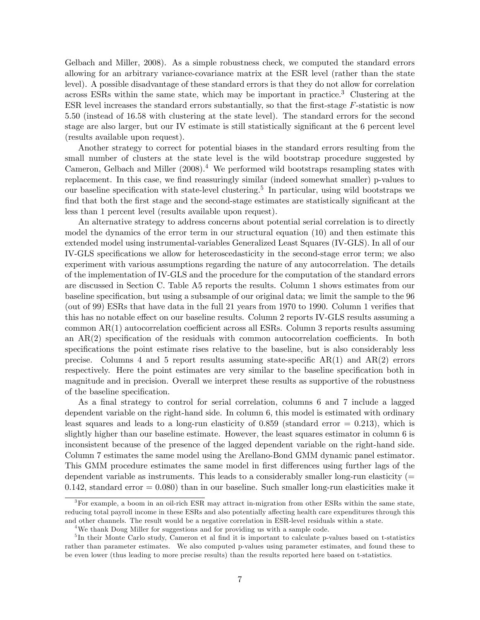Gelbach and Miller, 2008). As a simple robustness check, we computed the standard errors allowing for an arbitrary variance-covariance matrix at the ESR level (rather than the state level). A possible disadvantage of these standard errors is that they do not allow for correlation across ESRs within the same state, which may be important in practice.<sup>3</sup> Clustering at the ESR level increases the standard errors substantially, so that the first-stage  $F$ -statistic is now 5.50 (instead of 16.58 with clustering at the state level). The standard errors for the second stage are also larger, but our IV estimate is still statistically significant at the 6 percent level (results available upon request).

Another strategy to correct for potential biases in the standard errors resulting from the small number of clusters at the state level is the wild bootstrap procedure suggested by Cameron, Gelbach and Miller  $(2008).<sup>4</sup>$  We performed wild bootstraps resampling states with replacement. In this case, we find reassuringly similar (indeed somewhat smaller) p-values to our baseline specification with state-level clustering.<sup>5</sup> In particular, using wild bootstraps we find that both the first stage and the second-stage estimates are statistically significant at the less than 1 percent level (results available upon request).

An alternative strategy to address concerns about potential serial correlation is to directly model the dynamics of the error term in our structural equation (10) and then estimate this extended model using instrumental-variables Generalized Least Squares (IV-GLS). In all of our IV-GLS specifications we allow for heteroscedasticity in the second-stage error term; we also experiment with various assumptions regarding the nature of any autocorrelation. The details of the implementation of IV-GLS and the procedure for the computation of the standard errors are discussed in Section C. Table A5 reports the results. Column 1 shows estimates from our baseline specification, but using a subsample of our original data; we limit the sample to the 96 (out of 99) ESRs that have data in the full 21 years from  $1970$  to 1990. Column 1 verifies that this has no notable effect on our baseline results. Column 2 reports IV-GLS results assuming a common  $AR(1)$  autocorrelation coefficient across all ESRs. Column 3 reports results assuming an  $AR(2)$  specification of the residuals with common autocorrelation coefficients. In both specifications the point estimate rises relative to the baseline, but is also considerably less precise. Columns 4 and 5 report results assuming state-specific  $AR(1)$  and  $AR(2)$  errors respectively. Here the point estimates are very similar to the baseline specification both in magnitude and in precision. Overall we interpret these results as supportive of the robustness of the baseline specification.

As a final strategy to control for serial correlation, columns 6 and 7 include a lagged dependent variable on the right-hand side. In column 6, this model is estimated with ordinary least squares and leads to a long-run elasticity of  $0.859$  (standard error  $= 0.213$ ), which is slightly higher than our baseline estimate. However, the least squares estimator in column 6 is inconsistent because of the presence of the lagged dependent variable on the right-hand side. Column 7 estimates the same model using the Arellano-Bond GMM dynamic panel estimator. This GMM procedure estimates the same model in first differences using further lags of the dependent variable as instruments. This leads to a considerably smaller long-run elasticity (=  $0.142$ , standard error  $= 0.080$ ) than in our baseline. Such smaller long-run elasticities make it

 ${}^{3}$  For example, a boom in an oil-rich ESR may attract in-migration from other ESRs within the same state, reducing total payroll income in these ESRs and also potentially affecting health care expenditures through this and other channels. The result would be a negative correlation in ESR-level residuals within a state.

<sup>4</sup>We thank Doug Miller for suggestions and for providing us with a sample code.

<sup>&</sup>lt;sup>5</sup>In their Monte Carlo study, Cameron et al find it is important to calculate p-values based on t-statistics rather than parameter estimates. We also computed p-values using parameter estimates, and found these to be even lower (thus leading to more precise results) than the results reported here based on t-statistics.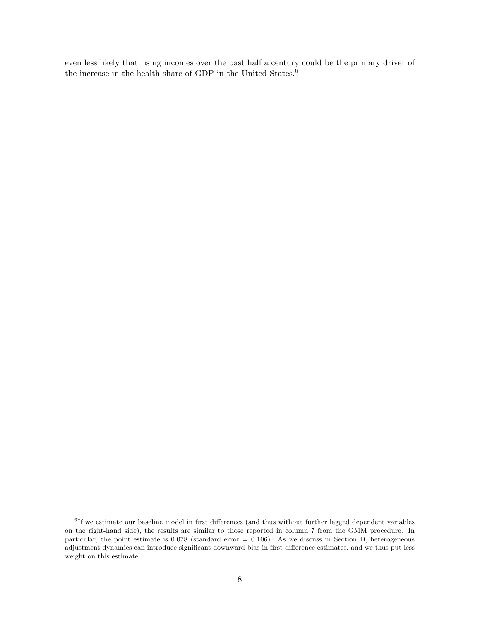even less likely that rising incomes over the past half a century could be the primary driver of the increase in the health share of GDP in the United States.<sup>6</sup>

 ${}^{6}$  If we estimate our baseline model in first differences (and thus without further lagged dependent variables on the right-hand side), the results are similar to those reported in column 7 from the GMM procedure. In particular, the point estimate is  $0.078$  (standard error =  $0.106$ ). As we discuss in Section D, heterogeneous adjustment dynamics can introduce significant downward bias in first-difference estimates, and we thus put less weight on this estimate.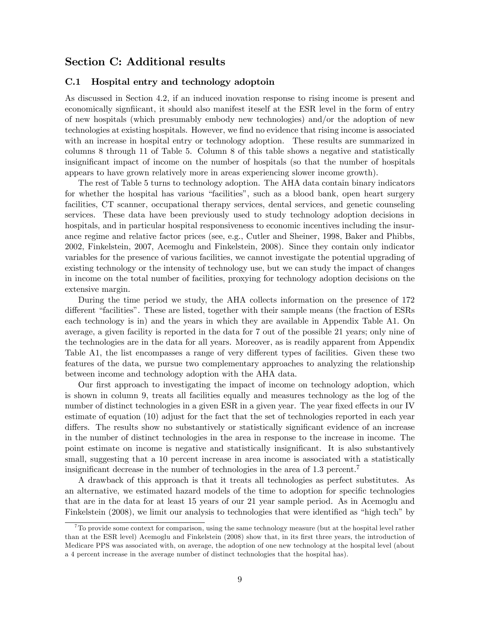### Section C: Additional results

### C.1 Hospital entry and technology adoptoin

As discussed in Section 4.2, if an induced inovation response to rising income is present and economically significant, it should also manifest iteself at the ESR level in the form of entry of new hospitals (which presumably embody new technologies) and/or the adoption of new technologies at existing hospitals. However, we find no evidence that rising income is associated with an increase in hospital entry or technology adoption. These results are summarized in columns 8 through 11 of Table 5. Column 8 of this table shows a negative and statistically insignificant impact of income on the number of hospitals (so that the number of hospitals appears to have grown relatively more in areas experiencing slower income growth).

The rest of Table 5 turns to technology adoption. The AHA data contain binary indicators for whether the hospital has various "facilities", such as a blood bank, open heart surgery facilities, CT scanner, occupational therapy services, dental services, and genetic counseling services. These data have been previously used to study technology adoption decisions in hospitals, and in particular hospital responsiveness to economic incentives including the insurance regime and relative factor prices (see, e.g., Cutler and Sheiner, 1998, Baker and Phibbs, 2002, Finkelstein, 2007, Acemoglu and Finkelstein, 2008). Since they contain only indicator variables for the presence of various facilities, we cannot investigate the potential upgrading of existing technology or the intensity of technology use, but we can study the impact of changes in income on the total number of facilities, proxying for technology adoption decisions on the extensive margin.

During the time period we study, the AHA collects information on the presence of 172 different "facilities". These are listed, together with their sample means (the fraction of ESRs each technology is in) and the years in which they are available in Appendix Table A1. On average, a given facility is reported in the data for 7 out of the possible 21 years; only nine of the technologies are in the data for all years. Moreover, as is readily apparent from Appendix Table A1, the list encompasses a range of very different types of facilities. Given these two features of the data, we pursue two complementary approaches to analyzing the relationship between income and technology adoption with the AHA data.

Our first approach to investigating the impact of income on technology adoption, which is shown in column 9, treats all facilities equally and measures technology as the log of the number of distinct technologies in a given ESR in a given year. The year fixed effects in our IV estimate of equation (10) adjust for the fact that the set of technologies reported in each year differs. The results show no substantively or statistically significant evidence of an increase in the number of distinct technologies in the area in response to the increase in income. The point estimate on income is negative and statistically insignificant. It is also substantively small, suggesting that a 10 percent increase in area income is associated with a statistically insignificant decrease in the number of technologies in the area of  $1.3$  percent.<sup>7</sup>

A drawback of this approach is that it treats all technologies as perfect substitutes. As an alternative, we estimated hazard models of the time to adoption for specific technologies that are in the data for at least 15 years of our 21 year sample period. As in Acemoglu and Finkelstein (2008), we limit our analysis to technologies that were identified as "high tech" by

 $7$ To provide some context for comparison, using the same technology measure (but at the hospital level rather than at the ESR level) Acemoglu and Finkelstein (2008) show that, in its Örst three years, the introduction of Medicare PPS was associated with, on average, the adoption of one new technology at the hospital level (about a 4 percent increase in the average number of distinct technologies that the hospital has).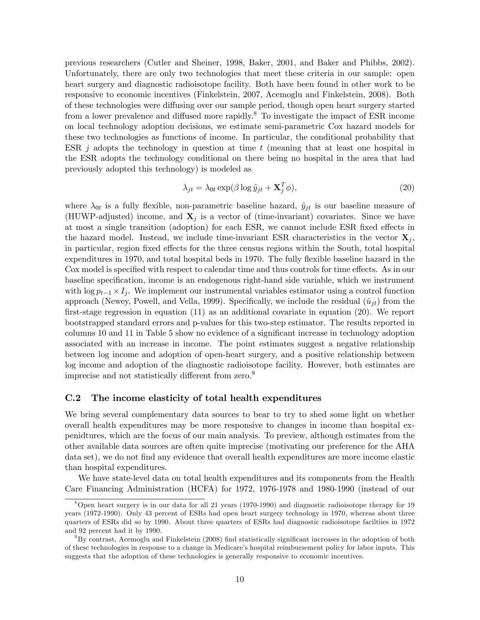previous researchers (Cutler and Sheiner, 1998, Baker, 2001, and Baker and Phibbs, 2002). Unfortunately, there are only two technologies that meet these criteria in our sample: open heart surgery and diagnostic radioisotope facility. Both have been found in other work to be responsive to economic incentives (Finkelstein, 2007, Acemoglu and Finkelstein, 2008). Both of these technologies were diffusing over our sample period, though open heart surgery started from a lower prevalence and diffused more rapidly.<sup>8</sup> To investigate the impact of ESR income on local technology adoption decisions, we estimate semi-parametric Cox hazard models for these two technologies as functions of income. In particular, the conditional probability that ESR  $j$  adopts the technology in question at time t (meaning that at least one hospital in the ESR adopts the technology conditional on there being no hospital in the area that had previously adopted this technology) is modeled as

$$
\lambda_{jt} = \lambda_{0t} \exp(\beta \log \tilde{y}_{jt} + \mathbf{X}_j^T \phi), \tag{20}
$$

where  $\lambda_{0t}$  is a fully flexible, non-parametric baseline hazard,  $\tilde{y}_{jt}$  is our baseline measure of (HUWP-adjusted) income, and  $X_i$  is a vector of (time-invariant) covariates. Since we have at most a single transition (adoption) for each ESR, we cannot include ESR fixed effects in the hazard model. Instead, we include time-invariant ESR characteristics in the vector  $\mathbf{X}_i$ , in particular, region fixed effects for the three census regions within the South, total hospital expenditures in 1970, and total hospital beds in 1970. The fully flexible baseline hazard in the Cox model is specified with respect to calendar time and thus controls for time effects. As in our baseline specification, income is an endogenous right-hand side variable, which we instrument with  $\log p_{t-1} \times I_j$ . We implement our instrumental variables estimator using a control function approach (Newey, Powell, and Vella, 1999). Specifically, we include the residual  $(\hat{u}_{it})$  from the first-stage regression in equation  $(11)$  as an additional covariate in equation  $(20)$ . We report bootstrapped standard errors and p-values for this two-step estimator. The results reported in columns 10 and 11 in Table 5 show no evidence of a significant increase in technology adoption associated with an increase in income. The point estimates suggest a negative relationship between log income and adoption of open-heart surgery, and a positive relationship between log income and adoption of the diagnostic radioisotope facility. However, both estimates are imprecise and not statistically different from zero.<sup>9</sup>

#### C.2 The income elasticity of total health expenditures

We bring several complementary data sources to bear to try to shed some light on whether overall health expenditures may be more responsive to changes in income than hospital expenidtures, which are the focus of our main analysis. To preview, although estimates from the other available data sources are often quite imprecise (motivating our preference for the AHA data set), we do not find any evidence that overall health expenditures are more income elastic than hospital expenditures.

We have state-level data on total health expenditures and its components from the Health Care Financing Administration (HCFA) for 1972, 1976-1978 and 1980-1990 (instead of our

<sup>8</sup>Open heart surgery is in our data for all 21 years (1970-1990) and diagnostic radioisotope therapy for 19 years (1972-1990). Only 43 percent of ESRs had open heart surgery technology in 1970, whereas about three quarters of ESRs did so by 1990. About three quarters of ESRs had diagnostic radioisotope faciltiies in 1972 and 92 percent had it by 1990.

 $9By$  contrast, Acemoglu and Finkelstein (2008) find statistically significant increases in the adoption of both of these technologies in response to a change in Medicareís hospital reimbursement policy for labor inputs. This suggests that the adoption of these technologies is generally responsive to economic incentives.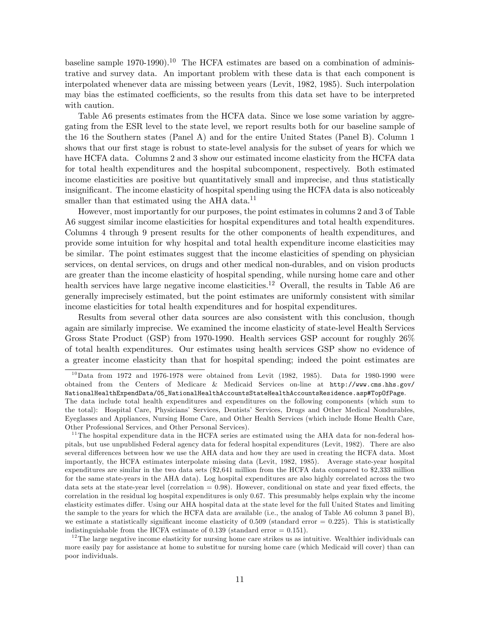baseline sample 1970-1990).<sup>10</sup> The HCFA estimates are based on a combination of administrative and survey data. An important problem with these data is that each component is interpolated whenever data are missing between years (Levit, 1982, 1985). Such interpolation may bias the estimated coefficients, so the results from this data set have to be interpreted with caution.

Table A6 presents estimates from the HCFA data. Since we lose some variation by aggregating from the ESR level to the state level, we report results both for our baseline sample of the 16 the Southern states (Panel A) and for the entire United States (Panel B). Column 1 shows that our first stage is robust to state-level analysis for the subset of years for which we have HCFA data. Columns 2 and 3 show our estimated income elasticity from the HCFA data for total health expenditures and the hospital subcomponent, respectively. Both estimated income elasticities are positive but quantitatively small and imprecise, and thus statistically insignificant. The income elasticity of hospital spending using the HCFA data is also noticeably smaller than that estimated using the AHA data.<sup>11</sup>

However, most importantly for our purposes, the point estimates in columns 2 and 3 of Table A6 suggest similar income elasticities for hospital expenditures and total health expenditures. Columns 4 through 9 present results for the other components of health expenditures, and provide some intuition for why hospital and total health expenditure income elasticities may be similar. The point estimates suggest that the income elasticities of spending on physician services, on dental services, on drugs and other medical non-durables, and on vision products are greater than the income elasticity of hospital spending, while nursing home care and other health services have large negative income elasticities.<sup>12</sup> Overall, the results in Table A6 are generally imprecisely estimated, but the point estimates are uniformly consistent with similar income elasticities for total health expenditures and for hospital expenditures.

Results from several other data sources are also consistent with this conclusion, though again are similarly imprecise. We examined the income elasticity of state-level Health Services Gross State Product (GSP) from 1970-1990. Health services GSP account for roughly 26% of total health expenditures. Our estimates using health services GSP show no evidence of a greater income elasticity than that for hospital spending; indeed the point estimates are

 $12$ The large negative income elasticity for nursing home care strikes us as intuitive. Wealthier individuals can more easily pay for assistance at home to substitue for nursing home care (which Medicaid will cover) than can poor individuals.

 $10$  Data from 1972 and 1976-1978 were obtained from Levit (1982, 1985). Data for 1980-1990 were obtained from the Centers of Medicare & Medicaid Services on-line at http://www.cms.hhs.gov/ NationalHealthExpendData/05\_NationalHealthAccountsStateHealthAccountsResidence.asp#TopOfPage. The data include total health expenditures and expenditures on the following components (which sum to

the total): Hospital Care, Physicians' Services, Dentists' Services, Drugs and Other Medical Nondurables, Eyeglasses and Appliances, Nursing Home Care, and Other Health Services (which include Home Health Care, Other Professional Services, and Other Personal Services).

 $11$ The hospital expenditure data in the HCFA series are estimated using the AHA data for non-federal hospitals, but use unpublished Federal agency data for federal hospital expenditures (Levit, 1982). There are also several differences between how we use the AHA data and how they are used in creating the HCFA data. Most importantly, the HCFA estimates interpolate missing data (Levit, 1982, 1985). Average state-year hospital expenditures are similar in the two data sets (\$2,641 million from the HCFA data compared to \$2,333 million for the same state-years in the AHA data). Log hospital expenditures are also highly correlated across the two data sets at the state-year level (correlation  $= 0.98$ ). However, conditional on state and year fixed effects, the correlation in the residual log hospital expenditures is only 0.67. This presumably helps explain why the income elasticity estimates differ. Using our AHA hospital data at the state level for the full United States and limiting the sample to the years for which the HCFA data are available (i.e., the analog of Table A6 column 3 panel B), we estimate a statistically significant income elasticity of  $0.509$  (standard error =  $0.225$ ). This is statistically indistinguishable from the HCFA estimate of 0.139 (standard error  $= 0.151$ ).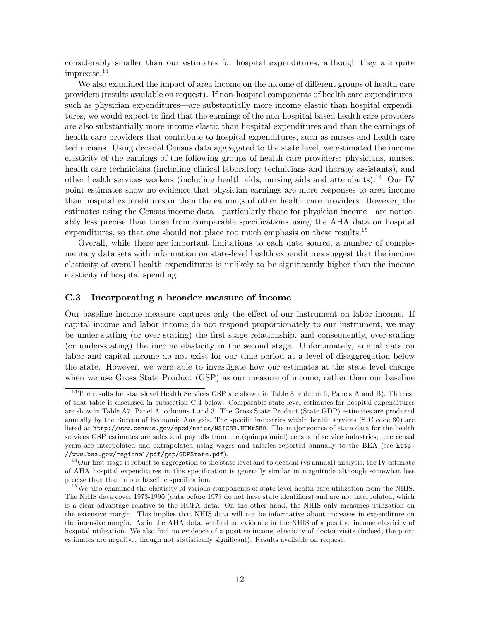considerably smaller than our estimates for hospital expenditures, although they are quite imprecise.<sup>13</sup>

We also examined the impact of area income on the income of different groups of health care providers (results available on request). If non-hospital components of health care expendituressuch as physician expenditures—are substantially more income elastic than hospital expenditures, we would expect to find that the earnings of the non-hospital based health care providers are also substantially more income elastic than hospital expenditures and than the earnings of health care providers that contribute to hospital expenditures, such as nurses and health care technicians. Using decadal Census data aggregated to the state level, we estimated the income elasticity of the earnings of the following groups of health care providers: physicians, nurses, health care technicians (including clinical laboratory technicians and therapy assistants), and other health services workers (including health aids, nursing aids and attendants).<sup>14</sup> Our IV point estimates show no evidence that physician earnings are more responses to area income than hospital expenditures or than the earnings of other health care providers. However, the estimates using the Census income data—particularly those for physician income—are noticeably less precise than those from comparable speciÖcations using the AHA data on hospital expenditures, so that one should not place too much emphasis on these results.<sup>15</sup>

Overall, while there are important limitations to each data source, a number of complementary data sets with information on state-level health expenditures suggest that the income elasticity of overall health expenditures is unlikely to be significantly higher than the income elasticity of hospital spending.

#### C.3 Incorporating a broader measure of income

Our baseline income measure captures only the effect of our instrument on labor income. If capital income and labor income do not respond proportionately to our instrument, we may be under-stating (or over-stating) the first-stage relationship, and consequently, over-stating (or under-stating) the income elasticity in the second stage. Unfortunately, annual data on labor and capital income do not exist for our time period at a level of disaggregation below the state. However, we were able to investigate how our estimates at the state level change when we use Gross State Product (GSP) as our measure of income, rather than our baseline

<sup>&</sup>lt;sup>13</sup>The results for state-level Health Services GSP are shown in Table 8, column 6, Panels A and B). The rest of that table is discussed in subsection C.4 below. Comparable state-level estimates for hospital expenditures are show in Table A7, Panel A, columns 1 and 3. The Gross State Product (State GDP) estimates are produced annually by the Bureau of Economic Analysis. The specific industries within health services (SIC code 80) are listed at http://www.census.gov/epcd/naics/NSIC8B.HTM#S80. The major source of state data for the health services GSP estimates are sales and payrolls from the (quinquennial) census of service industries; intercensal years are interpolated and extrapolated using wages and salaries reported annually to the BEA (see http: //www.bea.gov/regional/pdf/gsp/GDPState.pdf).

 $14$ Our first stage is robust to aggregation to the state level and to decadal (vs annual) analysis; the IV estimate of AHA hospital expenditures in this specification is generally similar in magnitude although somewhat less precise than that in our baseline specification.

<sup>&</sup>lt;sup>15</sup>We also examined the elasticity of various components of state-level health care utilization from the NHIS. The NHIS data cover 1973-1990 (data before 1973 do not have state identifiers) and are not interpolated, which is a clear advantage relative to the HCFA data. On the other hand, the NHIS only measures utilization on the extensive margin. This implies that NHIS data will not be informative about increases in expenditure on the intensive margin. As in the AHA data, we find no evidence in the NHIS of a positive income elasticity of hospital utilization. We also find no evidence of a positive income elasticity of doctor visits (indeed, the point estimates are negative, though not statistically significant). Results available on request.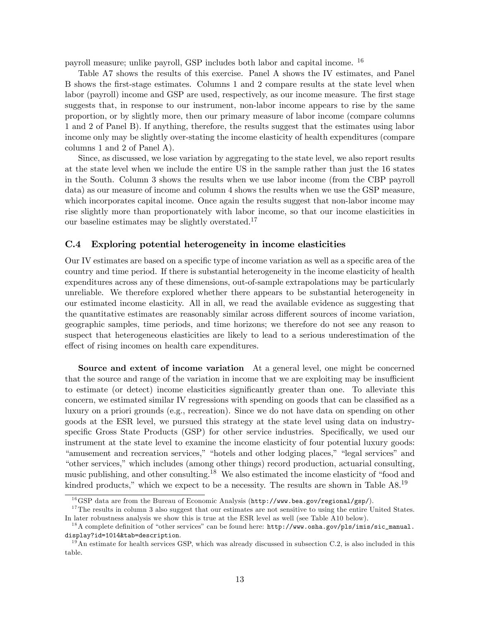payroll measure; unlike payroll, GSP includes both labor and capital income. <sup>16</sup>

Table A7 shows the results of this exercise. Panel A shows the IV estimates, and Panel B shows the Örst-stage estimates. Columns 1 and 2 compare results at the state level when labor (payroll) income and GSP are used, respectively, as our income measure. The first stage suggests that, in response to our instrument, non-labor income appears to rise by the same proportion, or by slightly more, then our primary measure of labor income (compare columns 1 and 2 of Panel B). If anything, therefore, the results suggest that the estimates using labor income only may be slightly over-stating the income elasticity of health expenditures (compare columns 1 and 2 of Panel A).

Since, as discussed, we lose variation by aggregating to the state level, we also report results at the state level when we include the entire US in the sample rather than just the 16 states in the South. Column 3 shows the results when we use labor income (from the CBP payroll data) as our measure of income and column 4 shows the results when we use the GSP measure, which incorporates capital income. Once again the results suggest that non-labor income may rise slightly more than proportionately with labor income, so that our income elasticities in our baseline estimates may be slightly overstated.<sup>17</sup>

### C.4 Exploring potential heterogeneity in income elasticities

Our IV estimates are based on a specific type of income variation as well as a specific area of the country and time period. If there is substantial heterogeneity in the income elasticity of health expenditures across any of these dimensions, out-of-sample extrapolations may be particularly unreliable. We therefore explored whether there appears to be substantial heterogeneity in our estimated income elasticity. All in all, we read the available evidence as suggesting that the quantitative estimates are reasonably similar across different sources of income variation, geographic samples, time periods, and time horizons; we therefore do not see any reason to suspect that heterogeneous elasticities are likely to lead to a serious underestimation of the effect of rising incomes on health care expenditures.

Source and extent of income variation At a general level, one might be concerned that the source and range of the variation in income that we are exploiting may be insufficient to estimate (or detect) income elasticities significantly greater than one. To alleviate this concern, we estimated similar IV regressions with spending on goods that can be classified as a luxury on a priori grounds (e.g., recreation). Since we do not have data on spending on other goods at the ESR level, we pursued this strategy at the state level using data on industryspecific Gross State Products (GSP) for other service industries. Specifically, we used our instrument at the state level to examine the income elasticity of four potential luxury goods: "amusement and recreation services," "hotels and other lodging places," "legal services" and "other services," which includes (among other things) record production, actuarial consulting, music publishing, and other consulting.<sup>18</sup> We also estimated the income elasticity of "food and kindred products," which we expect to be a necessity. The results are shown in Table  $A8<sup>19</sup>$ 

 $^{16}$ GSP data are from the Bureau of Economic Analysis (http://www.bea.gov/regional/gsp/).

<sup>&</sup>lt;sup>17</sup>The results in column 3 also suggest that our estimates are not sensitive to using the entire United States. In later robustness analysis we show this is true at the ESR level as well (see Table A10 below).

<sup>&</sup>lt;sup>18</sup>A complete definition of "other services" can be found here: http://www.osha.gov/pls/imis/sic\_manual. display?id=1014&tab=description.

 $19$ An estimate for health services GSP, which was already discussed in subsection C.2, is also included in this table.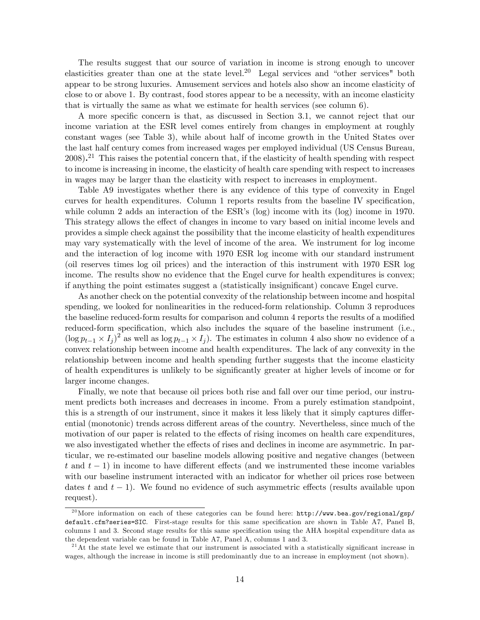The results suggest that our source of variation in income is strong enough to uncover elasticities greater than one at the state level.<sup>20</sup> Legal services and "other services" both appear to be strong luxuries. Amusement services and hotels also show an income elasticity of close to or above 1. By contrast, food stores appear to be a necessity, with an income elasticity that is virtually the same as what we estimate for health services (see column 6).

A more specific concern is that, as discussed in Section 3.1, we cannot reject that our income variation at the ESR level comes entirely from changes in employment at roughly constant wages (see Table 3), while about half of income growth in the United States over the last half century comes from increased wages per employed individual (US Census Bureau,  $2008$ .<sup>21</sup> This raises the potential concern that, if the elasticity of health spending with respect to income is increasing in income, the elasticity of health care spending with respect to increases in wages may be larger than the elasticity with respect to increases in employment.

Table A9 investigates whether there is any evidence of this type of convexity in Engel curves for health expenditures. Column 1 reports results from the baseline IV specification, while column 2 adds an interaction of the  $ESR$ 's (log) income with its (log) income in 1970. This strategy allows the effect of changes in income to vary based on initial income levels and provides a simple check against the possibility that the income elasticity of health expenditures may vary systematically with the level of income of the area. We instrument for log income and the interaction of log income with 1970 ESR log income with our standard instrument (oil reserves times log oil prices) and the interaction of this instrument with 1970 ESR log income. The results show no evidence that the Engel curve for health expenditures is convex; if anything the point estimates suggest a (statistically insignificant) concave Engel curve.

As another check on the potential convexity of the relationship between income and hospital spending, we looked for nonlinearities in the reduced-form relationship. Column 3 reproduces the baseline reduced-form results for comparison and column 4 reports the results of a modified reduced-form specification, which also includes the square of the baseline instrument (i.e.,  $(\log p_{t-1} \times I_j)^2$  as well as  $\log p_{t-1} \times I_j$ . The estimates in column 4 also show no evidence of a convex relationship between income and health expenditures. The lack of any convexity in the relationship between income and health spending further suggests that the income elasticity of health expenditures is unlikely to be signiÖcantly greater at higher levels of income or for larger income changes.

Finally, we note that because oil prices both rise and fall over our time period, our instrument predicts both increases and decreases in income. From a purely estimation standpoint, this is a strength of our instrument, since it makes it less likely that it simply captures differential (monotonic) trends across different areas of the country. Nevertheless, since much of the motivation of our paper is related to the effects of rising incomes on health care expenditures, we also investigated whether the effects of rises and declines in income are asymmetric. In particular, we re-estimated our baseline models allowing positive and negative changes (between t and  $t-1$ ) in income to have different effects (and we instrumented these income variables with our baseline instrument interacted with an indicator for whether oil prices rose between dates t and  $t - 1$ ). We found no evidence of such asymmetric effects (results available upon request).

<sup>&</sup>lt;sup>20</sup>More information on each of these categories can be found here: http://www.bea.gov/regional/gsp/ default.cfm?series=SIC. First-stage results for this same specification are shown in Table A7, Panel B, columns 1 and 3. Second stage results for this same specification using the AHA hospital expenditure data as the dependent variable can be found in Table A7, Panel A, columns 1 and 3.

 $^{21}$ At the state level we estimate that our instrument is associated with a statistically significant increase in wages, although the increase in income is still predominantly due to an increase in employment (not shown).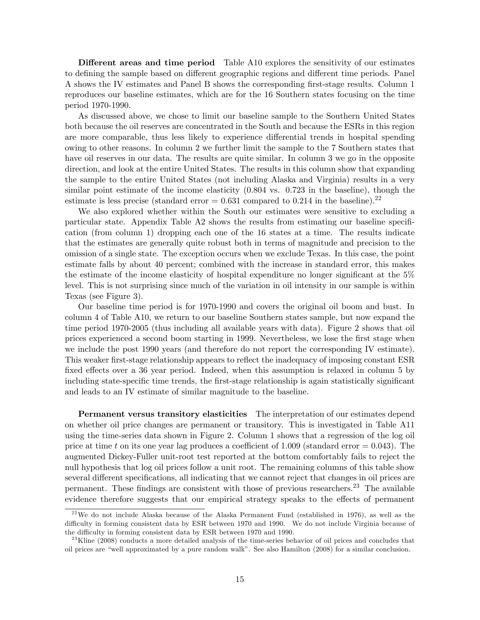Different areas and time period Table A10 explores the sensitivity of our estimates to defining the sample based on different geographic regions and different time periods. Panel A shows the IV estimates and Panel B shows the corresponding Örst-stage results. Column 1 reproduces our baseline estimates, which are for the 16 Southern states focusing on the time period 1970-1990.

As discussed above, we chose to limit our baseline sample to the Southern United States both because the oil reserves are concentrated in the South and because the ESRs in this region are more comparable, thus less likely to experience differential trends in hospital spending owing to other reasons. In column 2 we further limit the sample to the 7 Southern states that have oil reserves in our data. The results are quite similar. In column 3 we go in the opposite direction, and look at the entire United States. The results in this column show that expanding the sample to the entire United States (not including Alaska and Virginia) results in a very similar point estimate of the income elasticity (0.804 vs. 0.723 in the baseline), though the estimate is less precise (standard error  $= 0.631$  compared to 0.214 in the baseline).<sup>22</sup>

We also explored whether within the South our estimates were sensitive to excluding a particular state. Appendix Table  $A2$  shows the results from estimating our baseline specification (from column 1) dropping each one of the 16 states at a time. The results indicate that the estimates are generally quite robust both in terms of magnitude and precision to the omission of a single state. The exception occurs when we exclude Texas. In this case, the point estimate falls by about 40 percent; combined with the increase in standard error, this makes the estimate of the income elasticity of hospital expenditure no longer significant at the  $5\%$ level. This is not surprising since much of the variation in oil intensity in our sample is within Texas (see Figure 3).

Our baseline time period is for 1970-1990 and covers the original oil boom and bust. In column 4 of Table A10, we return to our baseline Southern states sample, but now expand the time period 1970-2005 (thus including all available years with data). Figure 2 shows that oil prices experienced a second boom starting in 1999. Nevertheless, we lose the Örst stage when we include the post 1990 years (and therefore do not report the corresponding IV estimate). This weaker first-stage relationship appears to reflect the inadequacy of imposing constant ESR fixed effects over a 36 year period. Indeed, when this assumption is relaxed in column 5 by including state-specific time trends, the first-stage relationship is again statistically significant and leads to an IV estimate of similar magnitude to the baseline.

Permanent versus transitory elasticities The interpretation of our estimates depend on whether oil price changes are permanent or transitory. This is investigated in Table A11 using the time-series data shown in Figure 2. Column 1 shows that a regression of the log oil price at time t on its one year lag produces a coefficient of 1.009 (standard error  $= 0.043$ ). The augmented Dickey-Fuller unit-root test reported at the bottom comfortably fails to reject the null hypothesis that log oil prices follow a unit root. The remaining columns of this table show several different specifications, all indicating that we cannot reject that changes in oil prices are permanent. These findings are consistent with those of previous researchers.<sup>23</sup> The available evidence therefore suggests that our empirical strategy speaks to the effects of permanent

<sup>&</sup>lt;sup>22</sup>We do not include Alaska because of the Alaska Permanent Fund (established in 1976), as well as the difficulty in forming consistent data by ESR between 1970 and 1990. We do not include Virginia because of the difficulty in forming consistent data by ESR between 1970 and 1990.

 $^{23}$ Kline (2008) conducts a more detailed analysis of the time-series behavior of oil prices and concludes that oil prices are "well approximated by a pure random walk". See also Hamilton (2008) for a similar conclusion.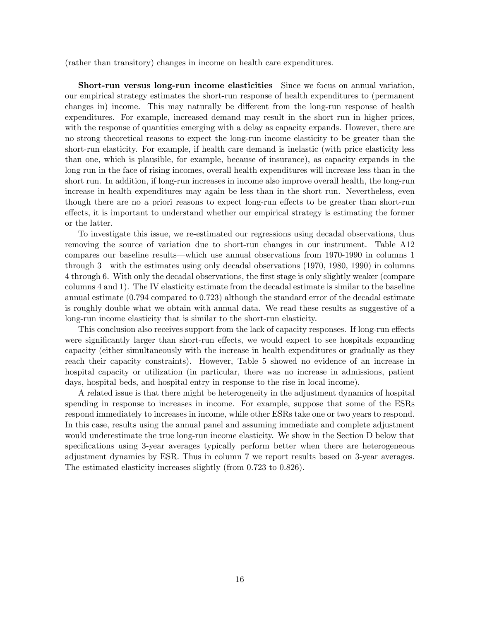(rather than transitory) changes in income on health care expenditures.

Short-run versus long-run income elasticities Since we focus on annual variation, our empirical strategy estimates the short-run response of health expenditures to (permanent changes in) income. This may naturally be different from the long-run response of health expenditures. For example, increased demand may result in the short run in higher prices, with the response of quantities emerging with a delay as capacity expands. However, there are no strong theoretical reasons to expect the long-run income elasticity to be greater than the short-run elasticity. For example, if health care demand is inelastic (with price elasticity less than one, which is plausible, for example, because of insurance), as capacity expands in the long run in the face of rising incomes, overall health expenditures will increase less than in the short run. In addition, if long-run increases in income also improve overall health, the long-run increase in health expenditures may again be less than in the short run. Nevertheless, even though there are no a priori reasons to expect long-run effects to be greater than short-run effects, it is important to understand whether our empirical strategy is estimating the former or the latter.

To investigate this issue, we re-estimated our regressions using decadal observations, thus removing the source of variation due to short-run changes in our instrument. Table A12 compares our baseline results—which use annual observations from 1970-1990 in columns 1 through 3—with the estimates using only decadal observations  $(1970, 1980, 1990)$  in columns 4 through 6. With only the decadal observations, the Örst stage is only slightly weaker (compare columns 4 and 1). The IV elasticity estimate from the decadal estimate is similar to the baseline annual estimate (0.794 compared to 0.723) although the standard error of the decadal estimate is roughly double what we obtain with annual data. We read these results as suggestive of a long-run income elasticity that is similar to the short-run elasticity.

This conclusion also receives support from the lack of capacity responses. If long-run effects were significantly larger than short-run effects, we would expect to see hospitals expanding capacity (either simultaneously with the increase in health expenditures or gradually as they reach their capacity constraints). However, Table 5 showed no evidence of an increase in hospital capacity or utilization (in particular, there was no increase in admissions, patient days, hospital beds, and hospital entry in response to the rise in local income).

A related issue is that there might be heterogeneity in the adjustment dynamics of hospital spending in response to increases in income. For example, suppose that some of the ESRs respond immediately to increases in income, while other ESRs take one or two years to respond. In this case, results using the annual panel and assuming immediate and complete adjustment would underestimate the true long-run income elasticity. We show in the Section D below that specifications using 3-year averages typically perform better when there are heterogeneous adjustment dynamics by ESR. Thus in column 7 we report results based on 3-year averages. The estimated elasticity increases slightly (from 0.723 to 0.826).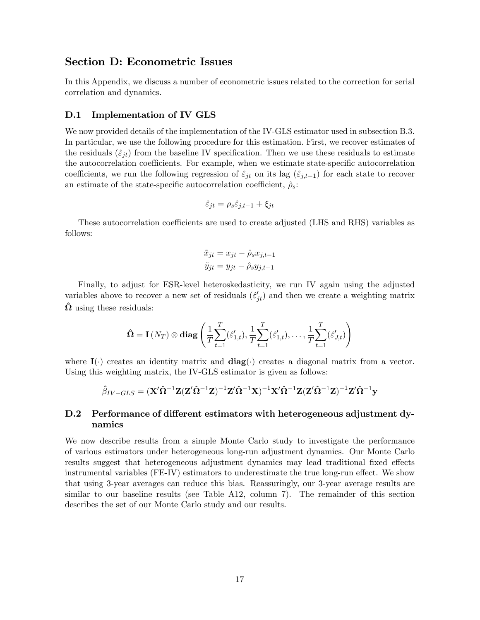### Section D: Econometric Issues

In this Appendix, we discuss a number of econometric issues related to the correction for serial correlation and dynamics.

#### D.1 Implementation of IV GLS

We now provided details of the implementation of the IV-GLS estimator used in subsection B.3. In particular, we use the following procedure for this estimation. First, we recover estimates of the residuals  $(\hat{\varepsilon}_{jt})$  from the baseline IV specification. Then we use these residuals to estimate the autocorrelation coefficients. For example, when we estimate state-specific autocorrelation coefficients, we run the following regression of  $\hat{\varepsilon}_{jt}$  on its lag  $(\hat{\varepsilon}_{j,t-1})$  for each state to recover an estimate of the state-specific autocorrelation coefficient,  $\hat{\rho}_s$ :

$$
\hat{\varepsilon}_{jt} = \rho_s \hat{\varepsilon}_{j,t-1} + \xi_{jt}
$$

These autocorrelation coefficients are used to create adjusted (LHS and RHS) variables as follows:

$$
\tilde{x}_{jt} = x_{jt} - \hat{\rho}_s x_{j,t-1}
$$

$$
\tilde{y}_{jt} = y_{jt} - \hat{\rho}_s y_{j,t-1}
$$

Finally, to adjust for ESR-level heteroskedasticity, we run IV again using the adjusted variables above to recover a new set of residuals  $(\hat{\varepsilon}'_{jt})$  and then we create a weighting matrix  $\hat{\Omega}$  using these residuals:

$$
\hat{\mathbf{\Omega}} = \mathbf{I}(N_T) \otimes \mathbf{diag}\left(\frac{1}{T} \sum_{t=1}^T (\hat{\varepsilon}_{1,t}'), \frac{1}{T} \sum_{t=1}^T (\hat{\varepsilon}_{1,t}'), \dots, \frac{1}{T} \sum_{t=1}^T (\hat{\varepsilon}_{J,t}')\right)
$$

where  $I(\cdot)$  creates an identity matrix and  $diag(\cdot)$  creates a diagonal matrix from a vector. Using this weighting matrix, the IV-GLS estimator is given as follows:

$$
\hat{\beta}_{IV-GLS} = (\mathbf{X}'\hat{\mathbf{\Omega}}^{-1}\mathbf{Z}(\mathbf{Z}'\hat{\mathbf{\Omega}}^{-1}\mathbf{Z})^{-1}\mathbf{Z}'\hat{\mathbf{\Omega}}^{-1}\mathbf{X})^{-1}\mathbf{X}'\hat{\mathbf{\Omega}}^{-1}\mathbf{Z}(\mathbf{Z}'\hat{\mathbf{\Omega}}^{-1}\mathbf{Z})^{-1}\mathbf{Z}'\hat{\mathbf{\Omega}}^{-1}\mathbf{y}
$$

### D.2 Performance of different estimators with heterogeneous adjustment dynamics

We now describe results from a simple Monte Carlo study to investigate the performance of various estimators under heterogeneous long-run adjustment dynamics. Our Monte Carlo results suggest that heterogeneous adjustment dynamics may lead traditional fixed effects instrumental variables (FE-IV) estimators to underestimate the true long-run effect. We show that using 3-year averages can reduce this bias. Reassuringly, our 3-year average results are similar to our baseline results (see Table A12, column 7). The remainder of this section describes the set of our Monte Carlo study and our results.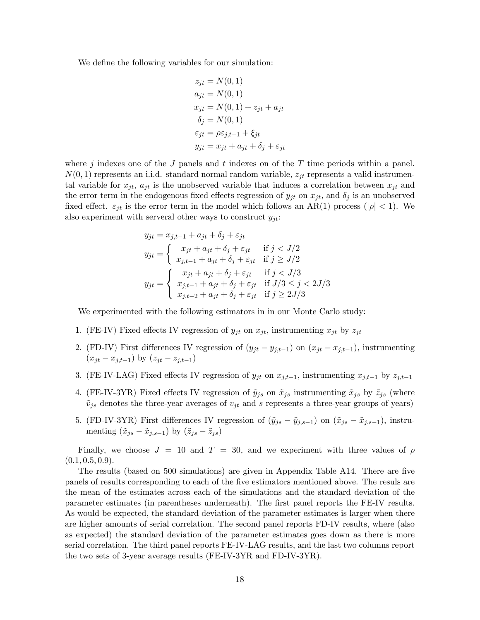We define the following variables for our simulation:

$$
z_{jt} = N(0, 1)
$$
  
\n
$$
a_{jt} = N(0, 1)
$$
  
\n
$$
x_{jt} = N(0, 1) + z_{jt} + a_{jt}
$$
  
\n
$$
\delta_j = N(0, 1)
$$
  
\n
$$
\varepsilon_{jt} = \rho \varepsilon_{j,t-1} + \xi_{jt}
$$
  
\n
$$
y_{jt} = x_{jt} + a_{jt} + \delta_j + \varepsilon_{jt}
$$

where j indexes one of the J panels and t indexes on of the T time periods within a panel.  $N(0, 1)$  represents an i.i.d. standard normal random variable,  $z_{it}$  represents a valid instrumental variable for  $x_{jt}$ ,  $a_{jt}$  is the unobserved variable that induces a correlation between  $x_{jt}$  and the error term in the endogenous fixed effects regression of  $y_{jt}$  on  $x_{jt}$ , and  $\delta_j$  is an unobserved fixed effect.  $\varepsilon_{jt}$  is the error term in the model which follows an AR(1) process ( $|\rho| < 1$ ). We also experiment with serveral other ways to construct  $y_{jt}$ :

$$
y_{jt} = x_{j,t-1} + a_{jt} + \delta_j + \varepsilon_{jt}
$$
  
\n
$$
y_{jt} = \begin{cases} x_{jt} + a_{jt} + \delta_j + \varepsilon_{jt} & \text{if } j < J/2 \\ x_{j,t-1} + a_{jt} + \delta_j + \varepsilon_{jt} & \text{if } j \ge J/2 \end{cases}
$$
  
\n
$$
y_{jt} = \begin{cases} x_{jt} + a_{jt} + \delta_j + \varepsilon_{jt} & \text{if } j < J/3 \\ x_{j,t-1} + a_{jt} + \delta_j + \varepsilon_{jt} & \text{if } J/3 \le j < 2J/3 \\ x_{j,t-2} + a_{jt} + \delta_j + \varepsilon_{jt} & \text{if } j \ge 2J/3 \end{cases}
$$

We experimented with the following estimators in in our Monte Carlo study:

- 1. (FE-IV) Fixed effects IV regression of  $y_{jt}$  on  $x_{jt}$ , instrumenting  $x_{jt}$  by  $z_{jt}$
- 2. (FD-IV) First differences IV regression of  $(y_{jt} y_{j,t-1})$  on  $(x_{jt} x_{j,t-1})$ , instrumenting  $(x_{it} - x_{i,t-1})$  by  $(z_{it} - z_{i,t-1})$
- 3. (FE-IV-LAG) Fixed effects IV regression of  $y_{jt}$  on  $x_{j,t-1}$ , instrumenting  $x_{j,t-1}$  by  $z_{j,t-1}$
- 4. (FE-IV-3YR) Fixed effects IV regression of  $\tilde{y}_{js}$  on  $\tilde{x}_{js}$  instrumenting  $\tilde{x}_{js}$  by  $\tilde{z}_{js}$  (where  $\tilde{v}_{js}$  denotes the three-year averages of  $v_{jt}$  and s represents a three-year groups of years)
- 5. (FD-IV-3YR) First differences IV regression of  $(\tilde{y}_{js} \tilde{y}_{j,s-1})$  on  $(\tilde{x}_{js} \tilde{x}_{j,s-1})$ , instrumenting  $(\tilde{x}_{js} - \tilde{x}_{j,s-1})$  by  $(\tilde{z}_{js} - \tilde{z}_{js})$

Finally, we choose  $J = 10$  and  $T = 30$ , and we experiment with three values of  $\rho$  $(0.1, 0.5, 0.9).$ 

The results (based on 500 simulations) are given in Appendix Table A14. There are five panels of results corresponding to each of the Öve estimators mentioned above. The resuls are the mean of the estimates across each of the simulations and the standard deviation of the parameter estimates (in parentheses underneath). The Örst panel reports the FE-IV results. As would be expected, the standard deviation of the parameter estimates is larger when there are higher amounts of serial correlation. The second panel reports FD-IV results, where (also as expected) the standard deviation of the parameter estimates goes down as there is more serial correlation. The third panel reports FE-IV-LAG results, and the last two columns report the two sets of 3-year average results (FE-IV-3YR and FD-IV-3YR).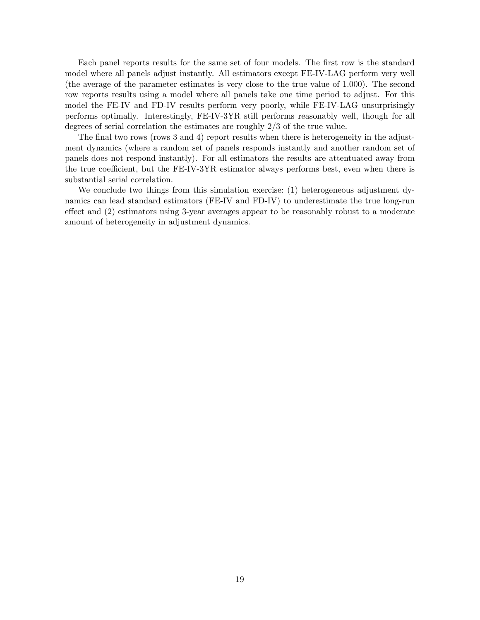Each panel reports results for the same set of four models. The first row is the standard model where all panels adjust instantly. All estimators except FE-IV-LAG perform very well (the average of the parameter estimates is very close to the true value of 1.000). The second row reports results using a model where all panels take one time period to adjust. For this model the FE-IV and FD-IV results perform very poorly, while FE-IV-LAG unsurprisingly performs optimally. Interestingly, FE-IV-3YR still performs reasonably well, though for all degrees of serial correlation the estimates are roughly 2/3 of the true value.

The final two rows (rows 3 and 4) report results when there is heterogeneity in the adjustment dynamics (where a random set of panels responds instantly and another random set of panels does not respond instantly). For all estimators the results are attentuated away from the true coefficient, but the FE-IV-3YR estimator always performs best, even when there is substantial serial correlation.

We conclude two things from this simulation exercise: (1) heterogeneous adjustment dynamics can lead standard estimators (FE-IV and FD-IV) to underestimate the true long-run effect and  $(2)$  estimators using 3-year averages appear to be reasonably robust to a moderate amount of heterogeneity in adjustment dynamics.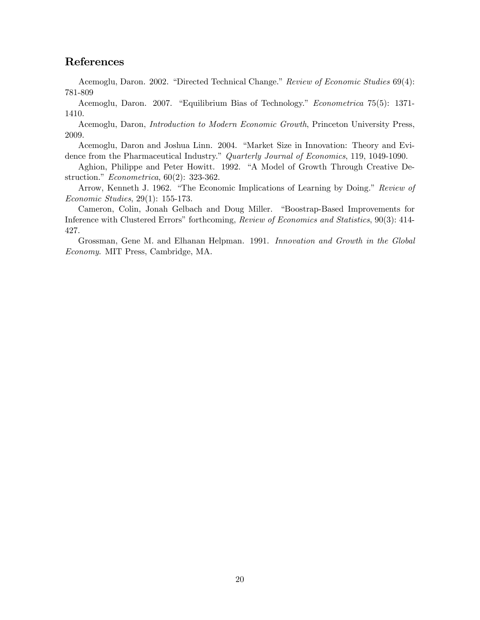# References

Acemoglu, Daron. 2002. "Directed Technical Change." Review of Economic Studies 69(4): 781-809

Acemoglu, Daron. 2007. "Equilibrium Bias of Technology." Econometrica 75(5): 1371-1410.

Acemoglu, Daron, Introduction to Modern Economic Growth, Princeton University Press, 2009.

Acemoglu, Daron and Joshua Linn. 2004. "Market Size in Innovation: Theory and Evidence from the Pharmaceutical Industry." Quarterly Journal of Economics, 119, 1049-1090.

Aghion, Philippe and Peter Howitt. 1992. "A Model of Growth Through Creative Destruction."  $Econometrica$ , 60(2): 323-362.

Arrow, Kenneth J. 1962. "The Economic Implications of Learning by Doing." Review of Economic Studies, 29(1): 155-173.

Cameron, Colin, Jonah Gelbach and Doug Miller. "Boostrap-Based Improvements for Inference with Clustered Errors" forthcoming, Review of Economics and Statistics, 90(3): 414-427.

Grossman, Gene M. and Elhanan Helpman. 1991. Innovation and Growth in the Global Economy. MIT Press, Cambridge, MA.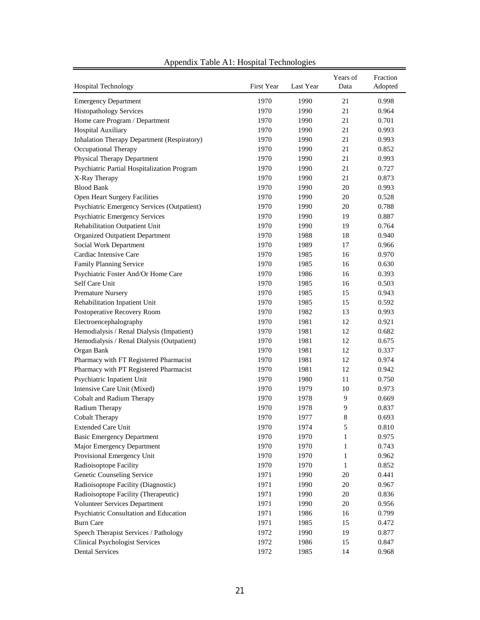| <b>Hospital Technology</b>                  | First Year | Last Year | Years of<br>Data | Fraction<br>Adopted |
|---------------------------------------------|------------|-----------|------------------|---------------------|
| <b>Emergency Department</b>                 | 1970       | 1990      | 21               | 0.998               |
| <b>Histopathology Services</b>              | 1970       | 1990      | 21               | 0.964               |
| Home care Program / Department              | 1970       | 1990      | 21               | 0.701               |
| Hospital Auxiliary                          | 1970       | 1990      | 21               | 0.993               |
| Inhalation Therapy Department (Respiratory) | 1970       | 1990      | 21               | 0.993               |
| Occupational Therapy                        | 1970       | 1990      | 21               | 0.852               |
| <b>Physical Therapy Department</b>          | 1970       | 1990      | 21               | 0.993               |
| Psychiatric Partial Hospitalization Program | 1970       | 1990      | 21               | 0.727               |
| X-Ray Therapy                               | 1970       | 1990      | 21               | 0.873               |
| <b>Blood Bank</b>                           | 1970       | 1990      | 20               | 0.993               |
| Open Heart Surgery Facilities               | 1970       | 1990      | 20               | 0.528               |
| Psychiatric Emergency Services (Outpatient) | 1970       | 1990      | 20               | 0.788               |
| <b>Psychiatric Emergency Services</b>       | 1970       | 1990      | 19               | 0.887               |
| Rehabilitation Outpatient Unit              | 1970       | 1990      | 19               | 0.764               |
| <b>Organized Outpatient Department</b>      | 1970       | 1988      | 18               | 0.940               |
| Social Work Department                      | 1970       | 1989      | 17               | 0.966               |
| Cardiac Intensive Care                      | 1970       | 1985      | 16               | 0.970               |
| Family Planning Service                     | 1970       | 1985      | 16               | 0.630               |
| Psychiatric Foster And/Or Home Care         | 1970       | 1986      | 16               | 0.393               |
| Self Care Unit                              | 1970       | 1985      | 16               | 0.503               |
| <b>Premature Nursery</b>                    | 1970       | 1985      | 15               | 0.943               |
| Rehabilitation Inpatient Unit               | 1970       | 1985      | 15               | 0.592               |
| Postoperative Recovery Room                 | 1970       | 1982      | 13               | 0.993               |
| Electroencephalography                      | 1970       | 1981      | 12               | 0.921               |
| Hemodialysis / Renal Dialysis (Impatient)   | 1970       | 1981      | 12               | 0.682               |
| Hemodialysis / Renal Dialysis (Outpatient)  | 1970       | 1981      | 12               | 0.675               |
| Organ Bank                                  | 1970       | 1981      | 12               | 0.337               |
| Pharmacy with FT Registered Pharmacist      | 1970       | 1981      | 12               | 0.974               |
| Pharmacy with PT Registered Pharmacist      | 1970       | 1981      | 12               | 0.942               |
| Psychiatric Inpatient Unit                  | 1970       | 1980      | 11               | 0.750               |
| Intensive Care Unit (Mixed)                 | 1970       | 1979      | 10               | 0.973               |
| Cobalt and Radium Therapy                   | 1970       | 1978      | 9                | 0.669               |
| Radium Therapy                              | 1970       | 1978      | 9                | 0.837               |
| Cobalt Therapy                              | 1970       | 1977      | 8                | 0.693               |
| Extended Care Unit                          | 1970       | 1974      | 5                | 0.810               |
| <b>Basic Emergency Department</b>           | 1970       | 1970      | 1                | 0.975               |
| Major Emergency Department                  | 1970       | 1970      | $\mathbf{1}$     | 0.743               |
| Provisional Emergency Unit                  | 1970       | 1970      | $\mathbf{1}$     | 0.962               |
| Radioisoptope Facility                      | 1970       | 1970      | $\mathbf{1}$     | 0.852               |
| Genetic Counseling Service                  | 1971       | 1990      | $20\,$           | 0.441               |
| Radioisoptope Facility (Diagnostic)         | 1971       | 1990      | 20               | 0.967               |
| Radioisoptope Facility (Therapeutic)        | 1971       | 1990      | 20               | 0.836               |
| Volunteer Services Department               | 1971       | 1990      | 20               | 0.956               |
| Psychiatric Consultation and Education      | 1971       | 1986      | 16               | 0.799               |
| <b>Burn Care</b>                            | 1971       | 1985      | 15               | 0.472               |
| Speech Therapist Services / Pathology       | 1972       | 1990      | 19               | 0.877               |
| <b>Clinical Psychologist Services</b>       | 1972       | 1986      | 15               | 0.847               |
| <b>Dental Services</b>                      | 1972       | 1985      | 14               | 0.968               |
|                                             |            |           |                  |                     |

# Appendix Table A1: Hospital Technologies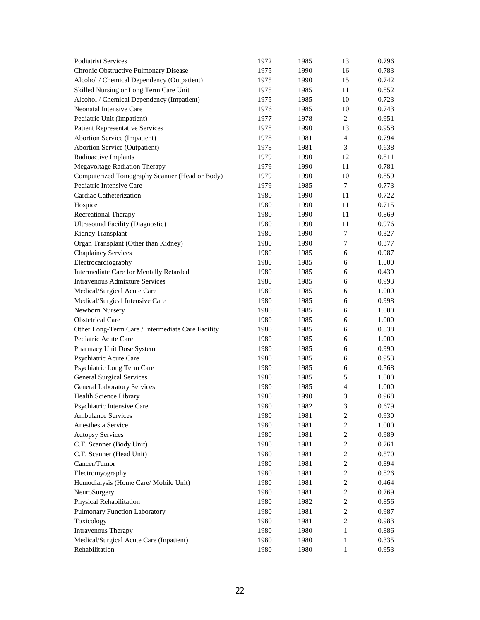| Chronic Obstructive Pulmonary Disease<br>1975<br>1990<br>16<br>0.783<br>Alcohol / Chemical Dependency (Outpatient)<br>1975<br>1990<br>15<br>0.742<br>Skilled Nursing or Long Term Care Unit<br>1975<br>1985<br>11<br>0.852<br>Alcohol / Chemical Dependency (Impatient)<br>1975<br>1985<br>10<br>0.723<br>Neonatal Intensive Care<br>1976<br>1985<br>10<br>0.743<br>1977<br>$\overline{c}$<br>0.951<br>Pediatric Unit (Impatient)<br>1978<br><b>Patient Representative Services</b><br>1978<br>13<br>0.958<br>1990<br><b>Abortion Service (Impatient)</b><br>1978<br>1981<br>$\overline{4}$<br>0.794<br><b>Abortion Service (Outpatient)</b><br>1978<br>1981<br>3<br>0.638<br>Radioactive Implants<br>1979<br>1990<br>0.811<br>12<br>Megavoltage Radiation Therapy<br>0.781<br>1979<br>1990<br>11<br>Computerized Tomography Scanner (Head or Body)<br>10<br>0.859<br>1979<br>1990<br>Pediatric Intensive Care<br>1979<br>7<br>0.773<br>1985<br>Cardiac Catheterization<br>1980<br>1990<br>0.722<br>11<br>1980<br>11<br>0.715<br>Hospice<br>1990<br>Recreational Therapy<br>1980<br>11<br>0.869<br>1990<br><b>Ultrasound Facility (Diagnostic)</b><br>1980<br>0.976<br>1990<br>11<br>$\overline{7}$<br>Kidney Transplant<br>0.327<br>1980<br>1990<br>Organ Transplant (Other than Kidney)<br>1980<br>7<br>0.377<br>1990<br><b>Chaplaincy Services</b><br>1980<br>6<br>0.987<br>1985<br>Electrocardiography<br>1980<br>6<br>1.000<br>1985<br>Intermediate Care for Mentally Retarded<br>1980<br>6<br>1985<br>0.439<br><b>Intravenous Admixture Services</b><br>1980<br>6<br>0.993<br>1985<br>Medical/Surgical Acute Care<br>1980<br>1.000<br>1985<br>6<br>Medical/Surgical Intensive Care<br>1980<br>6<br>0.998<br>1985<br>Newborn Nursery<br>1980<br>1.000<br>1985<br>6<br><b>Obstetrical Care</b><br>1980<br>1.000<br>1985<br>6<br>1980<br>0.838<br>Other Long-Term Care / Intermediate Care Facility<br>1985<br>6<br>Pediatric Acute Care<br>1980<br>6<br>1.000<br>1985<br>0.990<br>Pharmacy Unit Dose System<br>1980<br>1985<br>6<br>Psychiatric Acute Care<br>1980<br>0.953<br>1985<br>6<br>Psychiatric Long Term Care<br>0.568<br>1980<br>1985<br>6<br><b>General Surgical Services</b><br>1980<br>5<br>1.000<br>1985<br><b>General Laboratory Services</b><br>$\overline{4}$<br>1.000<br>1980<br>1985<br>Health Science Library<br>1980<br>1990<br>3<br>0.968<br>3<br>1980<br>1982<br>0.679<br>Psychiatric Intensive Care<br>0.930<br><b>Ambulance Services</b><br>1980<br>1981<br>2<br>Anesthesia Service<br>1980<br>1981<br>$\overline{2}$<br>1.000<br>$\sqrt{2}$<br><b>Autopsy Services</b><br>1980<br>1981<br>0.989<br>C.T. Scanner (Body Unit)<br>1980<br>1981<br>$\overline{2}$<br>0.761<br>C.T. Scanner (Head Unit)<br>1980<br>1981<br>$\overline{2}$<br>0.570<br>Cancer/Tumor<br>2<br>0.894<br>1980<br>1981<br>Electromyography<br>1980<br>2<br>0.826<br>1981<br>Hemodialysis (Home Care/ Mobile Unit)<br>1980<br>2<br>0.464<br>1981<br>$\sqrt{2}$<br>NeuroSurgery<br>1980<br>0.769<br>1981<br>Physical Rehabilitation<br>$\,2$<br>1980<br>0.856<br>1982<br>$\sqrt{2}$<br>Pulmonary Function Laboratory<br>1980<br>0.987<br>1981<br>Toxicology<br>1980<br>$\overline{2}$<br>0.983<br>1981<br><b>Intravenous Therapy</b><br>1980<br>1980<br>0.886<br>1<br>Medical/Surgical Acute Care (Inpatient)<br>1980<br>1980<br>0.335<br>1<br>Rehabilitation<br>1980<br>1980<br>$\mathbf{1}$<br>0.953 | <b>Podiatrist Services</b> | 1972 | 1985 | 13 | 0.796 |
|---------------------------------------------------------------------------------------------------------------------------------------------------------------------------------------------------------------------------------------------------------------------------------------------------------------------------------------------------------------------------------------------------------------------------------------------------------------------------------------------------------------------------------------------------------------------------------------------------------------------------------------------------------------------------------------------------------------------------------------------------------------------------------------------------------------------------------------------------------------------------------------------------------------------------------------------------------------------------------------------------------------------------------------------------------------------------------------------------------------------------------------------------------------------------------------------------------------------------------------------------------------------------------------------------------------------------------------------------------------------------------------------------------------------------------------------------------------------------------------------------------------------------------------------------------------------------------------------------------------------------------------------------------------------------------------------------------------------------------------------------------------------------------------------------------------------------------------------------------------------------------------------------------------------------------------------------------------------------------------------------------------------------------------------------------------------------------------------------------------------------------------------------------------------------------------------------------------------------------------------------------------------------------------------------------------------------------------------------------------------------------------------------------------------------------------------------------------------------------------------------------------------------------------------------------------------------------------------------------------------------------------------------------------------------------------------------------------------------------------------------------------------------------------------------------------------------------------------------------------------------------------------------------------------------------------------------------------------------------------------------------------------------------------------------------------------------------------------------------------------------------------------------------------------------------------------------------------------------------------------------------------------------------------------------------------------------------------------------------------------------------------------------------|----------------------------|------|------|----|-------|
|                                                                                                                                                                                                                                                                                                                                                                                                                                                                                                                                                                                                                                                                                                                                                                                                                                                                                                                                                                                                                                                                                                                                                                                                                                                                                                                                                                                                                                                                                                                                                                                                                                                                                                                                                                                                                                                                                                                                                                                                                                                                                                                                                                                                                                                                                                                                                                                                                                                                                                                                                                                                                                                                                                                                                                                                                                                                                                                                                                                                                                                                                                                                                                                                                                                                                                                                                                                                         |                            |      |      |    |       |
|                                                                                                                                                                                                                                                                                                                                                                                                                                                                                                                                                                                                                                                                                                                                                                                                                                                                                                                                                                                                                                                                                                                                                                                                                                                                                                                                                                                                                                                                                                                                                                                                                                                                                                                                                                                                                                                                                                                                                                                                                                                                                                                                                                                                                                                                                                                                                                                                                                                                                                                                                                                                                                                                                                                                                                                                                                                                                                                                                                                                                                                                                                                                                                                                                                                                                                                                                                                                         |                            |      |      |    |       |
|                                                                                                                                                                                                                                                                                                                                                                                                                                                                                                                                                                                                                                                                                                                                                                                                                                                                                                                                                                                                                                                                                                                                                                                                                                                                                                                                                                                                                                                                                                                                                                                                                                                                                                                                                                                                                                                                                                                                                                                                                                                                                                                                                                                                                                                                                                                                                                                                                                                                                                                                                                                                                                                                                                                                                                                                                                                                                                                                                                                                                                                                                                                                                                                                                                                                                                                                                                                                         |                            |      |      |    |       |
|                                                                                                                                                                                                                                                                                                                                                                                                                                                                                                                                                                                                                                                                                                                                                                                                                                                                                                                                                                                                                                                                                                                                                                                                                                                                                                                                                                                                                                                                                                                                                                                                                                                                                                                                                                                                                                                                                                                                                                                                                                                                                                                                                                                                                                                                                                                                                                                                                                                                                                                                                                                                                                                                                                                                                                                                                                                                                                                                                                                                                                                                                                                                                                                                                                                                                                                                                                                                         |                            |      |      |    |       |
|                                                                                                                                                                                                                                                                                                                                                                                                                                                                                                                                                                                                                                                                                                                                                                                                                                                                                                                                                                                                                                                                                                                                                                                                                                                                                                                                                                                                                                                                                                                                                                                                                                                                                                                                                                                                                                                                                                                                                                                                                                                                                                                                                                                                                                                                                                                                                                                                                                                                                                                                                                                                                                                                                                                                                                                                                                                                                                                                                                                                                                                                                                                                                                                                                                                                                                                                                                                                         |                            |      |      |    |       |
|                                                                                                                                                                                                                                                                                                                                                                                                                                                                                                                                                                                                                                                                                                                                                                                                                                                                                                                                                                                                                                                                                                                                                                                                                                                                                                                                                                                                                                                                                                                                                                                                                                                                                                                                                                                                                                                                                                                                                                                                                                                                                                                                                                                                                                                                                                                                                                                                                                                                                                                                                                                                                                                                                                                                                                                                                                                                                                                                                                                                                                                                                                                                                                                                                                                                                                                                                                                                         |                            |      |      |    |       |
|                                                                                                                                                                                                                                                                                                                                                                                                                                                                                                                                                                                                                                                                                                                                                                                                                                                                                                                                                                                                                                                                                                                                                                                                                                                                                                                                                                                                                                                                                                                                                                                                                                                                                                                                                                                                                                                                                                                                                                                                                                                                                                                                                                                                                                                                                                                                                                                                                                                                                                                                                                                                                                                                                                                                                                                                                                                                                                                                                                                                                                                                                                                                                                                                                                                                                                                                                                                                         |                            |      |      |    |       |
|                                                                                                                                                                                                                                                                                                                                                                                                                                                                                                                                                                                                                                                                                                                                                                                                                                                                                                                                                                                                                                                                                                                                                                                                                                                                                                                                                                                                                                                                                                                                                                                                                                                                                                                                                                                                                                                                                                                                                                                                                                                                                                                                                                                                                                                                                                                                                                                                                                                                                                                                                                                                                                                                                                                                                                                                                                                                                                                                                                                                                                                                                                                                                                                                                                                                                                                                                                                                         |                            |      |      |    |       |
|                                                                                                                                                                                                                                                                                                                                                                                                                                                                                                                                                                                                                                                                                                                                                                                                                                                                                                                                                                                                                                                                                                                                                                                                                                                                                                                                                                                                                                                                                                                                                                                                                                                                                                                                                                                                                                                                                                                                                                                                                                                                                                                                                                                                                                                                                                                                                                                                                                                                                                                                                                                                                                                                                                                                                                                                                                                                                                                                                                                                                                                                                                                                                                                                                                                                                                                                                                                                         |                            |      |      |    |       |
|                                                                                                                                                                                                                                                                                                                                                                                                                                                                                                                                                                                                                                                                                                                                                                                                                                                                                                                                                                                                                                                                                                                                                                                                                                                                                                                                                                                                                                                                                                                                                                                                                                                                                                                                                                                                                                                                                                                                                                                                                                                                                                                                                                                                                                                                                                                                                                                                                                                                                                                                                                                                                                                                                                                                                                                                                                                                                                                                                                                                                                                                                                                                                                                                                                                                                                                                                                                                         |                            |      |      |    |       |
|                                                                                                                                                                                                                                                                                                                                                                                                                                                                                                                                                                                                                                                                                                                                                                                                                                                                                                                                                                                                                                                                                                                                                                                                                                                                                                                                                                                                                                                                                                                                                                                                                                                                                                                                                                                                                                                                                                                                                                                                                                                                                                                                                                                                                                                                                                                                                                                                                                                                                                                                                                                                                                                                                                                                                                                                                                                                                                                                                                                                                                                                                                                                                                                                                                                                                                                                                                                                         |                            |      |      |    |       |
|                                                                                                                                                                                                                                                                                                                                                                                                                                                                                                                                                                                                                                                                                                                                                                                                                                                                                                                                                                                                                                                                                                                                                                                                                                                                                                                                                                                                                                                                                                                                                                                                                                                                                                                                                                                                                                                                                                                                                                                                                                                                                                                                                                                                                                                                                                                                                                                                                                                                                                                                                                                                                                                                                                                                                                                                                                                                                                                                                                                                                                                                                                                                                                                                                                                                                                                                                                                                         |                            |      |      |    |       |
|                                                                                                                                                                                                                                                                                                                                                                                                                                                                                                                                                                                                                                                                                                                                                                                                                                                                                                                                                                                                                                                                                                                                                                                                                                                                                                                                                                                                                                                                                                                                                                                                                                                                                                                                                                                                                                                                                                                                                                                                                                                                                                                                                                                                                                                                                                                                                                                                                                                                                                                                                                                                                                                                                                                                                                                                                                                                                                                                                                                                                                                                                                                                                                                                                                                                                                                                                                                                         |                            |      |      |    |       |
|                                                                                                                                                                                                                                                                                                                                                                                                                                                                                                                                                                                                                                                                                                                                                                                                                                                                                                                                                                                                                                                                                                                                                                                                                                                                                                                                                                                                                                                                                                                                                                                                                                                                                                                                                                                                                                                                                                                                                                                                                                                                                                                                                                                                                                                                                                                                                                                                                                                                                                                                                                                                                                                                                                                                                                                                                                                                                                                                                                                                                                                                                                                                                                                                                                                                                                                                                                                                         |                            |      |      |    |       |
|                                                                                                                                                                                                                                                                                                                                                                                                                                                                                                                                                                                                                                                                                                                                                                                                                                                                                                                                                                                                                                                                                                                                                                                                                                                                                                                                                                                                                                                                                                                                                                                                                                                                                                                                                                                                                                                                                                                                                                                                                                                                                                                                                                                                                                                                                                                                                                                                                                                                                                                                                                                                                                                                                                                                                                                                                                                                                                                                                                                                                                                                                                                                                                                                                                                                                                                                                                                                         |                            |      |      |    |       |
|                                                                                                                                                                                                                                                                                                                                                                                                                                                                                                                                                                                                                                                                                                                                                                                                                                                                                                                                                                                                                                                                                                                                                                                                                                                                                                                                                                                                                                                                                                                                                                                                                                                                                                                                                                                                                                                                                                                                                                                                                                                                                                                                                                                                                                                                                                                                                                                                                                                                                                                                                                                                                                                                                                                                                                                                                                                                                                                                                                                                                                                                                                                                                                                                                                                                                                                                                                                                         |                            |      |      |    |       |
|                                                                                                                                                                                                                                                                                                                                                                                                                                                                                                                                                                                                                                                                                                                                                                                                                                                                                                                                                                                                                                                                                                                                                                                                                                                                                                                                                                                                                                                                                                                                                                                                                                                                                                                                                                                                                                                                                                                                                                                                                                                                                                                                                                                                                                                                                                                                                                                                                                                                                                                                                                                                                                                                                                                                                                                                                                                                                                                                                                                                                                                                                                                                                                                                                                                                                                                                                                                                         |                            |      |      |    |       |
|                                                                                                                                                                                                                                                                                                                                                                                                                                                                                                                                                                                                                                                                                                                                                                                                                                                                                                                                                                                                                                                                                                                                                                                                                                                                                                                                                                                                                                                                                                                                                                                                                                                                                                                                                                                                                                                                                                                                                                                                                                                                                                                                                                                                                                                                                                                                                                                                                                                                                                                                                                                                                                                                                                                                                                                                                                                                                                                                                                                                                                                                                                                                                                                                                                                                                                                                                                                                         |                            |      |      |    |       |
|                                                                                                                                                                                                                                                                                                                                                                                                                                                                                                                                                                                                                                                                                                                                                                                                                                                                                                                                                                                                                                                                                                                                                                                                                                                                                                                                                                                                                                                                                                                                                                                                                                                                                                                                                                                                                                                                                                                                                                                                                                                                                                                                                                                                                                                                                                                                                                                                                                                                                                                                                                                                                                                                                                                                                                                                                                                                                                                                                                                                                                                                                                                                                                                                                                                                                                                                                                                                         |                            |      |      |    |       |
|                                                                                                                                                                                                                                                                                                                                                                                                                                                                                                                                                                                                                                                                                                                                                                                                                                                                                                                                                                                                                                                                                                                                                                                                                                                                                                                                                                                                                                                                                                                                                                                                                                                                                                                                                                                                                                                                                                                                                                                                                                                                                                                                                                                                                                                                                                                                                                                                                                                                                                                                                                                                                                                                                                                                                                                                                                                                                                                                                                                                                                                                                                                                                                                                                                                                                                                                                                                                         |                            |      |      |    |       |
|                                                                                                                                                                                                                                                                                                                                                                                                                                                                                                                                                                                                                                                                                                                                                                                                                                                                                                                                                                                                                                                                                                                                                                                                                                                                                                                                                                                                                                                                                                                                                                                                                                                                                                                                                                                                                                                                                                                                                                                                                                                                                                                                                                                                                                                                                                                                                                                                                                                                                                                                                                                                                                                                                                                                                                                                                                                                                                                                                                                                                                                                                                                                                                                                                                                                                                                                                                                                         |                            |      |      |    |       |
|                                                                                                                                                                                                                                                                                                                                                                                                                                                                                                                                                                                                                                                                                                                                                                                                                                                                                                                                                                                                                                                                                                                                                                                                                                                                                                                                                                                                                                                                                                                                                                                                                                                                                                                                                                                                                                                                                                                                                                                                                                                                                                                                                                                                                                                                                                                                                                                                                                                                                                                                                                                                                                                                                                                                                                                                                                                                                                                                                                                                                                                                                                                                                                                                                                                                                                                                                                                                         |                            |      |      |    |       |
|                                                                                                                                                                                                                                                                                                                                                                                                                                                                                                                                                                                                                                                                                                                                                                                                                                                                                                                                                                                                                                                                                                                                                                                                                                                                                                                                                                                                                                                                                                                                                                                                                                                                                                                                                                                                                                                                                                                                                                                                                                                                                                                                                                                                                                                                                                                                                                                                                                                                                                                                                                                                                                                                                                                                                                                                                                                                                                                                                                                                                                                                                                                                                                                                                                                                                                                                                                                                         |                            |      |      |    |       |
|                                                                                                                                                                                                                                                                                                                                                                                                                                                                                                                                                                                                                                                                                                                                                                                                                                                                                                                                                                                                                                                                                                                                                                                                                                                                                                                                                                                                                                                                                                                                                                                                                                                                                                                                                                                                                                                                                                                                                                                                                                                                                                                                                                                                                                                                                                                                                                                                                                                                                                                                                                                                                                                                                                                                                                                                                                                                                                                                                                                                                                                                                                                                                                                                                                                                                                                                                                                                         |                            |      |      |    |       |
|                                                                                                                                                                                                                                                                                                                                                                                                                                                                                                                                                                                                                                                                                                                                                                                                                                                                                                                                                                                                                                                                                                                                                                                                                                                                                                                                                                                                                                                                                                                                                                                                                                                                                                                                                                                                                                                                                                                                                                                                                                                                                                                                                                                                                                                                                                                                                                                                                                                                                                                                                                                                                                                                                                                                                                                                                                                                                                                                                                                                                                                                                                                                                                                                                                                                                                                                                                                                         |                            |      |      |    |       |
|                                                                                                                                                                                                                                                                                                                                                                                                                                                                                                                                                                                                                                                                                                                                                                                                                                                                                                                                                                                                                                                                                                                                                                                                                                                                                                                                                                                                                                                                                                                                                                                                                                                                                                                                                                                                                                                                                                                                                                                                                                                                                                                                                                                                                                                                                                                                                                                                                                                                                                                                                                                                                                                                                                                                                                                                                                                                                                                                                                                                                                                                                                                                                                                                                                                                                                                                                                                                         |                            |      |      |    |       |
|                                                                                                                                                                                                                                                                                                                                                                                                                                                                                                                                                                                                                                                                                                                                                                                                                                                                                                                                                                                                                                                                                                                                                                                                                                                                                                                                                                                                                                                                                                                                                                                                                                                                                                                                                                                                                                                                                                                                                                                                                                                                                                                                                                                                                                                                                                                                                                                                                                                                                                                                                                                                                                                                                                                                                                                                                                                                                                                                                                                                                                                                                                                                                                                                                                                                                                                                                                                                         |                            |      |      |    |       |
|                                                                                                                                                                                                                                                                                                                                                                                                                                                                                                                                                                                                                                                                                                                                                                                                                                                                                                                                                                                                                                                                                                                                                                                                                                                                                                                                                                                                                                                                                                                                                                                                                                                                                                                                                                                                                                                                                                                                                                                                                                                                                                                                                                                                                                                                                                                                                                                                                                                                                                                                                                                                                                                                                                                                                                                                                                                                                                                                                                                                                                                                                                                                                                                                                                                                                                                                                                                                         |                            |      |      |    |       |
|                                                                                                                                                                                                                                                                                                                                                                                                                                                                                                                                                                                                                                                                                                                                                                                                                                                                                                                                                                                                                                                                                                                                                                                                                                                                                                                                                                                                                                                                                                                                                                                                                                                                                                                                                                                                                                                                                                                                                                                                                                                                                                                                                                                                                                                                                                                                                                                                                                                                                                                                                                                                                                                                                                                                                                                                                                                                                                                                                                                                                                                                                                                                                                                                                                                                                                                                                                                                         |                            |      |      |    |       |
|                                                                                                                                                                                                                                                                                                                                                                                                                                                                                                                                                                                                                                                                                                                                                                                                                                                                                                                                                                                                                                                                                                                                                                                                                                                                                                                                                                                                                                                                                                                                                                                                                                                                                                                                                                                                                                                                                                                                                                                                                                                                                                                                                                                                                                                                                                                                                                                                                                                                                                                                                                                                                                                                                                                                                                                                                                                                                                                                                                                                                                                                                                                                                                                                                                                                                                                                                                                                         |                            |      |      |    |       |
|                                                                                                                                                                                                                                                                                                                                                                                                                                                                                                                                                                                                                                                                                                                                                                                                                                                                                                                                                                                                                                                                                                                                                                                                                                                                                                                                                                                                                                                                                                                                                                                                                                                                                                                                                                                                                                                                                                                                                                                                                                                                                                                                                                                                                                                                                                                                                                                                                                                                                                                                                                                                                                                                                                                                                                                                                                                                                                                                                                                                                                                                                                                                                                                                                                                                                                                                                                                                         |                            |      |      |    |       |
|                                                                                                                                                                                                                                                                                                                                                                                                                                                                                                                                                                                                                                                                                                                                                                                                                                                                                                                                                                                                                                                                                                                                                                                                                                                                                                                                                                                                                                                                                                                                                                                                                                                                                                                                                                                                                                                                                                                                                                                                                                                                                                                                                                                                                                                                                                                                                                                                                                                                                                                                                                                                                                                                                                                                                                                                                                                                                                                                                                                                                                                                                                                                                                                                                                                                                                                                                                                                         |                            |      |      |    |       |
|                                                                                                                                                                                                                                                                                                                                                                                                                                                                                                                                                                                                                                                                                                                                                                                                                                                                                                                                                                                                                                                                                                                                                                                                                                                                                                                                                                                                                                                                                                                                                                                                                                                                                                                                                                                                                                                                                                                                                                                                                                                                                                                                                                                                                                                                                                                                                                                                                                                                                                                                                                                                                                                                                                                                                                                                                                                                                                                                                                                                                                                                                                                                                                                                                                                                                                                                                                                                         |                            |      |      |    |       |
|                                                                                                                                                                                                                                                                                                                                                                                                                                                                                                                                                                                                                                                                                                                                                                                                                                                                                                                                                                                                                                                                                                                                                                                                                                                                                                                                                                                                                                                                                                                                                                                                                                                                                                                                                                                                                                                                                                                                                                                                                                                                                                                                                                                                                                                                                                                                                                                                                                                                                                                                                                                                                                                                                                                                                                                                                                                                                                                                                                                                                                                                                                                                                                                                                                                                                                                                                                                                         |                            |      |      |    |       |
|                                                                                                                                                                                                                                                                                                                                                                                                                                                                                                                                                                                                                                                                                                                                                                                                                                                                                                                                                                                                                                                                                                                                                                                                                                                                                                                                                                                                                                                                                                                                                                                                                                                                                                                                                                                                                                                                                                                                                                                                                                                                                                                                                                                                                                                                                                                                                                                                                                                                                                                                                                                                                                                                                                                                                                                                                                                                                                                                                                                                                                                                                                                                                                                                                                                                                                                                                                                                         |                            |      |      |    |       |
|                                                                                                                                                                                                                                                                                                                                                                                                                                                                                                                                                                                                                                                                                                                                                                                                                                                                                                                                                                                                                                                                                                                                                                                                                                                                                                                                                                                                                                                                                                                                                                                                                                                                                                                                                                                                                                                                                                                                                                                                                                                                                                                                                                                                                                                                                                                                                                                                                                                                                                                                                                                                                                                                                                                                                                                                                                                                                                                                                                                                                                                                                                                                                                                                                                                                                                                                                                                                         |                            |      |      |    |       |
|                                                                                                                                                                                                                                                                                                                                                                                                                                                                                                                                                                                                                                                                                                                                                                                                                                                                                                                                                                                                                                                                                                                                                                                                                                                                                                                                                                                                                                                                                                                                                                                                                                                                                                                                                                                                                                                                                                                                                                                                                                                                                                                                                                                                                                                                                                                                                                                                                                                                                                                                                                                                                                                                                                                                                                                                                                                                                                                                                                                                                                                                                                                                                                                                                                                                                                                                                                                                         |                            |      |      |    |       |
|                                                                                                                                                                                                                                                                                                                                                                                                                                                                                                                                                                                                                                                                                                                                                                                                                                                                                                                                                                                                                                                                                                                                                                                                                                                                                                                                                                                                                                                                                                                                                                                                                                                                                                                                                                                                                                                                                                                                                                                                                                                                                                                                                                                                                                                                                                                                                                                                                                                                                                                                                                                                                                                                                                                                                                                                                                                                                                                                                                                                                                                                                                                                                                                                                                                                                                                                                                                                         |                            |      |      |    |       |
|                                                                                                                                                                                                                                                                                                                                                                                                                                                                                                                                                                                                                                                                                                                                                                                                                                                                                                                                                                                                                                                                                                                                                                                                                                                                                                                                                                                                                                                                                                                                                                                                                                                                                                                                                                                                                                                                                                                                                                                                                                                                                                                                                                                                                                                                                                                                                                                                                                                                                                                                                                                                                                                                                                                                                                                                                                                                                                                                                                                                                                                                                                                                                                                                                                                                                                                                                                                                         |                            |      |      |    |       |
|                                                                                                                                                                                                                                                                                                                                                                                                                                                                                                                                                                                                                                                                                                                                                                                                                                                                                                                                                                                                                                                                                                                                                                                                                                                                                                                                                                                                                                                                                                                                                                                                                                                                                                                                                                                                                                                                                                                                                                                                                                                                                                                                                                                                                                                                                                                                                                                                                                                                                                                                                                                                                                                                                                                                                                                                                                                                                                                                                                                                                                                                                                                                                                                                                                                                                                                                                                                                         |                            |      |      |    |       |
|                                                                                                                                                                                                                                                                                                                                                                                                                                                                                                                                                                                                                                                                                                                                                                                                                                                                                                                                                                                                                                                                                                                                                                                                                                                                                                                                                                                                                                                                                                                                                                                                                                                                                                                                                                                                                                                                                                                                                                                                                                                                                                                                                                                                                                                                                                                                                                                                                                                                                                                                                                                                                                                                                                                                                                                                                                                                                                                                                                                                                                                                                                                                                                                                                                                                                                                                                                                                         |                            |      |      |    |       |
|                                                                                                                                                                                                                                                                                                                                                                                                                                                                                                                                                                                                                                                                                                                                                                                                                                                                                                                                                                                                                                                                                                                                                                                                                                                                                                                                                                                                                                                                                                                                                                                                                                                                                                                                                                                                                                                                                                                                                                                                                                                                                                                                                                                                                                                                                                                                                                                                                                                                                                                                                                                                                                                                                                                                                                                                                                                                                                                                                                                                                                                                                                                                                                                                                                                                                                                                                                                                         |                            |      |      |    |       |
|                                                                                                                                                                                                                                                                                                                                                                                                                                                                                                                                                                                                                                                                                                                                                                                                                                                                                                                                                                                                                                                                                                                                                                                                                                                                                                                                                                                                                                                                                                                                                                                                                                                                                                                                                                                                                                                                                                                                                                                                                                                                                                                                                                                                                                                                                                                                                                                                                                                                                                                                                                                                                                                                                                                                                                                                                                                                                                                                                                                                                                                                                                                                                                                                                                                                                                                                                                                                         |                            |      |      |    |       |
|                                                                                                                                                                                                                                                                                                                                                                                                                                                                                                                                                                                                                                                                                                                                                                                                                                                                                                                                                                                                                                                                                                                                                                                                                                                                                                                                                                                                                                                                                                                                                                                                                                                                                                                                                                                                                                                                                                                                                                                                                                                                                                                                                                                                                                                                                                                                                                                                                                                                                                                                                                                                                                                                                                                                                                                                                                                                                                                                                                                                                                                                                                                                                                                                                                                                                                                                                                                                         |                            |      |      |    |       |
|                                                                                                                                                                                                                                                                                                                                                                                                                                                                                                                                                                                                                                                                                                                                                                                                                                                                                                                                                                                                                                                                                                                                                                                                                                                                                                                                                                                                                                                                                                                                                                                                                                                                                                                                                                                                                                                                                                                                                                                                                                                                                                                                                                                                                                                                                                                                                                                                                                                                                                                                                                                                                                                                                                                                                                                                                                                                                                                                                                                                                                                                                                                                                                                                                                                                                                                                                                                                         |                            |      |      |    |       |
|                                                                                                                                                                                                                                                                                                                                                                                                                                                                                                                                                                                                                                                                                                                                                                                                                                                                                                                                                                                                                                                                                                                                                                                                                                                                                                                                                                                                                                                                                                                                                                                                                                                                                                                                                                                                                                                                                                                                                                                                                                                                                                                                                                                                                                                                                                                                                                                                                                                                                                                                                                                                                                                                                                                                                                                                                                                                                                                                                                                                                                                                                                                                                                                                                                                                                                                                                                                                         |                            |      |      |    |       |
|                                                                                                                                                                                                                                                                                                                                                                                                                                                                                                                                                                                                                                                                                                                                                                                                                                                                                                                                                                                                                                                                                                                                                                                                                                                                                                                                                                                                                                                                                                                                                                                                                                                                                                                                                                                                                                                                                                                                                                                                                                                                                                                                                                                                                                                                                                                                                                                                                                                                                                                                                                                                                                                                                                                                                                                                                                                                                                                                                                                                                                                                                                                                                                                                                                                                                                                                                                                                         |                            |      |      |    |       |
|                                                                                                                                                                                                                                                                                                                                                                                                                                                                                                                                                                                                                                                                                                                                                                                                                                                                                                                                                                                                                                                                                                                                                                                                                                                                                                                                                                                                                                                                                                                                                                                                                                                                                                                                                                                                                                                                                                                                                                                                                                                                                                                                                                                                                                                                                                                                                                                                                                                                                                                                                                                                                                                                                                                                                                                                                                                                                                                                                                                                                                                                                                                                                                                                                                                                                                                                                                                                         |                            |      |      |    |       |
|                                                                                                                                                                                                                                                                                                                                                                                                                                                                                                                                                                                                                                                                                                                                                                                                                                                                                                                                                                                                                                                                                                                                                                                                                                                                                                                                                                                                                                                                                                                                                                                                                                                                                                                                                                                                                                                                                                                                                                                                                                                                                                                                                                                                                                                                                                                                                                                                                                                                                                                                                                                                                                                                                                                                                                                                                                                                                                                                                                                                                                                                                                                                                                                                                                                                                                                                                                                                         |                            |      |      |    |       |
|                                                                                                                                                                                                                                                                                                                                                                                                                                                                                                                                                                                                                                                                                                                                                                                                                                                                                                                                                                                                                                                                                                                                                                                                                                                                                                                                                                                                                                                                                                                                                                                                                                                                                                                                                                                                                                                                                                                                                                                                                                                                                                                                                                                                                                                                                                                                                                                                                                                                                                                                                                                                                                                                                                                                                                                                                                                                                                                                                                                                                                                                                                                                                                                                                                                                                                                                                                                                         |                            |      |      |    |       |
|                                                                                                                                                                                                                                                                                                                                                                                                                                                                                                                                                                                                                                                                                                                                                                                                                                                                                                                                                                                                                                                                                                                                                                                                                                                                                                                                                                                                                                                                                                                                                                                                                                                                                                                                                                                                                                                                                                                                                                                                                                                                                                                                                                                                                                                                                                                                                                                                                                                                                                                                                                                                                                                                                                                                                                                                                                                                                                                                                                                                                                                                                                                                                                                                                                                                                                                                                                                                         |                            |      |      |    |       |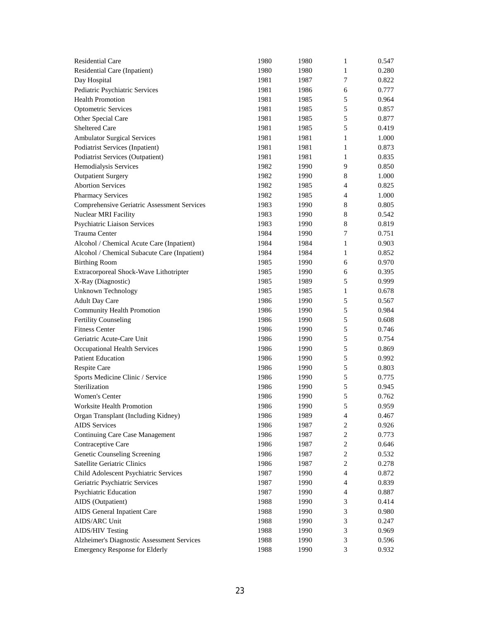| <b>Residential Care</b>                      | 1980 | 1980 | 1                | 0.547 |
|----------------------------------------------|------|------|------------------|-------|
| Residential Care (Inpatient)                 | 1980 | 1980 | 1                | 0.280 |
| Day Hospital                                 | 1981 | 1987 | 7                | 0.822 |
| Pediatric Psychiatric Services               | 1981 | 1986 | 6                | 0.777 |
| <b>Health Promotion</b>                      | 1981 | 1985 | 5                | 0.964 |
| <b>Optometric Services</b>                   | 1981 | 1985 | 5                | 0.857 |
| Other Special Care                           | 1981 | 1985 | 5                | 0.877 |
| Sheltered Care                               | 1981 | 1985 | 5                | 0.419 |
| <b>Ambulator Surgical Services</b>           | 1981 | 1981 | 1                | 1.000 |
| Podiatrist Services (Inpatient)              | 1981 | 1981 | 1                | 0.873 |
| Podiatrist Services (Outpatient)             | 1981 | 1981 | 1                | 0.835 |
| Hemodialysis Services                        | 1982 | 1990 | 9                | 0.850 |
| <b>Outpatient Surgery</b>                    | 1982 | 1990 | 8                | 1.000 |
| <b>Abortion Services</b>                     | 1982 | 1985 | 4                | 0.825 |
| <b>Pharmacy Services</b>                     | 1982 | 1985 | 4                | 1.000 |
| Comprehensive Geriatric Assessment Services  | 1983 | 1990 | 8                | 0.805 |
| Nuclear MRI Facility                         | 1983 | 1990 | 8                | 0.542 |
| Psychiatric Liaison Services                 | 1983 | 1990 | 8                | 0.819 |
| Trauma Center                                | 1984 | 1990 | 7                | 0.751 |
| Alcohol / Chemical Acute Care (Inpatient)    | 1984 | 1984 | 1                | 0.903 |
| Alcohol / Chemical Subacute Care (Inpatient) | 1984 | 1984 | 1                | 0.852 |
| <b>Birthing Room</b>                         | 1985 | 1990 | 6                | 0.970 |
| Extracorporeal Shock-Wave Lithotripter       | 1985 | 1990 | 6                | 0.395 |
| X-Ray (Diagnostic)                           | 1985 | 1989 | 5                | 0.999 |
| <b>Unknown Technology</b>                    | 1985 | 1985 | 1                | 0.678 |
| <b>Adult Day Care</b>                        | 1986 | 1990 | 5                | 0.567 |
| <b>Community Health Promotion</b>            | 1986 | 1990 | 5                | 0.984 |
| <b>Fertility Counseling</b>                  | 1986 | 1990 | 5                | 0.608 |
| <b>Fitness Center</b>                        | 1986 | 1990 | 5                | 0.746 |
| Geriatric Acute-Care Unit                    | 1986 | 1990 | 5                | 0.754 |
| Occupational Health Services                 | 1986 | 1990 | 5                | 0.869 |
| <b>Patient Education</b>                     | 1986 | 1990 | 5                | 0.992 |
| Respite Care                                 | 1986 | 1990 | 5                | 0.803 |
| Sports Medicine Clinic / Service             | 1986 | 1990 | 5                | 0.775 |
| Sterilization                                | 1986 | 1990 | 5                | 0.945 |
| <b>Women's Center</b>                        | 1986 | 1990 | 5                | 0.762 |
| Worksite Health Promotion                    | 1986 | 1990 | 5                | 0.959 |
| Organ Transplant (Including Kidney)          | 1986 | 1989 | 4                | 0.467 |
| <b>AIDS</b> Services                         | 1986 | 1987 | $\overline{c}$   | 0.926 |
| <b>Continuing Care Case Management</b>       | 1986 | 1987 | $\boldsymbol{2}$ | 0.773 |
| Contraceptive Care                           | 1986 | 1987 | 2                | 0.646 |
| <b>Genetic Counseling Screening</b>          | 1986 | 1987 | 2                | 0.532 |
| Satellite Geriatric Clinics                  | 1986 | 1987 | $\boldsymbol{2}$ | 0.278 |
| Child Adolescent Psychiatric Services        | 1987 | 1990 | $\overline{4}$   | 0.872 |
| Geriatric Psychiatric Services               | 1987 | 1990 | $\overline{4}$   | 0.839 |
| Psychiatric Education                        | 1987 | 1990 | $\overline{4}$   | 0.887 |
| AIDS (Outpatient)                            | 1988 | 1990 | 3                | 0.414 |
| AIDS General Inpatient Care                  | 1988 | 1990 | 3                | 0.980 |
| AIDS/ARC Unit                                | 1988 | 1990 | 3                | 0.247 |
| <b>AIDS/HIV Testing</b>                      | 1988 | 1990 | 3                | 0.969 |
| Alzheimer's Diagnostic Assessment Services   | 1988 | 1990 | 3                | 0.596 |
| <b>Emergency Response for Elderly</b>        | 1988 | 1990 | 3                | 0.932 |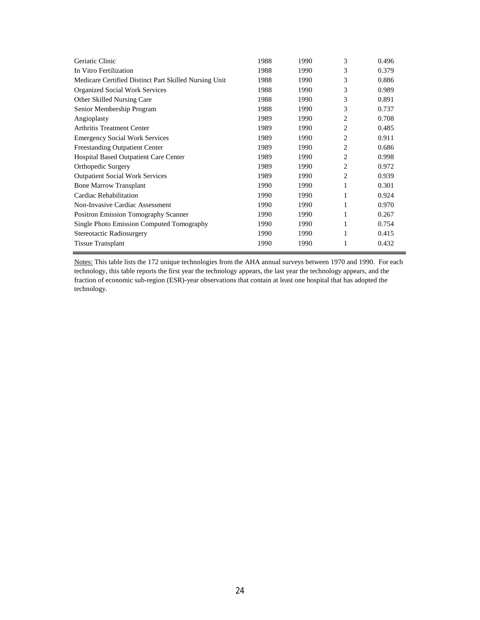| Geriatic Clinic                                       | 1988 | 1990 | 3              | 0.496 |
|-------------------------------------------------------|------|------|----------------|-------|
| In Vitro Fertilization                                | 1988 | 1990 | 3              | 0.379 |
| Medicare Certified Distinct Part Skilled Nursing Unit | 1988 | 1990 | 3              | 0.886 |
| Organized Social Work Services                        | 1988 | 1990 | 3              | 0.989 |
| Other Skilled Nursing Care                            | 1988 | 1990 | 3              | 0.891 |
| Senior Membership Program                             | 1988 | 1990 | 3              | 0.737 |
| Angioplasty                                           | 1989 | 1990 | 2              | 0.708 |
| <b>Arthritis Treatment Center</b>                     | 1989 | 1990 | 2              | 0.485 |
| <b>Emergency Social Work Services</b>                 | 1989 | 1990 | 2              | 0.911 |
| <b>Freestanding Outpatient Center</b>                 | 1989 | 1990 | $\overline{c}$ | 0.686 |
| <b>Hospital Based Outpatient Care Center</b>          | 1989 | 1990 | 2              | 0.998 |
| Orthopedic Surgery                                    | 1989 | 1990 | $\overline{c}$ | 0.972 |
| <b>Outpatient Social Work Services</b>                | 1989 | 1990 | 2              | 0.939 |
| <b>Bone Marrow Transplant</b>                         | 1990 | 1990 | 1              | 0.301 |
| Cardiac Rehabilitation                                | 1990 | 1990 | 1              | 0.924 |
| <b>Non-Invasive Cardiac Assessment</b>                | 1990 | 1990 | 1              | 0.970 |
| <b>Positron Emission Tomography Scanner</b>           | 1990 | 1990 | 1              | 0.267 |
| <b>Single Photo Emission Computed Tomography</b>      | 1990 | 1990 | 1              | 0.754 |
| Stereotactic Radiosurgery                             | 1990 | 1990 | 1              | 0.415 |
| <b>Tissue Transplant</b>                              | 1990 | 1990 |                | 0.432 |
|                                                       |      |      |                |       |

Notes: This table lists the 172 unique technologies from the AHA annual surveys between 1970 and 1990. For each technology, this table reports the first year the technology appears, the last year the technology appears, and the fraction of economic sub-region (ESR)-year observations that contain at least one hospital that has adopted the technology.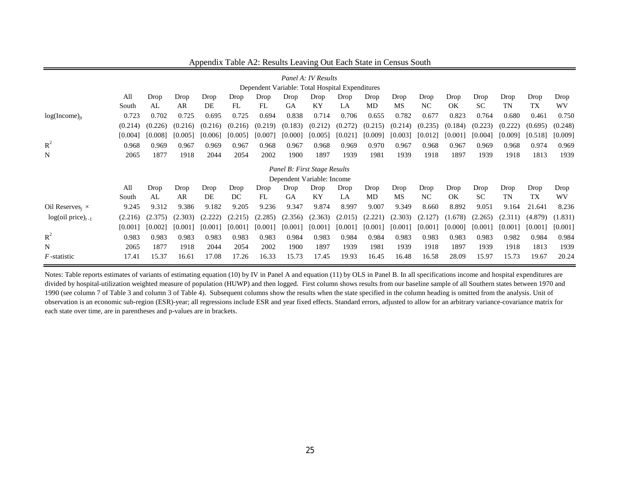|                                    |                              |         |         |         |         |         |                                                 | Panel A: IV Results |         |         |         |                |         |           |         |         |         |
|------------------------------------|------------------------------|---------|---------|---------|---------|---------|-------------------------------------------------|---------------------|---------|---------|---------|----------------|---------|-----------|---------|---------|---------|
|                                    |                              |         |         |         |         |         | Dependent Variable: Total Hospital Expenditures |                     |         |         |         |                |         |           |         |         |         |
|                                    | All                          | Drop    | Drop    | Drop    | Drop    | Drop    | Drop                                            | Drop                | Drop    | Drop    | Drop    | Drop           | Drop    | Drop      | Drop    | Drop    | Drop    |
|                                    | South                        | AL      | AR      | DE      | FL      | FL      | <b>GA</b>                                       | KY                  | LA      | MD      | MS      | N <sub>C</sub> | OK      | <b>SC</b> | TN      | ТX      | WV.     |
| $log(Income)_{it}$                 | 0.723                        | 0.702   | 0.725   | 0.695   | 0.725   | 0.694   | 0.838                                           | 0.714               | 0.706   | 0.655   | 0.782   | 0.677          | 0.823   | 0.764     | 0.680   | 0.461   | 0.750   |
|                                    | (0.214)                      | (0.226) | (0.216) | (0.216) | (0.216) | (0.219) | (0.183)                                         | (0.212)             | (0.272) | (0.215) | (0.214) | (0.235)        | (0.184) | (0.223)   | (0.222) | (0.695) | (0.248) |
|                                    | [0.004]                      | [0.008] | [0.005] | [0.006] | [0.005] | [0.007] | [0.000]                                         | [0.005]             | [0.021] | [0.009] | [0.003] | [0.012]        | [0.001] | [0.004]   | [0.009] | [0.518] | [0.009] |
| $R^2$                              | 0.968                        | 0.969   | 0.967   | 0.969   | 0.967   | 0.968   | 0.967                                           | 0.968               | 0.969   | 0.970   | 0.967   | 0.968          | 0.967   | 0.969     | 0.968   | 0.974   | 0.969   |
| N                                  | 2065                         | 1877    | 1918    | 2044    | 2054    | 2002    | 1900                                            | 1897                | 1939    | 1981    | 1939    | 1918           | 1897    | 1939      | 1918    | 1813    | 1939    |
|                                    | Panel B: First Stage Results |         |         |         |         |         |                                                 |                     |         |         |         |                |         |           |         |         |         |
|                                    |                              |         |         |         |         |         | Dependent Variable: Income                      |                     |         |         |         |                |         |           |         |         |         |
|                                    | All                          | Drop    | Drop    | Drop    | Drop    | Drop    | Drop                                            | Drop                | Drop    | Drop    | Drop    | Drop           | Drop    | Drop      | Drop    | Drop    | Drop    |
|                                    | South                        | AL      | AR      | DE      | DC      | FL      | <b>GA</b>                                       | <b>KY</b>           | LA      | MD      | MS      | N <sub>C</sub> | OK      | <b>SC</b> | TN      | TX      | WV      |
| Oil Reserves <sub>i</sub> $\times$ | 9.245                        | 9.312   | 9.386   | 9.182   | 9.205   | 9.236   | 9.347                                           | 9.874               | 8.997   | 9.007   | 9.349   | 8.660          | 8.892   | 9.051     | 9.164   | 21.641  | 8.236   |
| $log(oil price)_{t-1}$             | (2.216)                      | (2.375) | (2.303) | (2.222) | (2.215) | (2.285) | (2.356)                                         | (2.363)             | (2.015) | (2.221) | (2.303) | (2.127)        | (1.678) | (2.265)   | (2.311) | (4.879) | (1.831) |
|                                    | [0.001]                      | [0.002] | [0.001] | [0.001] | [0.001] | [0.001] | [0.001]                                         | [0.001]             | [0.001] | [0.001] | [0.001] | [0.001]        | [0.000] | [0.001]   | [0.001] | [0.001] | [0.001] |
| $R^2$                              | 0.983                        | 0.983   | 0.983   | 0.983   | 0.983   | 0.983   | 0.984                                           | 0.983               | 0.984   | 0.984   | 0.983   | 0.983          | 0.983   | 0.983     | 0.982   | 0.984   | 0.984   |
| N                                  | 2065                         | 1877    | 1918    | 2044    | 2054    | 2002    | 1900                                            | 1897                | 1939    | 1981    | 1939    | 1918           | 1897    | 1939      | 1918    | 1813    | 1939    |
| F-statistic                        | 17.41                        | 15.37   | 16.61   | 17.08   | 17.26   | 16.33   | 15.73                                           | 17.45               | 19.93   | 16.45   | 16.48   | 16.58          | 28.09   | 15.97     | 15.73   | 19.67   | 20.24   |

### Appendix Table A2: Results Leaving Out Each State in Census South

Notes: Table reports estimates of variants of estimating equation (10) by IV in Panel A and equation (11) by OLS in Panel B. In all specifications income and hospital expenditures are divided by hospital-utilization weighted measure of population (HUWP) and then logged. First column shows results from our baseline sample of all Southern states between 1970 and 1990 (see column 7 of Table 3 and column 3 of Table 4). Subsequent columns show the results when the state specified in the column heading is omitted from the analysis. Unit of observation is an economic sub-region (ESR)-year; all regressions include ESR and year fixed effects. Standard errors, adjusted to allow for an arbitrary variance-covariance matrix for each state over time, are in parentheses and p-values are in brackets.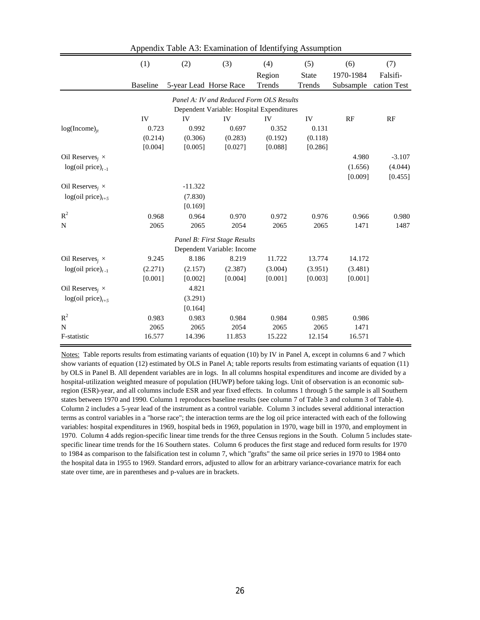|                                    | (1)             | (2)       | (3)                          | (4)                                       | (5)          | (6)       | (7)         |
|------------------------------------|-----------------|-----------|------------------------------|-------------------------------------------|--------------|-----------|-------------|
|                                    |                 |           |                              | Region                                    | <b>State</b> | 1970-1984 | Falsifi-    |
|                                    | <b>Baseline</b> |           | 5-year Lead Horse Race       | Trends                                    | Trends       | Subsample | cation Test |
|                                    |                 |           |                              | Panel A: IV and Reduced Form OLS Results  |              |           |             |
|                                    |                 |           |                              | Dependent Variable: Hospital Expenditures |              |           |             |
|                                    | IV              | IV        | IV                           | IV                                        | IV           | RF        | RF          |
| $log(Income)_{it}$                 | 0.723           | 0.992     | 0.697                        | 0.352                                     | 0.131        |           |             |
|                                    | (0.214)         | (0.306)   | (0.283)                      | (0.192)                                   | (0.118)      |           |             |
|                                    | [0.004]         | [0.005]   | [0.027]                      | [0.088]                                   | [0.286]      |           |             |
| Oil Reserves <sub>i</sub> $\times$ |                 |           |                              |                                           |              | 4.980     | $-3.107$    |
| $log(oil price)_{t-1}$             |                 |           |                              |                                           |              | (1.656)   | (4.044)     |
|                                    |                 |           |                              |                                           |              | [0.009]   | [0.455]     |
| Oil Reserves, $\times$             |                 | $-11.322$ |                              |                                           |              |           |             |
| $log(oil price)_{t+5}$             |                 | (7.830)   |                              |                                           |              |           |             |
|                                    |                 | [0.169]   |                              |                                           |              |           |             |
| $\mathbb{R}^2$                     | 0.968           | 0.964     | 0.970                        | 0.972                                     | 0.976        | 0.966     | 0.980       |
| N                                  | 2065            | 2065      | 2054                         | 2065                                      | 2065         | 1471      | 1487        |
|                                    |                 |           | Panel B: First Stage Results |                                           |              |           |             |
|                                    |                 |           | Dependent Variable: Income   |                                           |              |           |             |
| Oil Reserves <sub>i</sub> $\times$ | 9.245           | 8.186     | 8.219                        | 11.722                                    | 13.774       | 14.172    |             |
| $log(oil price)_{t-1}$             | (2.271)         | (2.157)   | (2.387)                      | (3.004)                                   | (3.951)      | (3.481)   |             |
|                                    | [0.001]         | [0.002]   | [0.004]                      | [0.001]                                   | [0.003]      | [0.001]   |             |
| Oil Reserves <sub>i</sub> $\times$ |                 | 4.821     |                              |                                           |              |           |             |
| $log(oil price)_{t+5}$             |                 | (3.291)   |                              |                                           |              |           |             |
|                                    |                 | [0.164]   |                              |                                           |              |           |             |
| $R^2$                              | 0.983           | 0.983     | 0.984                        | 0.984                                     | 0.985        | 0.986     |             |
| $\mathbf N$                        | 2065            | 2065      | 2054                         | 2065                                      | 2065         | 1471      |             |
| F-statistic                        | 16.577          | 14.396    | 11.853                       | 15.222                                    | 12.154       | 16.571    |             |

Appendix Table A3: Examination of Identifying Assumption

Notes: Table reports results from estimating variants of equation (10) by IV in Panel A, except in columns 6 and 7 which show variants of equation (12) estimated by OLS in Panel A; table reports results from estimating variants of equation (11) by OLS in Panel B. All dependent variables are in logs. In all columns hospital expenditures and income are divided by a hospital-utilization weighted measure of population (HUWP) before taking logs. Unit of observation is an economic subregion (ESR)-year, and all columns include ESR and year fixed effects. In columns 1 through 5 the sample is all Southern states between 1970 and 1990. Column 1 reproduces baseline results (see column 7 of Table 3 and column 3 of Table 4). Column 2 includes a 5-year lead of the instrument as a control variable. Column 3 includes several additional interaction terms as control variables in a "horse race"; the interaction terms are the log oil price interacted with each of the following variables: hospital expenditures in 1969, hospital beds in 1969, population in 1970, wage bill in 1970, and employment in 1970. Column 4 adds region-specific linear time trends for the three Census regions in the South. Column 5 includes statespecific linear time trends for the 16 Southern states. Column 6 produces the first stage and reduced form results for 1970 to 1984 as comparison to the falsification test in column 7, which "grafts" the same oil price series in 1970 to 1984 onto the hospital data in 1955 to 1969. Standard errors, adjusted to allow for an arbitrary variance-covariance matrix for each state over time, are in parentheses and p-values are in brackets.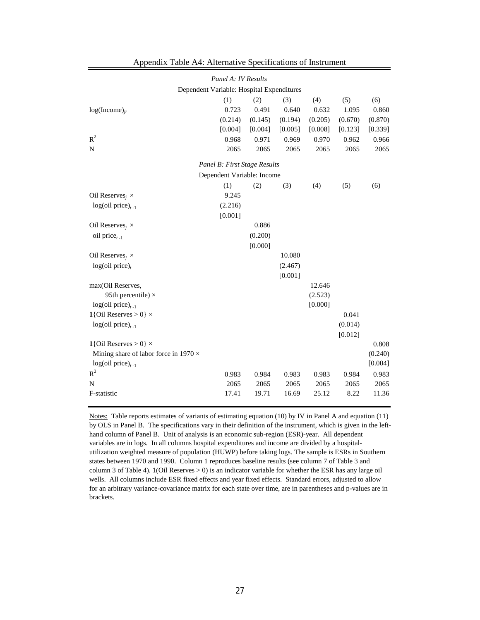|                                              | Dependent Variable: Hospital Expenditures |         |         |         |         |         |
|----------------------------------------------|-------------------------------------------|---------|---------|---------|---------|---------|
|                                              | (1)                                       | (2)     | (3)     | (4)     | (5)     | (6)     |
| $log(Income)_{it}$                           | 0.723                                     | 0.491   | 0.640   | 0.632   | 1.095   | 0.860   |
|                                              | (0.214)                                   | (0.145) | (0.194) | (0.205) | (0.670) | (0.870) |
|                                              | [0.004]                                   | [0.004] | [0.005] | [0.008] | [0.123] | [0.339] |
| $R^2$                                        | 0.968                                     | 0.971   | 0.969   | 0.970   | 0.962   | 0.966   |
| N                                            | 2065                                      | 2065    | 2065    | 2065    | 2065    | 2065    |
|                                              | Panel B: First Stage Results              |         |         |         |         |         |
|                                              | Dependent Variable: Income                |         |         |         |         |         |
|                                              | (1)                                       | (2)     | (3)     | (4)     | (5)     | (6)     |
| Oil Reserves <sub>i</sub> $\times$           | 9.245                                     |         |         |         |         |         |
| $log(oil price)_{t-1}$                       | (2.216)                                   |         |         |         |         |         |
|                                              | [0.001]                                   |         |         |         |         |         |
| Oil Reserves <sub>i</sub> $\times$           |                                           | 0.886   |         |         |         |         |
| oil price $_{t-1}$                           |                                           | (0.200) |         |         |         |         |
|                                              |                                           | [0.000] |         |         |         |         |
| Oil Reserves, $\times$                       |                                           |         | 10.080  |         |         |         |
| $log(oil price)_{t}$                         |                                           |         | (2.467) |         |         |         |
|                                              |                                           |         | [0.001] |         |         |         |
| max(Oil Reserves,                            |                                           |         |         | 12.646  |         |         |
| 95th percentile) $\times$                    |                                           |         |         | (2.523) |         |         |
| $log(oil price)_{t-1}$                       |                                           |         |         | [0.000] |         |         |
| 1{Oil Reserves > 0} $\times$                 |                                           |         |         |         | 0.041   |         |
| $log(oil price)_{t-1}$                       |                                           |         |         |         | (0.014) |         |
|                                              |                                           |         |         |         | [0.012] |         |
| 1{Oil Reserves > 0} $\times$                 |                                           |         |         |         |         | 0.808   |
| Mining share of labor force in 1970 $\times$ |                                           |         |         |         |         | (0.240) |
| $log(oil price)_{t-1}$                       |                                           |         |         |         |         | [0.004] |
| $R^2$                                        | 0.983                                     | 0.984   | 0.983   | 0.983   | 0.984   | 0.983   |
| N                                            | 2065                                      | 2065    | 2065    | 2065    | 2065    | 2065    |
| F-statistic                                  | 17.41                                     | 19.71   | 16.69   | 25.12   | 8.22    | 11.36   |

Appendix Table A4: Alternative Specifications of Instrument

*Panel A: IV Results*

Notes: Table reports estimates of variants of estimating equation (10) by IV in Panel A and equation (11) by OLS in Panel B. The specifications vary in their definition of the instrument, which is given in the lefthand column of Panel B. Unit of analysis is an economic sub-region (ESR)-year. All dependent variables are in logs. In all columns hospital expenditures and income are divided by a hospitalutilization weighted measure of population (HUWP) before taking logs. The sample is ESRs in Southern states between 1970 and 1990. Column 1 reproduces baseline results (see column 7 of Table 3 and column 3 of Table 4). 1(Oil Reserves > 0) is an indicator variable for whether the ESR has any large oil wells. All columns include ESR fixed effects and year fixed effects. Standard errors, adjusted to allow for an arbitrary variance-covariance matrix for each state over time, are in parentheses and p-values are in brackets.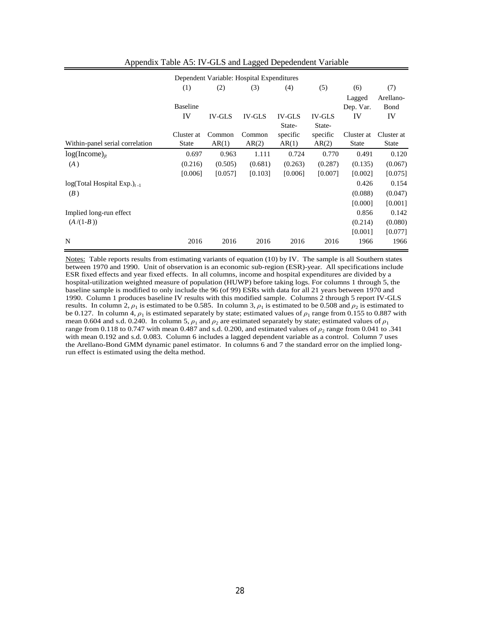|                                  |                 |               | Dependent Variable: Hospital Expenditures |               |               |              |              |
|----------------------------------|-----------------|---------------|-------------------------------------------|---------------|---------------|--------------|--------------|
|                                  | (1)             | (2)           | (3)                                       | (4)           | (5)           | (6)          | (7)          |
|                                  |                 |               |                                           |               |               | Lagged       | Arellano-    |
|                                  | <b>Baseline</b> |               |                                           |               |               | Dep. Var.    | Bond         |
|                                  | IV              | <b>IV-GLS</b> | <b>IV-GLS</b>                             | <b>IV-GLS</b> | <b>IV-GLS</b> | IV           | IV           |
|                                  |                 |               |                                           | State-        | State-        |              |              |
|                                  | Cluster at      | Common        | Common                                    | specific      | specific      | Cluster at   | Cluster at   |
| Within-panel serial correlation  | <b>State</b>    | AR(1)         | AR(2)                                     | AR(1)         | AR(2)         | <b>State</b> | <b>State</b> |
| $log(Income)_{it}$               | 0.697           | 0.963         | 1.111                                     | 0.724         | 0.770         | 0.491        | 0.120        |
| (A)                              | (0.216)         | (0.505)       | (0.681)                                   | (0.263)       | (0.287)       | (0.135)      | (0.067)      |
|                                  | [0.006]         | [0.057]       | [0.103]                                   | [0.006]       | [0.007]       | [0.002]      | [0.075]      |
| $log(Total Hospital Exp.)_{t-1}$ |                 |               |                                           |               |               | 0.426        | 0.154        |
| (B)                              |                 |               |                                           |               |               | (0.088)      | (0.047)      |
|                                  |                 |               |                                           |               |               | [0.000]      | [0.001]      |
| Implied long-run effect          |                 |               |                                           |               |               | 0.856        | 0.142        |
| $(A/(1-B))$                      |                 |               |                                           |               |               | (0.214)      | (0.080)      |
|                                  |                 |               |                                           |               |               | [0.001]      | [0.077]      |
| N                                | 2016            | 2016          | 2016                                      | 2016          | 2016          | 1966         | 1966         |

### Appendix Table A5: IV-GLS and Lagged Depedendent Variable

Notes: Table reports results from estimating variants of equation (10) by IV. The sample is all Southern states between 1970 and 1990. Unit of observation is an economic sub-region (ESR)-year. All specifications include ESR fixed effects and year fixed effects. In all columns, income and hospital expenditures are divided by a hospital-utilization weighted measure of population (HUWP) before taking logs. For columns 1 through 5, the baseline sample is modified to only include the 96 (of 99) ESRs with data for all 21 years between 1970 and 1990. Column 1 produces baseline IV results with this modified sample. Columns 2 through 5 report IV-GLS results. In column 2,  $\rho_1$  is estimated to be 0.585. In column 3,  $\rho_1$  is estimated to be 0.508 and  $\rho_2$  is estimated to be 0.127. In column 4,  $\rho_1$  is estimated separately by state; estimated values of  $\rho_1$  range from 0.155 to 0.887 with mean 0.604 and s.d. 0.240. In column 5,  $\rho_1$  and  $\rho_2$  are estimated separately by state; estimated values of  $\rho_1$ range from 0.118 to 0.747 with mean 0.487 and s.d. 0.200, and estimated values of  $\rho_2$  range from 0.041 to .341 with mean 0.192 and s.d. 0.083. Column 6 includes a lagged dependent variable as a control. Column 7 uses the Arellano-Bond GMM dynamic panel estimator. In columns 6 and 7 the standard error on the implied longrun effect is estimated using the delta method.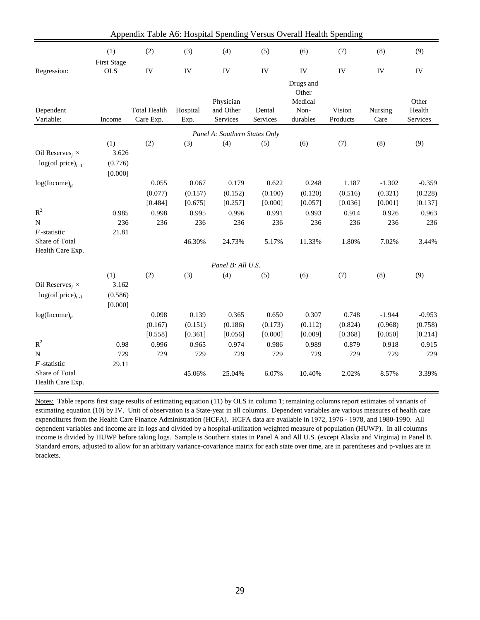|                                    |                    | Appendix Table A6: Hospital Spending Versus Overall Health Spending |          |                                      |          |                  |          |          |          |
|------------------------------------|--------------------|---------------------------------------------------------------------|----------|--------------------------------------|----------|------------------|----------|----------|----------|
|                                    | (1)                | (2)                                                                 | (3)      | (4)                                  | (5)      | (6)              | (7)      | (8)      | (9)      |
|                                    | <b>First Stage</b> |                                                                     |          |                                      |          |                  |          |          |          |
| Regression:                        | <b>OLS</b>         | IV                                                                  | IV       | IV                                   | IV       | ${\rm IV}$       | IV       | IV       | IV       |
|                                    |                    |                                                                     |          |                                      |          | Drugs and        |          |          |          |
|                                    |                    |                                                                     |          | Physician                            |          | Other<br>Medical |          |          | Other    |
| Dependent                          |                    | <b>Total Health</b>                                                 | Hospital | and Other                            | Dental   | Non-             | Vision   | Nursing  | Health   |
| Variable:                          | Income             | Care Exp.                                                           | Exp.     | Services                             | Services | durables         | Products | Care     | Services |
|                                    |                    |                                                                     |          |                                      |          |                  |          |          |          |
|                                    | (1)                | (2)                                                                 |          | Panel A: Southern States Only<br>(4) |          | (6)              | (7)      | (8)      | (9)      |
| Oil Reserves <sub>i</sub> $\times$ | 3.626              |                                                                     | (3)      |                                      | (5)      |                  |          |          |          |
| $log(oil price)_{t-1}$             | (0.776)            |                                                                     |          |                                      |          |                  |          |          |          |
|                                    | [0.000]            |                                                                     |          |                                      |          |                  |          |          |          |
| $log(Income)_{it}$                 |                    | 0.055                                                               | 0.067    | 0.179                                | 0.622    | 0.248            | 1.187    | $-1.302$ | $-0.359$ |
|                                    |                    | (0.077)                                                             | (0.157)  | (0.152)                              | (0.100)  | (0.120)          | (0.516)  | (0.321)  | (0.228)  |
|                                    |                    | [0.484]                                                             | [0.675]  | [0.257]                              | [0.000]  | [0.057]          | [0.036]  | [0.001]  | [0.137]  |
| $R^2$                              | 0.985              | 0.998                                                               | 0.995    | 0.996                                | 0.991    | 0.993            | 0.914    | 0.926    | 0.963    |
| ${\bf N}$                          | 236                | 236                                                                 | 236      | 236                                  | 236      | 236              | 236      | 236      | 236      |
| $F$ -statistic                     | 21.81              |                                                                     |          |                                      |          |                  |          |          |          |
| Share of Total                     |                    |                                                                     | 46.30%   | 24.73%                               | 5.17%    | 11.33%           | 1.80%    | 7.02%    | 3.44%    |
| Health Care Exp.                   |                    |                                                                     |          |                                      |          |                  |          |          |          |
|                                    |                    |                                                                     |          | Panel B: All U.S.                    |          |                  |          |          |          |
|                                    | (1)                | (2)                                                                 | (3)      | (4)                                  | (5)      | (6)              | (7)      | (8)      | (9)      |
| Oil Reserves <sub>i</sub> $\times$ | 3.162              |                                                                     |          |                                      |          |                  |          |          |          |
| $log(oil price)_{t-1}$             | (0.586)            |                                                                     |          |                                      |          |                  |          |          |          |
|                                    | [0.000]            |                                                                     |          |                                      |          |                  |          |          |          |
| $log(Income)_{it}$                 |                    | 0.098                                                               | 0.139    | 0.365                                | 0.650    | 0.307            | 0.748    | $-1.944$ | $-0.953$ |
|                                    |                    | (0.167)                                                             | (0.151)  | (0.186)                              | (0.173)  | (0.112)          | (0.824)  | (0.968)  | (0.758)  |
|                                    |                    | [0.558]                                                             | [0.361]  | [0.056]                              | [0.000]  | [0.009]          | [0.368]  | [0.050]  | [0.214]  |
| $R^2$                              | 0.98               | 0.996                                                               | 0.965    | 0.974                                | 0.986    | 0.989            | 0.879    | 0.918    | 0.915    |
| $\mathbf N$                        | 729                | 729                                                                 | 729      | 729                                  | 729      | 729              | 729      | 729      | 729      |
| $F$ -statistic                     | 29.11              |                                                                     |          |                                      |          |                  |          |          |          |
| Share of Total<br>Health Care Exp. |                    |                                                                     | 45.06%   | 25.04%                               | 6.07%    | 10.40%           | 2.02%    | 8.57%    | 3.39%    |

Notes: Table reports first stage results of estimating equation (11) by OLS in column 1; remaining columns report estimates of variants of estimating equation (10) by IV. Unit of observation is a State-year in all columns. Dependent variables are various measures of health care expenditures from the Health Care Finance Administration (HCFA). HCFA data are available in 1972, 1976 - 1978, and 1980-1990. All dependent variables and income are in logs and divided by a hospital-utilization weighted measure of population (HUWP). In all columns income is divided by HUWP before taking logs. Sample is Southern states in Panel A and All U.S. (except Alaska and Virginia) in Panel B. Standard errors, adjusted to allow for an arbitrary variance-covariance matrix for each state over time, are in parentheses and p-values are in brackets.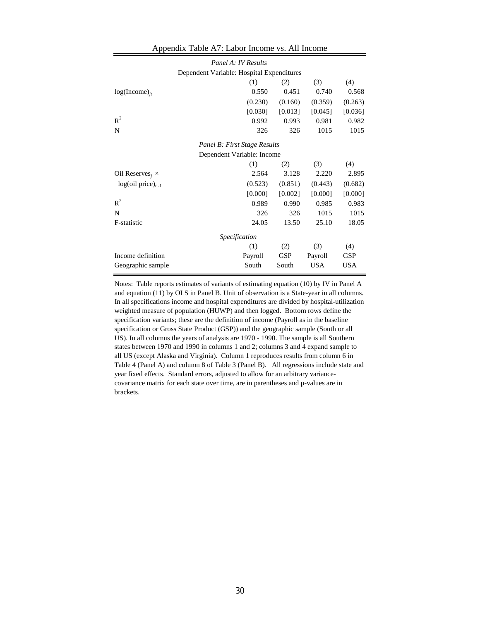| Panel A: IV Results                |                                           |            |            |            |  |  |  |  |
|------------------------------------|-------------------------------------------|------------|------------|------------|--|--|--|--|
|                                    | Dependent Variable: Hospital Expenditures |            |            |            |  |  |  |  |
|                                    | (1)                                       | (2)        | (3)        | (4)        |  |  |  |  |
| $log(Income)_{it}$                 | 0.550                                     | 0.451      | 0.740      | 0.568      |  |  |  |  |
|                                    | (0.230)                                   | (0.160)    | (0.359)    | (0.263)    |  |  |  |  |
|                                    | [0.030]                                   | [0.013]    | [0.045]    | [0.036]    |  |  |  |  |
| $R^2$                              | 0.992                                     | 0.993      | 0.981      | 0.982      |  |  |  |  |
| N                                  | 326                                       | 326        | 1015       | 1015       |  |  |  |  |
|                                    | Panel B: First Stage Results              |            |            |            |  |  |  |  |
| Dependent Variable: Income         |                                           |            |            |            |  |  |  |  |
|                                    | (1)                                       | (2)        | (3)        | (4)        |  |  |  |  |
| Oil Reserves <sub>i</sub> $\times$ | 2.564                                     | 3.128      | 2.220      | 2.895      |  |  |  |  |
| $log(oil price)_{t-1}$             | (0.523)                                   | (0.851)    | (0.443)    | (0.682)    |  |  |  |  |
|                                    | [0.000]                                   | [0.002]    | [0.000]    | [0.000]    |  |  |  |  |
| $R^2$                              | 0.989                                     | 0.990      | 0.985      | 0.983      |  |  |  |  |
| N                                  | 326                                       | 326        | 1015       | 1015       |  |  |  |  |
| F-statistic                        | 24.05                                     | 13.50      | 25.10      | 18.05      |  |  |  |  |
|                                    | <i>Specification</i>                      |            |            |            |  |  |  |  |
|                                    | (1)                                       | (2)        | (3)        | (4)        |  |  |  |  |
| Income definition                  | Payroll                                   | <b>GSP</b> | Payroll    | GSP        |  |  |  |  |
| Geographic sample                  | South                                     | South      | <b>USA</b> | <b>USA</b> |  |  |  |  |

#### Appendix Table A7: Labor Income vs. All Income

Notes: Table reports estimates of variants of estimating equation (10) by IV in Panel A and equation (11) by OLS in Panel B. Unit of observation is a State-year in all columns. In all specifications income and hospital expenditures are divided by hospital-utilization weighted measure of population (HUWP) and then logged. Bottom rows define the specification variants; these are the definition of income (Payroll as in the baseline specification or Gross State Product (GSP)) and the geographic sample (South or all US). In all columns the years of analysis are 1970 - 1990. The sample is all Southern states between 1970 and 1990 in columns 1 and 2; columns 3 and 4 expand sample to all US (except Alaska and Virginia). Column 1 reproduces results from column 6 in Table 4 (Panel A) and column 8 of Table 3 (Panel B). All regressions include state and year fixed effects. Standard errors, adjusted to allow for an arbitrary variancecovariance matrix for each state over time, are in parentheses and p-values are in brackets.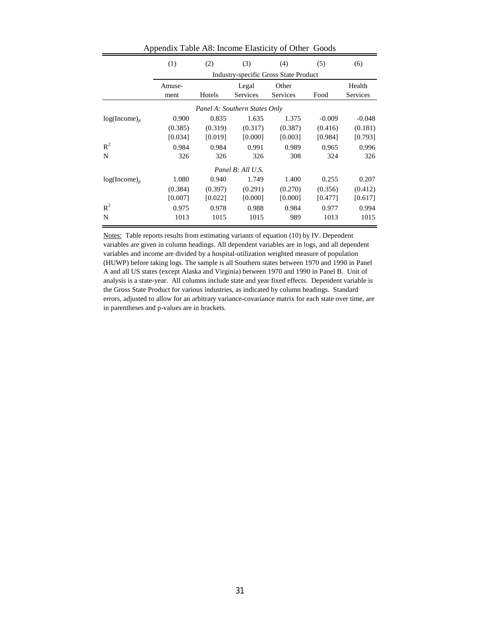|                               | (1)     | (2)     | (3)               | (4)                                          | (5)      | (6)             |  |  |  |  |
|-------------------------------|---------|---------|-------------------|----------------------------------------------|----------|-----------------|--|--|--|--|
|                               |         |         |                   | <b>Industry-specific Gross State Product</b> |          |                 |  |  |  |  |
|                               | Amuse-  |         | Legal             | Other                                        |          | Health          |  |  |  |  |
|                               | ment    | Hotels  | Services          | Services                                     | Food     | <b>Services</b> |  |  |  |  |
| Panel A: Southern States Only |         |         |                   |                                              |          |                 |  |  |  |  |
| $log(Income)_{it}$            | 0.900   | 0.835   | 1.635             | 1.375                                        | $-0.009$ | $-0.048$        |  |  |  |  |
|                               | (0.385) | (0.319) | (0.317)           | (0.387)                                      | (0.416)  | (0.181)         |  |  |  |  |
|                               | [0.034] | [0.019] | [0.000]           | [0.003]                                      | [0.984]  | [0.793]         |  |  |  |  |
| $R^2$                         | 0.984   | 0.984   | 0.991             | 0.989                                        | 0.965    | 0.996           |  |  |  |  |
| N                             | 326     | 326     | 326               | 308                                          | 324      | 326             |  |  |  |  |
|                               |         |         | Panel B: All U.S. |                                              |          |                 |  |  |  |  |
| $log(Income)_{it}$            | 1.080   | 0.940   | 1.749             | 1.400                                        | 0.255    | 0.207           |  |  |  |  |
|                               | (0.384) | (0.397) | (0.291)           | (0.270)                                      | (0.356)  | (0.412)         |  |  |  |  |
|                               | [0.007] | [0.022] | [0.000]           | [0.000]                                      | [0.477]  | [0.617]         |  |  |  |  |
| $R^2$                         | 0.975   | 0.978   | 0.988             | 0.984                                        | 0.977    | 0.994           |  |  |  |  |
| N                             | 1013    | 1015    | 1015              | 989                                          | 1013     | 1015            |  |  |  |  |

Appendix Table A8: Income Elasticity of Other Goods

Notes: Table reports results from estimating variants of equation (10) by IV. Dependent variables are given in column headings. All dependent variables are in logs, and all dependent variables and income are divided by a hospital-utilization weighted measure of population (HUWP) before taking logs. The sample is all Southern states between 1970 and 1990 in Panel A and all US states (except Alaska and Virginia) between 1970 and 1990 in Panel B. Unit of analysis is a state-year. All columns include state and year fixed effects. Dependent variable is the Gross State Product for various industries, as indicated by column headings. Standard errors, adjusted to allow for an arbitrary variance-covariance matrix for each state over time, are in parentheses and p-values are in brackets.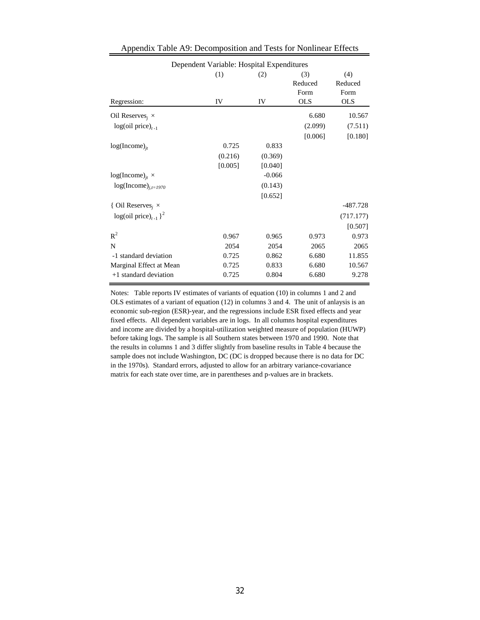| Dependent Variable: Hospital Expenditures |                          |          |            |            |  |  |  |  |  |  |  |  |  |  |
|-------------------------------------------|--------------------------|----------|------------|------------|--|--|--|--|--|--|--|--|--|--|
|                                           | (4)<br>(1)<br>(3)<br>(2) |          |            |            |  |  |  |  |  |  |  |  |  |  |
|                                           |                          |          | Reduced    | Reduced    |  |  |  |  |  |  |  |  |  |  |
|                                           |                          |          | Form       | Form       |  |  |  |  |  |  |  |  |  |  |
| Regression:                               | IV                       | IV       | <b>OLS</b> | <b>OLS</b> |  |  |  |  |  |  |  |  |  |  |
| Oil Reserves <sub>i</sub> $\times$        |                          |          | 6.680      | 10.567     |  |  |  |  |  |  |  |  |  |  |
| $log(oil price)_{t-1}$                    |                          |          | (2.099)    | (7.511)    |  |  |  |  |  |  |  |  |  |  |
|                                           |                          |          | [0.006]    | [0.180]    |  |  |  |  |  |  |  |  |  |  |
| $log(Income)_{it}$                        | 0.725                    | 0.833    |            |            |  |  |  |  |  |  |  |  |  |  |
|                                           | (0.216)                  | (0.369)  |            |            |  |  |  |  |  |  |  |  |  |  |
|                                           | [0.005]                  | [0.040]  |            |            |  |  |  |  |  |  |  |  |  |  |
| $log(Income)_{it}$ ×                      |                          | $-0.066$ |            |            |  |  |  |  |  |  |  |  |  |  |
| $log(Income)_{i,t=1970}$                  |                          | (0.143)  |            |            |  |  |  |  |  |  |  |  |  |  |
|                                           |                          | [0.652]  |            |            |  |  |  |  |  |  |  |  |  |  |
| { Oil Reserves <sub>i</sub> $\times$      |                          |          |            | -487.728   |  |  |  |  |  |  |  |  |  |  |
| $log(oil price)_{t-1}$ <sup>2</sup>       |                          |          |            | (717.177)  |  |  |  |  |  |  |  |  |  |  |
|                                           |                          |          |            | [0.507]    |  |  |  |  |  |  |  |  |  |  |
| $R^2$                                     | 0.967                    | 0.965    | 0.973      | 0.973      |  |  |  |  |  |  |  |  |  |  |
| N                                         | 2054                     | 2054     | 2065       | 2065       |  |  |  |  |  |  |  |  |  |  |
| -1 standard deviation                     | 0.725                    | 0.862    | 6.680      | 11.855     |  |  |  |  |  |  |  |  |  |  |
| Marginal Effect at Mean                   | 0.725                    | 0.833    | 6.680      | 10.567     |  |  |  |  |  |  |  |  |  |  |
| +1 standard deviation                     | 0.725                    | 0.804    | 6.680      | 9.278      |  |  |  |  |  |  |  |  |  |  |

### Appendix Table A9: Decomposition and Tests for Nonlinear Effects

Notes: Table reports IV estimates of variants of equation (10) in columns 1 and 2 and OLS estimates of a variant of equation (12) in columns 3 and 4. The unit of anlaysis is an economic sub-region (ESR)-year, and the regressions include ESR fixed effects and year fixed effects. All dependent variables are in logs. In all columns hospital expenditures and income are divided by a hospital-utilization weighted measure of population (HUWP) before taking logs. The sample is all Southern states between 1970 and 1990. Note that the results in columns 1 and 3 differ slightly from baseline results in Table 4 because the sample does not include Washington, DC (DC is dropped because there is no data for DC in the 1970s). Standard errors, adjusted to allow for an arbitrary variance-covariance matrix for each state over time, are in parentheses and p-values are in brackets.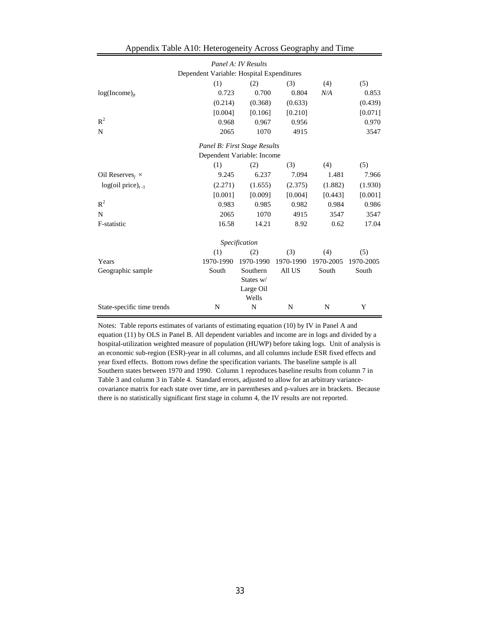| Panel A: IV Results                       |                          |               |           |           |           |  |  |  |  |  |  |  |  |  |
|-------------------------------------------|--------------------------|---------------|-----------|-----------|-----------|--|--|--|--|--|--|--|--|--|
| Dependent Variable: Hospital Expenditures |                          |               |           |           |           |  |  |  |  |  |  |  |  |  |
|                                           | (1)                      | (2)           | (3)       | (4)       | (5)       |  |  |  |  |  |  |  |  |  |
| $log(Income)_{it}$                        | 0.723                    | 0.700         | 0.804     | N/A       | 0.853     |  |  |  |  |  |  |  |  |  |
|                                           | (0.214)                  | (0.368)       | (0.633)   |           | (0.439)   |  |  |  |  |  |  |  |  |  |
|                                           | [0.004]                  | [0.106]       | [0.210]   |           | [0.071]   |  |  |  |  |  |  |  |  |  |
| $R^2$                                     | 0.968                    | 0.967         | 0.956     |           | 0.970     |  |  |  |  |  |  |  |  |  |
| N                                         | 2065                     | 1070          | 4915      |           | 3547      |  |  |  |  |  |  |  |  |  |
| Panel B: First Stage Results              |                          |               |           |           |           |  |  |  |  |  |  |  |  |  |
| Dependent Variable: Income                |                          |               |           |           |           |  |  |  |  |  |  |  |  |  |
|                                           | (1)<br>(2)<br>(3)<br>(4) |               |           |           |           |  |  |  |  |  |  |  |  |  |
| Oil Reserves, $\times$                    | 9.245                    | 6.237         | 7.094     | 1.481     | 7.966     |  |  |  |  |  |  |  |  |  |
| $log(oil price)_{t-1}$                    | (2.271)                  | (1.655)       | (2.375)   | (1.882)   | (1.930)   |  |  |  |  |  |  |  |  |  |
|                                           | [0.001]                  | [0.009]       | [0.004]   | [0.443]   | [0.001]   |  |  |  |  |  |  |  |  |  |
| $R^2$                                     | 0.983                    | 0.985         | 0.982     | 0.984     | 0.986     |  |  |  |  |  |  |  |  |  |
| N                                         | 2065                     | 1070          | 4915      | 3547      | 3547      |  |  |  |  |  |  |  |  |  |
| F-statistic                               | 16.58                    | 14.21         | 8.92      | 0.62      | 17.04     |  |  |  |  |  |  |  |  |  |
|                                           |                          | Specification |           |           |           |  |  |  |  |  |  |  |  |  |
|                                           | (1)                      | (2)           | (3)       | (4)       | (5)       |  |  |  |  |  |  |  |  |  |
| Years                                     | 1970-1990                | 1970-1990     | 1970-1990 | 1970-2005 | 1970-2005 |  |  |  |  |  |  |  |  |  |
| Geographic sample                         | South                    | Southern      | All US    | South     | South     |  |  |  |  |  |  |  |  |  |
|                                           |                          | States w/     |           |           |           |  |  |  |  |  |  |  |  |  |
|                                           |                          | Large Oil     |           |           |           |  |  |  |  |  |  |  |  |  |
|                                           |                          | Wells         |           |           |           |  |  |  |  |  |  |  |  |  |
| State-specific time trends                | N                        | N             | N         | N         | Y         |  |  |  |  |  |  |  |  |  |

| Appendix Table A10: Heterogeneity Across Geography and Time |  |
|-------------------------------------------------------------|--|
|-------------------------------------------------------------|--|

Notes: Table reports estimates of variants of estimating equation (10) by IV in Panel A and equation (11) by OLS in Panel B. All dependent variables and income are in logs and divided by a hospital-utilization weighted measure of population (HUWP) before taking logs. Unit of analysis is an economic sub-region (ESR)-year in all columns, and all columns include ESR fixed effects and year fixed effects. Bottom rows define the specification variants. The baseline sample is all Southern states between 1970 and 1990. Column 1 reproduces baseline results from column 7 in Table 3 and column 3 in Table 4. Standard errors, adjusted to allow for an arbitrary variancecovariance matrix for each state over time, are in parentheses and p-values are in brackets. Because there is no statistically significant first stage in column 4, the IV results are not reported.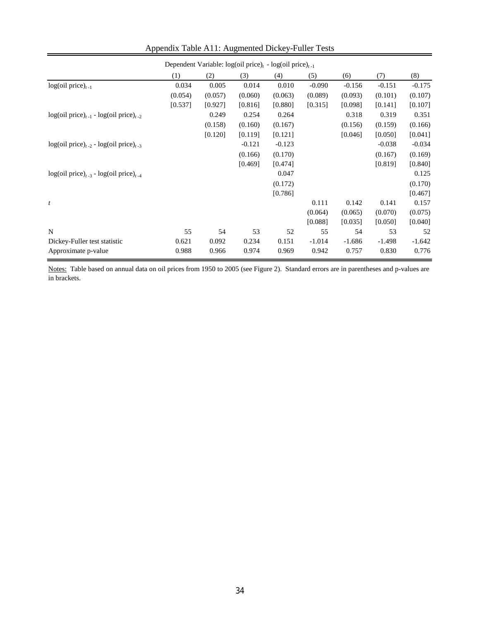|                                                 | Dependent Variable: $log(oil price)t - log(oil price)t-1$ |         |          |          |          |          |          |          |  |  |  |  |
|-------------------------------------------------|-----------------------------------------------------------|---------|----------|----------|----------|----------|----------|----------|--|--|--|--|
|                                                 | (1)                                                       | (2)     | (3)      | (4)      | (5)      | (6)      | (7)      | (8)      |  |  |  |  |
| $log(oil price)_{t-1}$                          | 0.034                                                     | 0.005   | 0.014    | 0.010    | $-0.090$ | $-0.156$ | $-0.151$ | $-0.175$ |  |  |  |  |
|                                                 | (0.054)                                                   | (0.057) | (0.060)  | (0.063)  | (0.089)  | (0.093)  | (0.101)  | (0.107)  |  |  |  |  |
|                                                 | [0.537]                                                   | [0.927] | [0.816]  | [0.880]  | [0.315]  | [0.098]  | [0.141]  | [0.107]  |  |  |  |  |
| $log(oil price)_{t-1}$ - $log(oil price)_{t-2}$ |                                                           | 0.249   | 0.254    | 0.264    |          | 0.318    | 0.319    | 0.351    |  |  |  |  |
|                                                 |                                                           | (0.158) | (0.160)  | (0.167)  |          | (0.156)  | (0.159)  | (0.166)  |  |  |  |  |
|                                                 |                                                           | [0.120] | [0.119]  | [0.121]  |          | [0.046]  | [0.050]  | [0.041]  |  |  |  |  |
| $log(oil price)_{t-2}$ - $log(oil price)_{t-3}$ |                                                           |         | $-0.121$ | $-0.123$ |          |          | $-0.038$ | $-0.034$ |  |  |  |  |
|                                                 |                                                           |         | (0.166)  | (0.170)  |          |          | (0.167)  | (0.169)  |  |  |  |  |
|                                                 |                                                           |         | [0.469]  | [0.474]  |          |          | [0.819]  | [0.840]  |  |  |  |  |
| $log(oil price)_{t-3}$ - $log(oil price)_{t-4}$ |                                                           |         |          | 0.047    |          |          |          | 0.125    |  |  |  |  |
|                                                 |                                                           |         |          | (0.172)  |          |          |          | (0.170)  |  |  |  |  |
|                                                 |                                                           |         |          | [0.786]  |          |          |          | [0.467]  |  |  |  |  |
| t                                               |                                                           |         |          |          | 0.111    | 0.142    | 0.141    | 0.157    |  |  |  |  |
|                                                 |                                                           |         |          |          | (0.064)  | (0.065)  | (0.070)  | (0.075)  |  |  |  |  |
|                                                 |                                                           |         |          |          | [0.088]  | [0.035]  | [0.050]  | [0.040]  |  |  |  |  |
| N                                               | 55                                                        | 54      | 53       | 52       | 55       | 54       | 53       | 52       |  |  |  |  |
| Dickey-Fuller test statistic                    | 0.621                                                     | 0.092   | 0.234    | 0.151    | $-1.014$ | $-1.686$ | $-1.498$ | $-1.642$ |  |  |  |  |
| Approximate p-value                             | 0.988                                                     | 0.966   | 0.974    | 0.969    | 0.942    | 0.757    | 0.830    | 0.776    |  |  |  |  |

## Appendix Table A11: Augmented Dickey-Fuller Tests

Notes: Table based on annual data on oil prices from 1950 to 2005 (see Figure 2). Standard errors are in parentheses and p-values are in brackets.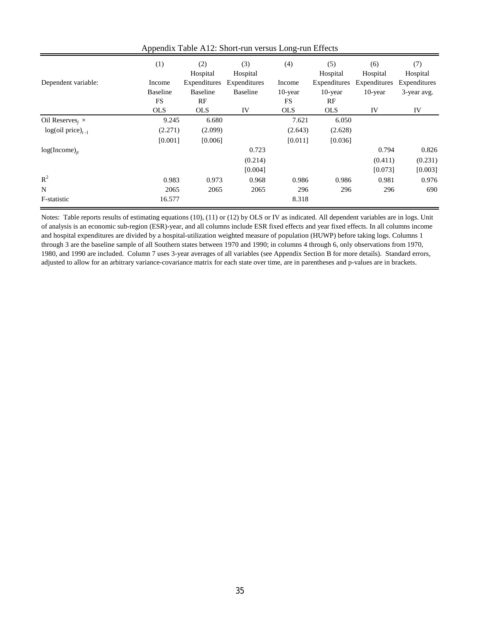|                                    | (1)        | (2)<br>Hospital | (3)<br>Hospital | (4)        | (5)<br>Hospital | (6)<br>Hospital | (7)<br>Hospital |
|------------------------------------|------------|-----------------|-----------------|------------|-----------------|-----------------|-----------------|
| Dependent variable:                | Income     | Expenditures    | Expenditures    | Income     | Expenditures    | Expenditures    | Expenditures    |
|                                    | Baseline   | <b>Baseline</b> | <b>Baseline</b> | $10$ -year | $10$ -year      | $10$ -year      | 3-year avg.     |
|                                    | <b>FS</b>  | RF              |                 | FS         | RF              |                 |                 |
|                                    | <b>OLS</b> | <b>OLS</b>      | IV              | <b>OLS</b> | <b>OLS</b>      | IV              | IV              |
| Oil Reserves <sub>i</sub> $\times$ | 9.245      | 6.680           |                 | 7.621      | 6.050           |                 |                 |
| $log(oil price)_{t-1}$             | (2.271)    | (2.099)         |                 | (2.643)    | (2.628)         |                 |                 |
|                                    | [0.001]    | [0.006]         |                 | [0.011]    | [0.036]         |                 |                 |
| $log(Income)_{it}$                 |            |                 | 0.723           |            |                 | 0.794           | 0.826           |
|                                    |            |                 | (0.214)         |            |                 | (0.411)         | (0.231)         |
|                                    |            |                 | [0.004]         |            |                 | [0.073]         | [0.003]         |
| $R^2$                              | 0.983      | 0.973           | 0.968           | 0.986      | 0.986           | 0.981           | 0.976           |
| N                                  | 2065       | 2065            | 2065            | 296        | 296             | 296             | 690             |
| F-statistic                        | 16.577     |                 |                 | 8.318      |                 |                 |                 |

Appendix Table A12: Short-run versus Long-run Effects

Notes: Table reports results of estimating equations (10), (11) or (12) by OLS or IV as indicated. All dependent variables are in logs. Unit of analysis is an economic sub-region (ESR)-year, and all columns include ESR fixed effects and year fixed effects. In all columns income and hospital expenditures are divided by a hospital-utilization weighted measure of population (HUWP) before taking logs. Columns 1 through 3 are the baseline sample of all Southern states between 1970 and 1990; in columns 4 through 6, only observations from 1970, 1980, and 1990 are included. Column 7 uses 3-year averages of all variables (see Appendix Section B for more details). Standard errors, adjusted to allow for an arbitrary variance-covariance matrix for each state over time, are in parentheses and p-values are in brackets.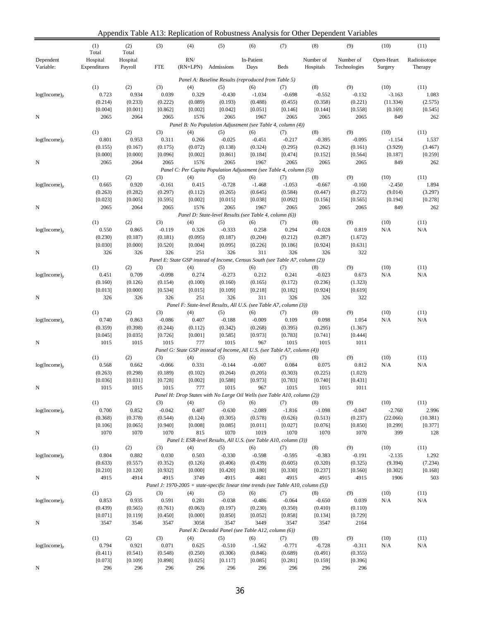Appendix Table A13: Replication of Robustness Analysis for Other Dependent Variables

|                        |                          | $\mu$ reported. There $\mu$ respectively by reconstrues that you for Strict DC |                    |                                                 |                    |                                                                                    |                    |                        | pongoni<br>$\mathbf{r}$ and $\mathbf{u}$ |                       |                         |
|------------------------|--------------------------|--------------------------------------------------------------------------------|--------------------|-------------------------------------------------|--------------------|------------------------------------------------------------------------------------|--------------------|------------------------|------------------------------------------|-----------------------|-------------------------|
|                        | (1)<br>Total             | (2)<br>Total                                                                   | (3)                | (4)                                             | (5)                | (6)                                                                                | (7)                | (8)                    | (9)                                      | (10)                  | (11)                    |
| Dependent<br>Variable: | Hospital<br>Expenditures | Hospital<br>Payroll                                                            | <b>FTE</b>         | $\ensuremath{\mathrm{RN}}\xspace$<br>$(RN+LPN)$ | Admissions         | In-Patient<br>Days                                                                 | Beds               | Number of<br>Hospitals | Number of<br>Technologies                | Open-Heart<br>Surgery | Radioisotope<br>Therapy |
|                        |                          |                                                                                |                    |                                                 |                    | Panel A: Baseline Results (reproduced from Table 5)                                |                    |                        |                                          |                       |                         |
|                        | (1)                      | (2)                                                                            | (3)                | (4)                                             | (5)                |                                                                                    |                    | (8)                    | (9)                                      | (10)                  | (11)                    |
| $log(Income)_{it}$     | 0.723                    | 0.934                                                                          | 0.039              | 0.329                                           | $-0.430$           | (6)<br>$-1.034$                                                                    | (7)<br>$-0.698$    | $-0.552$               | $-0.132$                                 | $-3.163$              | 1.083                   |
|                        | (0.214)                  | (0.233)                                                                        | (0.222)            | (0.089)                                         | (0.193)            | (0.488)                                                                            | (0.455)            | (0.358)                | (0.221)                                  | (11.334)              | (2.575)                 |
|                        | [0.004]                  | [0.001]                                                                        | [0.862]            | [0.002]                                         | [0.042]            | [0.051]                                                                            | [0.146]            | [0.144]                | [0.558]                                  | [0.169]               | [0.545]                 |
| N                      | 2065                     | 2064                                                                           | 2065               | 1576                                            | 2065               | 1967                                                                               | 2065               | 2065                   | 2065                                     | 849                   | 262                     |
|                        |                          |                                                                                |                    |                                                 |                    | Panel B: No Population Adjustment (see Table 4, column (4))                        |                    |                        |                                          |                       |                         |
|                        | (1)                      | (2)                                                                            | (3)                | (4)                                             | (5)                | (6)                                                                                | (7)                | (8)                    | (9)                                      | (10)                  | (11)                    |
| $log(Income)_{it}$     | 0.801                    | 0.953                                                                          | 0.311              | 0.266                                           | $-0.025$           | $-0.451$                                                                           | $-0.217$           | $-0.395$               | $-0.095$                                 | $-1.154$              | 1.537                   |
|                        | (0.155)                  | (0.167)                                                                        | (0.175)            | (0.072)                                         | (0.138)            | (0.324)                                                                            | (0.295)            | (0.262)                | (0.161)                                  | (3.929)               | (3.467)                 |
|                        | [0.000]                  | [0.000]                                                                        | [0.096]            | [0.002]                                         | [0.861]            | [0.184]                                                                            | [0.474]            | [0.152]                | [0.564]                                  | [0.187]               | [0.259]                 |
| N                      | 2065                     | 2064                                                                           | 2065               | 1576                                            | 2065               | 1967                                                                               | 2065               | 2065                   | 2065                                     | 849                   | 262                     |
|                        |                          |                                                                                |                    |                                                 |                    | Panel C: Per Capita Population Adjustment (see Table 4, column (5))                |                    |                        |                                          |                       |                         |
|                        | (1)                      | (2)                                                                            | (3)                | (4)                                             | (5)                | (6)                                                                                | (7)                | (8)                    | (9)                                      | (10)                  | (11)                    |
| $log(Income)_{it}$     | 0.665                    | 0.920                                                                          | $-0.161$           | 0.415                                           | $-0.728$           | $-1.468$                                                                           | $-1.053$           | $-0.667$               | $-0.160$                                 | $-2.450$              | 1.894                   |
|                        | (0.263)<br>[0.023]       | (0.282)<br>[0.005]                                                             | (0.297)<br>[0.595] | (0.112)<br>[0.002]                              | (0.265)<br>[0.015] | (0.645)<br>[0.038]                                                                 | (0.584)<br>[0.092] | (0.447)<br>[0.156]     | (0.272)<br>[0.565]                       | (9.014)<br>[0.194]    | (3.297)<br>[0.278]      |
| N                      | 2065                     | 2064                                                                           | 2065               | 1576                                            | 2065               | 1967                                                                               | 2065               | 2065                   | 2065                                     | 849                   | 262                     |
|                        |                          |                                                                                |                    |                                                 |                    | Panel D: State-level Results (see Table 4, column (6))                             |                    |                        |                                          |                       |                         |
|                        | (1)                      | (2)                                                                            | (3)                | (4)                                             | (5)                | (6)                                                                                | (7)                | (8)                    | (9)                                      | (10)                  | (11)                    |
| $log(Income)_{it}$     | 0.550                    | 0.865                                                                          | $-0.119$           | 0.326                                           | $-0.333$           | 0.258                                                                              | 0.294              | $-0.028$               | 0.819                                    | N/A                   | N/A                     |
|                        | (0.230)                  | (0.187)                                                                        | (0.181)            | (0.095)                                         | (0.187)            | (0.204)                                                                            | (0.212)            | (0.287)                | (1.672)                                  |                       |                         |
|                        | [0.030]                  | [0.000]                                                                        | [0.520]            | [0.004]                                         | [0.095]            | [0.226]                                                                            | [0.186]            | [0.924]                | [0.631]                                  |                       |                         |
| N                      | 326                      | 326                                                                            | 326                | 251                                             | 326                | 311                                                                                | 326                | 326                    | 322                                      |                       |                         |
|                        |                          |                                                                                |                    |                                                 |                    | Panel E: State GSP instead of Income, Census South (see Table A7, column (2))      |                    |                        |                                          |                       |                         |
|                        | (1)                      | (2)                                                                            | (3)                | (4)                                             | (5)                | (6)                                                                                | (7)                | (8)                    | (9)                                      | (10)                  | (11)                    |
| $log(Income)_{ii}$     | 0.451                    | 0.709                                                                          | $-0.098$           | 0.274                                           | $-0.273$           | 0.212                                                                              | 0.241              | $-0.023$               | 0.673                                    | N/A                   | N/A                     |
|                        | (0.160)                  | (0.126)                                                                        | (0.154)            | (0.100)                                         | (0.160)            | (0.165)                                                                            | (0.172)            | (0.236)                | (1.323)                                  |                       |                         |
|                        | [0.013]                  | [0.000]                                                                        | [0.534]            | [0.015]                                         | [0.109]            | [0.218]                                                                            | [0.182]            | [0.924]                | [0.619]                                  |                       |                         |
| N                      | 326                      | 326                                                                            | 326                | 251                                             | 326                | 311                                                                                | 326                | 326                    | 322                                      |                       |                         |
|                        |                          |                                                                                |                    |                                                 |                    | Panel F: State-level Results, All U.S. (see Table A7, column (3))                  |                    |                        |                                          |                       |                         |
|                        | (1)                      | (2)                                                                            | (3)                | (4)                                             | (5)                | (6)                                                                                | (7)                | (8)                    | (9)                                      | (10)                  | (11)                    |
| $log(Income)_{it}$     | 0.740                    | 0.863                                                                          | $-0.086$           | 0.407                                           | $-0.188$           | $-0.009$                                                                           | 0.109              | 0.098                  | 1.054                                    | N/A                   | N/A                     |
|                        | (0.359)                  | (0.398)                                                                        | (0.244)            | (0.112)                                         | (0.342)            | (0.268)<br>[0.973]                                                                 | (0.395)<br>[0.783] | (0.295)                | (1.367)                                  |                       |                         |
| N                      | [0.045]<br>1015          | [0.035]<br>1015                                                                | [0.726]<br>1015    | [0.001]<br>777                                  | [0.585]<br>1015    | 967                                                                                | 1015               | [0.741]<br>1015        | [0.444]<br>1011                          |                       |                         |
|                        |                          |                                                                                |                    |                                                 |                    | Panel G: State GSP instead of Income, All U.S. (see Table A7, column (4))          |                    |                        |                                          |                       |                         |
|                        | (1)                      | (2)                                                                            | (3)                | (4)                                             | (5)                | (6)                                                                                | (7)                | (8)                    | (9)                                      | (10)                  | (11)                    |
| $log(Income)_{it}$     | 0.568                    | 0.662                                                                          | $-0.066$           | 0.331                                           | $-0.144$           | $-0.007$                                                                           | 0.084              | 0.075                  | 0.812                                    | N/A                   | N/A                     |
|                        | (0.263)                  | (0.298)                                                                        | (0.189)            | (0.102)                                         | (0.264)            | (0.205)                                                                            | (0.303)            | (0.225)                | (1.023)                                  |                       |                         |
|                        | [0.036]                  | [0.031]                                                                        | [0.728]            | [0.002]                                         | [0.588]            | [0.973]                                                                            | [0.783]            | [0.740]                | [0.431]                                  |                       |                         |
| N                      | 1015                     | 1015                                                                           | 1015               | - 777                                           | 1015               | 967                                                                                | 1015               | 1015                   | 1011                                     |                       |                         |
|                        |                          |                                                                                |                    |                                                 |                    | Panel H: Drop States with No Large Oil Wells (see Table A10, column (2))           |                    |                        |                                          |                       |                         |
|                        | (1)                      | (2)                                                                            | (3)                | (4)                                             | (5)                | (6)                                                                                | (7)                | (8)                    | (9)                                      | (10)                  | (11)                    |
| $log(Income)_{it}$     | 0.700                    | 0.852                                                                          | $-0.042$           | 0.487                                           | $-0.630$           | $-2.089$                                                                           | $-1.816$           | $-1.098$               | $-0.047$                                 | $-2.760$              | 2.996                   |
|                        | (0.368)                  | (0.378)                                                                        | (0.544)            | (0.124)                                         | (0.305)            | (0.578)                                                                            | (0.626)            | (0.513)                | (0.237)                                  | (22.066)              | (10.381)                |
|                        | [0.106]                  | [0.065]                                                                        | [0.940]            | [0.008]                                         | [0.085]            | [0.011]                                                                            | [0.027]            | [0.076]                | [0.850]                                  | [0.299]               | [0.377]                 |
| N                      | 1070                     | 1070                                                                           | 1070               | 815                                             | 1070               | 1019                                                                               | 1070               | 1070                   | 1070                                     | 399                   | 128                     |
|                        |                          |                                                                                |                    |                                                 |                    | Panel I: ESR-level Results, All U.S. (see Table A10, column (3))                   |                    |                        |                                          |                       |                         |
|                        | (1)                      | (2)                                                                            | (3)                | (4)                                             | (5)                | (6)                                                                                | (7)                | (8)                    | (9)                                      | (10)                  | (11)                    |
| $log(Income)_{it}$     | 0.804<br>(0.633)         | 0.882                                                                          | 0.030              | 0.503<br>(0.126)                                | $-0.330$           | $-0.598$<br>(0.439)                                                                | $-0.595$           | $-0.383$               | $-0.191$<br>(0.325)                      | $-2.135$<br>(9.394)   | 1.292                   |
|                        | [0.210]                  | (0.557)<br>[0.120]                                                             | (0.352)<br>[0.932] | [0.000]                                         | (0.406)<br>[0.420] | [0.180]                                                                            | (0.605)<br>[0.330] | (0.320)<br>[0.237]     | [0.560]                                  | [0.302]               | (7.234)<br>[0.168]      |
| N                      | 4915                     | 4914                                                                           | 4915               | 3749                                            | 4915               | 4681                                                                               | 4915               | 4915                   | 4915                                     | 1906                  | 503                     |
|                        |                          |                                                                                |                    |                                                 |                    | Panel J: 1970-2005 + state-specific linear time trends (see Table A10, column (5)) |                    |                        |                                          |                       |                         |
|                        | (1)                      | (2)                                                                            | (3)                | (4)                                             | (5)                | (6)                                                                                | (7)                | (8)                    | (9)                                      | (10)                  | (11)                    |
| $log(Income)_{it}$     | 0.853                    | 0.935                                                                          | 0.591              | 0.281                                           | $-0.038$           | $-0.486$                                                                           | $-0.064$           | $-0.650$               | 0.039                                    | N/A                   | N/A                     |
|                        | (0.439)                  | (0.565)                                                                        | (0.761)            | (0.063)                                         | (0.197)            | (0.230)                                                                            | (0.350)            | (0.410)                | (0.110)                                  |                       |                         |
|                        | [0.071]                  | [0.119]                                                                        | [0.450]            | [0.000]                                         | [0.850]            | [0.052]                                                                            | [0.858]            | [0.134]                | [0.729]                                  |                       |                         |
| N                      | 3547                     | 3546                                                                           | 3547               | 3058                                            | 3547               | 3449                                                                               | 3547               | 3547                   | 2164                                     |                       |                         |
|                        |                          |                                                                                |                    |                                                 |                    | Panel K: Decadal Panel (see Table A12, column (6))                                 |                    |                        |                                          |                       |                         |
|                        | (1)                      | (2)                                                                            | (3)                | (4)                                             | (5)                | (6)                                                                                | (7)                | (8)                    | (9)                                      | (10)                  | (11)                    |
| $log(Income)_{it}$     | 0.794                    | 0.921                                                                          | 0.071              | 0.625                                           | $-0.510$           | $-1.562$                                                                           | $-0.771$           | $-0.728$               | $-0.311$                                 | N/A                   | N/A                     |
|                        | (0.411)                  | (0.541)                                                                        | (0.548)            | (0.250)                                         | (0.306)            | (0.846)                                                                            | (0.689)            | (0.491)                | (0.355)                                  |                       |                         |
|                        | [0.073]                  | [0.109]                                                                        | [0.898]            | [0.025]                                         | [0.117]            | [0.085]                                                                            | [0.281]            | [0.159]                | [0.396]                                  |                       |                         |
| N                      | 296                      | 296                                                                            | 296                | 296                                             | 296                | 296                                                                                | 296                | 296                    | 296                                      |                       |                         |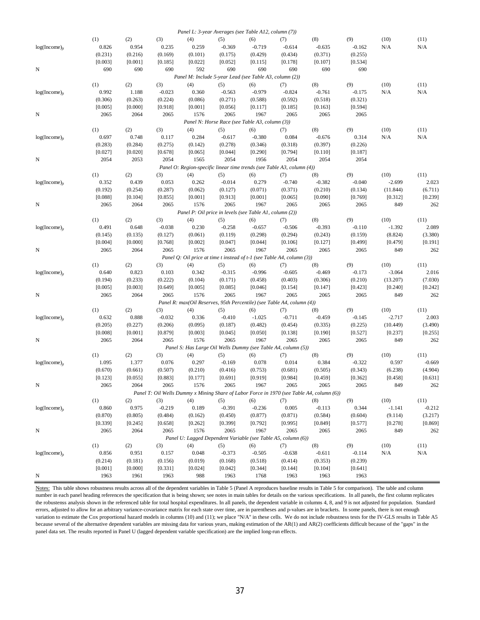|                    |                 |                 |                 | Panel L: 3-year Averages (see Table A12, column (7))    |                                                |                 |                                                                        |                                                                                           |                 |                  |               |
|--------------------|-----------------|-----------------|-----------------|---------------------------------------------------------|------------------------------------------------|-----------------|------------------------------------------------------------------------|-------------------------------------------------------------------------------------------|-----------------|------------------|---------------|
|                    | (1)             | (2)             | (3)             | (4)                                                     | (5)                                            | (6)             | (7)                                                                    | (8)                                                                                       | (9)             | (10)             | (11)          |
| $log(Income)_{it}$ | 0.826           | 0.954           | 0.235           | 0.259                                                   | $-0.369$                                       | $-0.719$        | $-0.614$                                                               | $-0.635$                                                                                  | $-0.162$        | N/A              | N/A           |
|                    | (0.231)         | (0.216)         | (0.169)         | (0.101)                                                 | (0.175)                                        | (0.429)         | (0.434)                                                                | (0.371)                                                                                   | (0.255)         |                  |               |
|                    | [0.003]         | [0.001]         | [0.185]         | [0.022]                                                 | [0.052]                                        | [0.115]         | [0.178]                                                                | [0.107]                                                                                   | [0.534]         |                  |               |
| N                  | 690             | 690             | 690             | 592                                                     | 690                                            | 690             | 690                                                                    | 690                                                                                       | 690             |                  |               |
|                    |                 |                 |                 | Panel M: Include 5-year Lead (see Table A3, column (2)) |                                                |                 |                                                                        |                                                                                           |                 |                  |               |
|                    | (1)             | (2)             | (3)             | (4)                                                     | (5)                                            | (6)             | (7)                                                                    | (8)                                                                                       | (9)             | (10)             | (11)          |
| $log(Income)_{it}$ | 0.992           | 1.188           | $-0.023$        | 0.360                                                   | $-0.563$                                       | $-0.979$        | $-0.824$                                                               | $-0.761$                                                                                  | $-0.175$        | N/A              | N/A           |
|                    | (0.306)         | (0.263)         | (0.224)         | (0.086)                                                 | (0.271)                                        | (0.588)         | (0.592)                                                                | (0.518)                                                                                   | (0.321)         |                  |               |
| N                  | [0.005]<br>2065 | [0.000]<br>2064 | [0.918]<br>2065 | [0.001]<br>1576                                         | [0.056]<br>2065                                | [0.117]<br>1967 | [0.185]<br>2065                                                        | [0.163]<br>2065                                                                           | [0.594]<br>2065 |                  |               |
|                    |                 |                 |                 |                                                         | Panel N: Horse Race (see Table A3, column (3)) |                 |                                                                        |                                                                                           |                 |                  |               |
|                    | (1)             | (2)             | (3)             | (4)                                                     | (5)                                            | (6)             | (7)                                                                    | (8)                                                                                       | (9)             | (10)             | (11)          |
| $log(Income)_{it}$ | 0.697           | 0.748           | 0.117           | 0.284                                                   | $-0.617$                                       | $-0.380$        | 0.084                                                                  | $-0.676$                                                                                  | 0.314           | N/A              | N/A           |
|                    | (0.283)         | (0.284)         | (0.275)         | (0.142)                                                 | (0.278)                                        | (0.346)         | (0.318)                                                                | (0.397)                                                                                   | (0.226)         |                  |               |
|                    | [0.027]         | [0.020]         | [0.678]         | [0.065]                                                 | [0.044]                                        | [0.290]         | [0.794]                                                                | [0.110]                                                                                   | [0.187]         |                  |               |
| N                  | 2054            | 2053            | 2054            | 1565                                                    | 2054                                           | 1956            | 2054                                                                   | 2054                                                                                      | 2054            |                  |               |
|                    |                 |                 |                 |                                                         |                                                |                 | Panel O: Region-specific linear time trends (see Table A3, column (4)) |                                                                                           |                 |                  |               |
|                    | (1)             | (2)             | (3)             | (4)                                                     | (5)                                            | (6)             | (7)                                                                    | (8)                                                                                       | (9)             | (10)             | (11)          |
| $log(Income)_{it}$ | 0.352           | 0.439           | 0.053           | 0.262                                                   | $-0.014$                                       | 0.279           | $-0.740$                                                               | $-0.382$                                                                                  | $-0.040$        | $-2.699$         | 2.023         |
|                    | (0.192)         | (0.254)         | (0.287)         | (0.062)                                                 | (0.127)                                        | (0.071)         | (0.371)                                                                | (0.210)                                                                                   | (0.134)         | (11.844)         | (6.711)       |
|                    | [0.088]         | [0.104]         | [0.855]         | [0.001]                                                 | [0.913]                                        | [0.001]         | [0.065]                                                                | [0.090]                                                                                   | [0.769]         | [0.312]          | [0.239]       |
| N                  | 2065            | 2064            | 2065            | 1576                                                    | 2065                                           | 1967            | 2065                                                                   | 2065                                                                                      | 2065            | 849              | 262           |
|                    |                 |                 |                 | Panel P: Oil price in levels (see Table A1, column (2)) |                                                |                 |                                                                        |                                                                                           |                 |                  |               |
|                    | (1)             | (2)             | (3)             | (4)                                                     | (5)                                            | (6)             | (7)                                                                    | (8)                                                                                       | (9)             | (10)             | (11)          |
| $log(Income)_{it}$ | 0.491           | 0.648           | $-0.038$        | 0.230                                                   | $-0.258$                                       | $-0.657$        | $-0.506$                                                               | $-0.393$                                                                                  | $-0.110$        | $-1.392$         | 2.089         |
|                    | (0.145)         | (0.135)         | (0.127)         | (0.061)                                                 | (0.119)                                        | (0.298)         | (0.294)                                                                | (0.243)                                                                                   | (0.159)         | (8.824)          | (3.380)       |
|                    | [0.004]         | [0.000]         | [0.768]         | [0.002]                                                 | [0.047]                                        | [0.044]         | [0.106]                                                                | [0.127]                                                                                   | [0.499]         | [0.479]          | [0.191]       |
| N                  | 2065            | 2064            | 2065            | 1576                                                    | 2065                                           | 1967            | 2065                                                                   | 2065                                                                                      | 2065            | 849              | 262           |
|                    |                 |                 |                 |                                                         |                                                |                 | Panel Q: Oil price at time t instead of t-1 (see Table A4, column (3)) |                                                                                           |                 |                  |               |
|                    | (1)             | (2)             | (3)             | (4)                                                     | (5)                                            | (6)             | (7)                                                                    | (8)                                                                                       | (9)             | (10)             | (11)          |
| $log(Income)_{it}$ | 0.640           | 0.823           | 0.103           | 0.342                                                   | $-0.315$                                       | $-0.996$        | $-0.605$                                                               | $-0.469$                                                                                  | $-0.173$        | $-3.064$         | 2.016         |
|                    | (0.194)         | (0.233)         | (0.222)         | (0.104)                                                 | (0.171)                                        | (0.458)         | (0.403)                                                                | (0.306)                                                                                   | (0.210)         | (13.207)         | (7.030)       |
|                    | [0.005]         | [0.003]         | [0.649]         | [0.005]                                                 | [0.085]                                        | [0.046]         | [0.154]                                                                | [0.147]                                                                                   | [0.423]         | [0.240]          | [0.242]       |
| N                  | 2065            | 2064            | 2065            | 1576                                                    | 2065                                           | 1967            | 2065                                                                   | 2065                                                                                      | 2065            | 849              | 262           |
|                    |                 |                 |                 |                                                         |                                                |                 | Panel R: max(Oil Reserves, 95th Percentile) (see Table A4, column (4)) |                                                                                           |                 |                  |               |
| $log(Income)_{it}$ | (1)<br>0.632    | (2)<br>0.888    | (3)<br>$-0.032$ | (4)<br>0.336                                            | (5)<br>$-0.410$                                | (6)<br>$-1.025$ | (7)<br>$-0.711$                                                        | (8)<br>$-0.459$                                                                           | (9)<br>$-0.145$ | (10)<br>$-2.717$ | (11)<br>2.003 |
|                    | (0.205)         | (0.227)         | (0.206)         | (0.095)                                                 | (0.187)                                        | (0.482)         | (0.454)                                                                | (0.335)                                                                                   | (0.225)         | (10.449)         | (3.490)       |
|                    | [0.008]         | [0.001]         | [0.879]         | [0.003]                                                 | [0.045]                                        | [0.050]         | [0.138]                                                                | [0.190]                                                                                   | [0.527]         | [0.237]          | [0.255]       |
| N                  | 2065            | 2064            | 2065            | 1576                                                    | 2065                                           | 1967            | 2065                                                                   | 2065                                                                                      | 2065            | 849              | 262           |
|                    |                 |                 |                 |                                                         |                                                |                 | Panel S: Has Large Oil Wells Dummy (see Table A4, column (5))          |                                                                                           |                 |                  |               |
|                    | (1)             | (2)             | (3)             | (4)                                                     | (5)                                            | (6)             | (7)                                                                    | (8)                                                                                       | (9)             | (10)             | (11)          |
| $log(Income)_{it}$ | 1.095           | 1.377           | 0.076           | 0.297                                                   | $-0.169$                                       | 0.078           | 0.014                                                                  | 0.384                                                                                     | $-0.322$        | 0.597            | $-0.669$      |
|                    | (0.670)         | (0.661)         | (0.507)         | (0.210)                                                 | (0.416)                                        | (0.753)         | (0.681)                                                                | (0.505)                                                                                   | (0.343)         | (6.238)          | (4.904)       |
|                    | [0.123]         | [0.055]         | [0.883]         | [0.177]                                                 | [0.691]                                        | [0.919]         | [0.984]                                                                | [0.459]                                                                                   | [0.362]         | [0.458]          | [0.631]       |
| N                  | 2065            | 2064            | 2065            | 1576                                                    | 2065                                           | 1967            | 2065                                                                   | 2065                                                                                      | 2065            | 849              | 262           |
|                    |                 |                 |                 |                                                         |                                                |                 |                                                                        | Panel T: Oil Wells Dummy x Mining Share of Labor Force in 1970 (see Table A4, column (6)) |                 |                  |               |
|                    | (1)             | (2)             | (3)             | (4)                                                     | (5)                                            | (6)             | (7)                                                                    | (8)                                                                                       | (9)             | (10)             | (11)          |
| $log(Income)_{it}$ | 0.860           | 0.975           | $-0.219$        | 0.189                                                   | $-0.391$                                       | $-0.236$        | 0.005                                                                  | $-0.113$                                                                                  | 0.344           | $-1.141$         | $-0.212$      |
|                    | (0.870)         | (0.805)         | (0.484)         | (0.162)                                                 | (0.450)                                        | (0.877)         | (0.871)                                                                | (0.584)                                                                                   | (0.604)         | (9.114)          | (3.217)       |
|                    | [0.339]         | [0.245]         | [0.658]         | [0.262]                                                 | [0.399]                                        | [0.792]         | [0.995]                                                                | [0.849]                                                                                   | [0.577]         | [0.278]          | [0.869]       |
| N                  | 2065            | 2064            | 2065            | 1576                                                    | 2065                                           | 1967            | 2065                                                                   | 2065                                                                                      | 2065            | 849              | 262           |
|                    |                 |                 |                 |                                                         |                                                |                 | Panel U: Lagged Dependent Variable (see Table A5, column (6))          |                                                                                           |                 |                  |               |
|                    | (1)             | (2)             | (3)             | (4)                                                     | (5)                                            | (6)             | (7)                                                                    | (8)                                                                                       | (9)             | (10)             | (11)          |
| $log(Income)_{it}$ | 0.856           | 0.951           | 0.157           | 0.048                                                   | $-0.373$                                       | $-0.505$        | $-0.638$                                                               | $-0.611$                                                                                  | $-0.114$        | N/A              | N/A           |
|                    | (0.214)         | (0.181)         | (0.156)         | (0.019)                                                 | (0.168)                                        | (0.518)         | (0.414)                                                                | (0.353)                                                                                   | (0.239)         |                  |               |
|                    | [0.001]         | [0.000]         | [0.331]         | [0.024]                                                 | [0.042]                                        | [0.344]         | [0.144]                                                                | [0.104]                                                                                   | [0.641]         |                  |               |
| N                  | 1963            | 1961            | 1963            | 988                                                     | 1963                                           | 1768            | 1963                                                                   | 1963                                                                                      | 1963            |                  |               |

Notes: This table shows robustness results across all of the dependent variables in Table 5 (Panel A reproduces baseline results in Table 5 for comparison). The table and column number in each panel heading references the specification that is being shown; see notes in main tables for details on the various specifications. In all panels, the first column replicates the robustenss analysis shown in the referenced table for total hospital expenditures. In all panels, the dependent variable in columns 4, 8, and 9 is not adjusted for population. Standard errors, adjusted to allow for an arbitrary variance-covariance matrix for each state over time, are in parentheses and p-values are in brackets. In some panels, there is not enough variation to estimate the Cox proportional hazard models in columns (10) and (11); we place "N/A" in these cells. We do not include robustness tests for the IV-GLS results in Table A5 because several of the alternative dependent variables are missing data for various years, making estimation of the AR(1) and AR(2) coefficients difficult because of the "gaps" in the panel data set. The results reported in Panel U (lagged dependent variable specification) are the implied long-run effects.